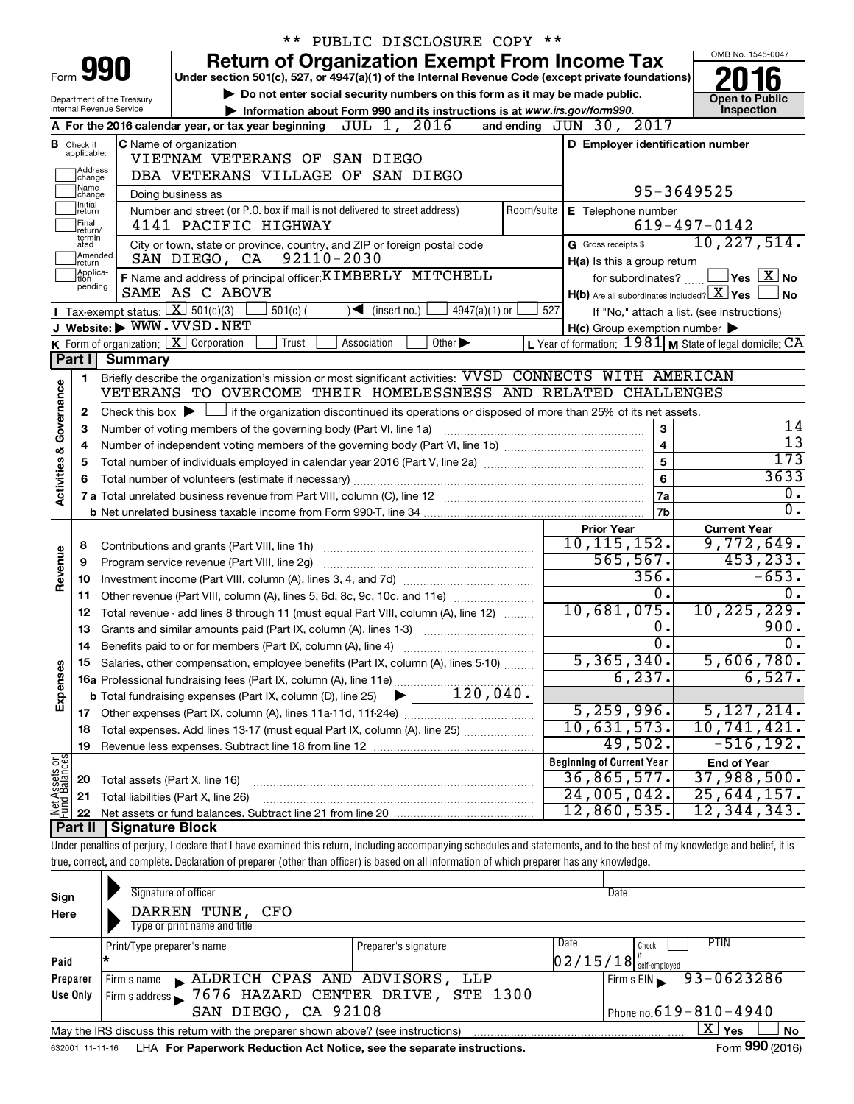|                         |                                  |                                                            | $***$<br>PUBLIC DISCLOSURE COPY **                                                                                                                                         |                                                     |                                                            |
|-------------------------|----------------------------------|------------------------------------------------------------|----------------------------------------------------------------------------------------------------------------------------------------------------------------------------|-----------------------------------------------------|------------------------------------------------------------|
|                         |                                  |                                                            | <b>Return of Organization Exempt From Income Tax</b>                                                                                                                       |                                                     | OMB No. 1545-0047                                          |
| Form                    |                                  | 990                                                        | Under section 501(c), 527, or 4947(a)(1) of the Internal Revenue Code (except private foundations)                                                                         |                                                     |                                                            |
|                         |                                  | Department of the Treasury                                 | Do not enter social security numbers on this form as it may be made public.                                                                                                |                                                     | <b>Open to Public</b>                                      |
|                         |                                  | Internal Revenue Service                                   | Information about Form 990 and its instructions is at www.irs.gov/form990.                                                                                                 |                                                     | Inspection                                                 |
|                         |                                  |                                                            | JUL 1, 2016<br>A For the 2016 calendar year, or tax year beginning<br>and ending                                                                                           | JUN 30, 2017                                        |                                                            |
|                         | <b>B</b> Check if<br>applicable: |                                                            | C Name of organization                                                                                                                                                     |                                                     | D Employer identification number                           |
|                         | Address                          |                                                            | VIETNAM VETERANS OF SAN DIEGO                                                                                                                                              |                                                     |                                                            |
|                         | change<br>Name                   |                                                            | DBA VETERANS VILLAGE OF SAN DIEGO                                                                                                                                          |                                                     |                                                            |
|                         | change<br>Initial                |                                                            | Doing business as                                                                                                                                                          |                                                     | 95-3649525                                                 |
|                         | return<br>Final                  |                                                            | Number and street (or P.O. box if mail is not delivered to street address)                                                                                                 | Room/suite   E Telephone number                     |                                                            |
|                         | return/<br>termin-               |                                                            | 4141 PACIFIC HIGHWAY                                                                                                                                                       |                                                     | $619 - 497 - 0142$                                         |
|                         | ated<br>Amended                  |                                                            | City or town, state or province, country, and ZIP or foreign postal code<br>92110-2030<br>SAN DIEGO, CA                                                                    | G Gross receipts \$                                 | 10, 227, 514.                                              |
|                         | return<br>Applica-               |                                                            | F Name and address of principal officer: KIMBERLY MITCHELL                                                                                                                 | H(a) Is this a group return<br>for subordinates?    | $\Box$ Yes $[\overline{\mathrm{X}}]$ No                    |
|                         | tion<br>pending                  |                                                            | SAME AS C ABOVE                                                                                                                                                            |                                                     | $H(b)$ Are all subordinates included? $X$ Yes<br><b>No</b> |
|                         |                                  | <b>I</b> Tax-exempt status: $\boxed{\mathbf{X}}$ 501(c)(3) | $501(c)$ (<br>$4947(a)(1)$ or<br>$\sqrt{\frac{1}{1}}$ (insert no.)                                                                                                         | 527                                                 | If "No," attach a list. (see instructions)                 |
|                         |                                  |                                                            | J Website: WWW. VVSD. NET                                                                                                                                                  | $H(c)$ Group exemption number $\blacktriangleright$ |                                                            |
|                         |                                  |                                                            | <b>K</b> Form of organization: $\boxed{\textbf{X}}$ Corporation<br>Trust<br>Association<br>Other $\blacktriangleright$                                                     |                                                     | L Year of formation: 1981 M State of legal domicile: CA    |
|                         | Part I                           | <b>Summary</b>                                             |                                                                                                                                                                            |                                                     |                                                            |
|                         | 1.                               |                                                            | Briefly describe the organization's mission or most significant activities: VVSD CONNECTS WITH AMERICAN                                                                    |                                                     |                                                            |
| Governance              |                                  |                                                            | VETERANS TO OVERCOME THEIR HOMELESSNESS AND RELATED CHALLENGES                                                                                                             |                                                     |                                                            |
|                         | $\mathbf{2}$                     |                                                            | Check this box $\blacktriangleright$ $\Box$ if the organization discontinued its operations or disposed of more than 25% of its net assets.                                |                                                     |                                                            |
|                         | 3                                |                                                            | Number of voting members of the governing body (Part VI, line 1a)                                                                                                          |                                                     | 14<br>3                                                    |
|                         | 4                                |                                                            |                                                                                                                                                                            |                                                     | 13<br>$\overline{4}$                                       |
|                         | 5                                |                                                            |                                                                                                                                                                            |                                                     | 173<br>5                                                   |
| <b>Activities &amp;</b> | 6                                |                                                            | 3633<br>6                                                                                                                                                                  |                                                     |                                                            |
|                         |                                  |                                                            |                                                                                                                                                                            |                                                     | $\overline{0}$ .<br>7a                                     |
|                         |                                  |                                                            |                                                                                                                                                                            |                                                     | $\overline{0}$ .<br>7 <sub>b</sub>                         |
|                         |                                  |                                                            |                                                                                                                                                                            | <b>Prior Year</b><br>10, 115, 152.                  | <b>Current Year</b><br>9,772,649.                          |
| Revenue                 | 8                                |                                                            | Contributions and grants (Part VIII, line 1h)                                                                                                                              | 565, 567.                                           | 453, 233.                                                  |
|                         | 9<br>10                          |                                                            | Program service revenue (Part VIII, line 2g)                                                                                                                               | 356.                                                | $-653.$                                                    |
|                         | 11                               |                                                            | Other revenue (Part VIII, column (A), lines 5, 6d, 8c, 9c, 10c, and 11e)                                                                                                   |                                                     | 0.<br>0.                                                   |
|                         | 12                               |                                                            | Total revenue - add lines 8 through 11 (must equal Part VIII, column (A), line 12)                                                                                         | 10,681,075.                                         | 10, 225, 229.                                              |
|                         | 13                               |                                                            | Grants and similar amounts paid (Part IX, column (A), lines 1-3)                                                                                                           |                                                     | 900.<br>о.                                                 |
|                         | 14                               |                                                            | Benefits paid to or for members (Part IX, column (A), line 4)                                                                                                              |                                                     | $\overline{\mathfrak{o}}$ .<br>$\overline{0}$ .            |
|                         |                                  |                                                            | 15 Salaries, other compensation, employee benefits (Part IX, column (A), lines 5-10)                                                                                       | 5,365,340.                                          | 5,606,780.                                                 |
|                         |                                  |                                                            |                                                                                                                                                                            | 6, 237.                                             | 6,527.                                                     |
| Expenses                |                                  |                                                            |                                                                                                                                                                            |                                                     |                                                            |
|                         |                                  |                                                            |                                                                                                                                                                            | 5,259,996.                                          | 5,127,214.                                                 |
|                         | 18                               |                                                            | Total expenses. Add lines 13-17 (must equal Part IX, column (A), line 25)                                                                                                  | 10,631,573.                                         | 10, 741, 421.                                              |
|                         | 19                               |                                                            |                                                                                                                                                                            | 49,502.                                             | -516,192.                                                  |
| Net Assets or           |                                  |                                                            |                                                                                                                                                                            | <b>Beginning of Current Year</b>                    | <b>End of Year</b>                                         |
|                         | 20                               | Total assets (Part X, line 16)                             |                                                                                                                                                                            | 36,865,577 <b>.</b>                                 | 37,988,500.                                                |
|                         | 21                               |                                                            | Total liabilities (Part X, line 26)                                                                                                                                        | $\overline{24}$ , 005, 042.<br>12,860,535.          | $\overline{25,644,157}$ .<br>12,344,343.                   |
|                         | 22<br>Part II                    |                                                            |                                                                                                                                                                            |                                                     |                                                            |
|                         |                                  | <b>Signature Block</b>                                     | Under penalties of perjury, I declare that I have examined this return, including accompanying schedules and statements, and to the best of my knowledge and belief, it is |                                                     |                                                            |
|                         |                                  |                                                            | true, correct, and complete. Declaration of preparer (other than officer) is based on all information of which preparer has any knowledge.                                 |                                                     |                                                            |
|                         |                                  |                                                            |                                                                                                                                                                            |                                                     |                                                            |
| Sign                    |                                  |                                                            | Signature of officer                                                                                                                                                       | Date                                                |                                                            |
| Here                    |                                  |                                                            | DARREN TUNE,<br>CFO                                                                                                                                                        |                                                     |                                                            |
|                         |                                  |                                                            | Type or print name and title                                                                                                                                               |                                                     |                                                            |
|                         |                                  |                                                            |                                                                                                                                                                            | h م <del>ا</del> د                                  | <b>DTIN</b>                                                |

|          | Print/Type preparer's name                                                                     | Preparer's signature | Date | Check                                               | PTIN           |  |  |  |  |  |
|----------|------------------------------------------------------------------------------------------------|----------------------|------|-----------------------------------------------------|----------------|--|--|--|--|--|
| Paid     |                                                                                                |                      |      | $\left[0\,2\,/\,1\,5\,/\,1\,8\right]$ self-employed |                |  |  |  |  |  |
| Preparer | ALDRICH CPAS AND ADVISORS,<br>Firm's name                                                      | LLP                  |      | Firm's $EIN$                                        | $93 - 0623286$ |  |  |  |  |  |
| Use Only | Firm's address 57676 HAZARD CENTER DRIVE, STE 1300                                             |                      |      |                                                     |                |  |  |  |  |  |
|          | SAN DIEGO, CA 92108                                                                            |                      |      | $1$ Phone no. $619 - 810 - 4940$                    |                |  |  |  |  |  |
|          | May the IRS discuss this return with the preparer shown above? (see instructions)<br>Yes<br>No |                      |      |                                                     |                |  |  |  |  |  |

632001 11-11-16 **For Paperwork Reduction Act Notice, see the separate instructions.** LHA Form (2016)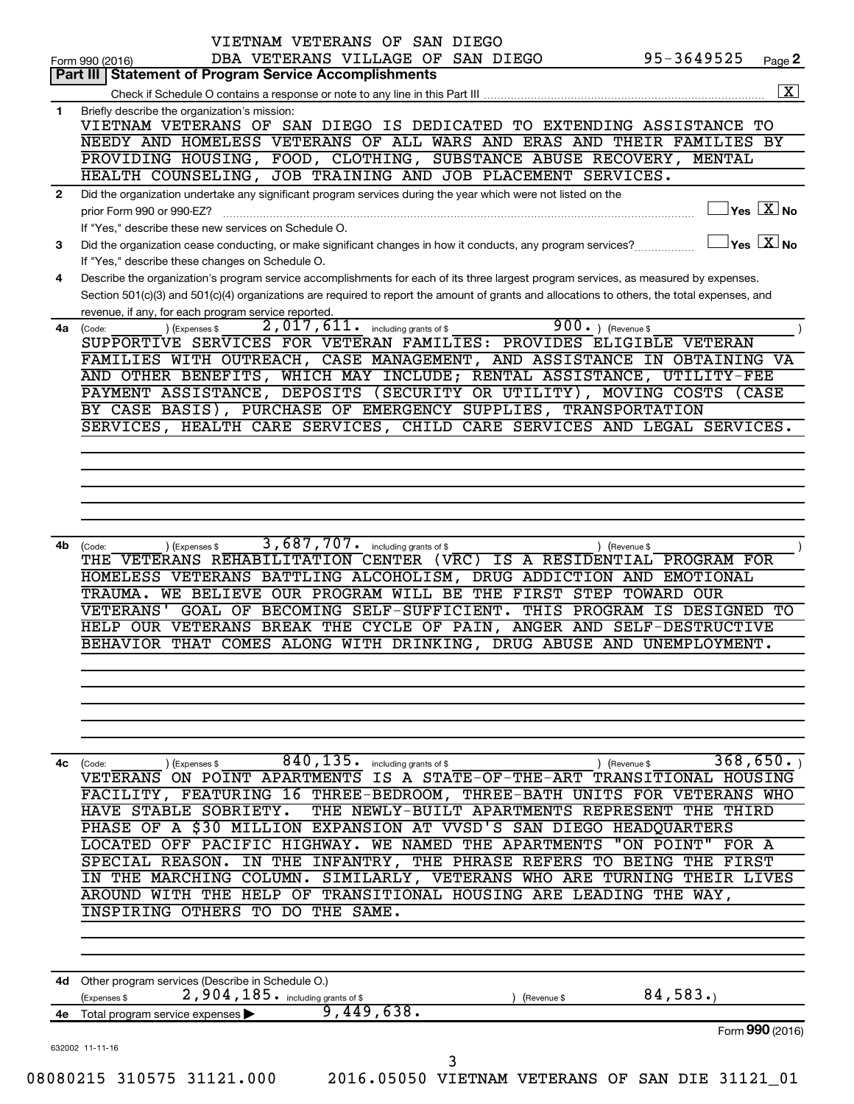|              | VIETNAM VETERANS OF SAN DIEGO<br>95-3649525<br>DBA VETERANS VILLAGE OF SAN DIEGO<br>Page 2<br>Form 990 (2016)                                                                                                             |
|--------------|---------------------------------------------------------------------------------------------------------------------------------------------------------------------------------------------------------------------------|
|              | Part III   Statement of Program Service Accomplishments                                                                                                                                                                   |
|              | $\boxed{\textbf{X}}$                                                                                                                                                                                                      |
| 1            | Briefly describe the organization's mission:<br>VIETNAM VETERANS OF SAN DIEGO IS DEDICATED TO EXTENDING ASSISTANCE TO<br>NEEDY AND HOMELESS VETERANS OF ALL WARS AND ERAS AND THEIR FAMILIES BY                           |
|              | PROVIDING HOUSING, FOOD, CLOTHING, SUBSTANCE ABUSE RECOVERY, MENTAL<br>HEALTH COUNSELING, JOB TRAINING AND JOB PLACEMENT SERVICES.                                                                                        |
| $\mathbf{2}$ | Did the organization undertake any significant program services during the year which were not listed on the<br>$\sqrt{\mathsf{Yes}\ \mathbf{X}}$ No<br>prior Form 990 or 990-EZ?                                         |
| 3            | If "Yes," describe these new services on Schedule O.<br>$\sqrt{}$ Yes $\sqrt{}\,\overline{\mathrm{X}}$ No<br>Did the organization cease conducting, or make significant changes in how it conducts, any program services? |
| 4            | If "Yes," describe these changes on Schedule O.<br>Describe the organization's program service accomplishments for each of its three largest program services, as measured by expenses.                                   |
|              | Section 501(c)(3) and 501(c)(4) organizations are required to report the amount of grants and allocations to others, the total expenses, and<br>revenue, if any, for each program service reported.                       |
|              | $\overline{2,017,611.}$ including grants of \$<br>$\overline{900}$ . ) (Revenue \$<br>4a (Code:<br>(Expenses \$                                                                                                           |
|              | SUPPORTIVE SERVICES FOR VETERAN FAMILIES: PROVIDES ELIGIBLE VETERAN                                                                                                                                                       |
|              | FAMILIES WITH OUTREACH, CASE MANAGEMENT, AND ASSISTANCE IN OBTAINING VA                                                                                                                                                   |
|              | AND OTHER BENEFITS, WHICH MAY INCLUDE; RENTAL ASSISTANCE, UTILITY-FEE<br>PAYMENT ASSISTANCE, DEPOSITS (SECURITY OR UTILITY), MOVING COSTS<br>(CASE)                                                                       |
|              | BY CASE BASIS), PURCHASE OF EMERGENCY SUPPLIES, TRANSPORTATION                                                                                                                                                            |
|              | SERVICES, HEALTH CARE SERVICES, CHILD CARE SERVICES AND LEGAL SERVICES.                                                                                                                                                   |
|              |                                                                                                                                                                                                                           |
|              |                                                                                                                                                                                                                           |
|              |                                                                                                                                                                                                                           |
|              |                                                                                                                                                                                                                           |
|              |                                                                                                                                                                                                                           |
|              |                                                                                                                                                                                                                           |
| 4b           | 3, 687, 707. including grants of \$<br>(Expenses \$<br>) (Revenue \$<br>(Code:<br>THE VETERANS REHABILITATION CENTER (VRC)<br>IS A RESIDENTIAL PROGRAM FOR                                                                |
|              | HOMELESS VETERANS BATTLING ALCOHOLISM, DRUG ADDICTION AND EMOTIONAL                                                                                                                                                       |
|              | WE BELIEVE OUR PROGRAM WILL BE THE FIRST STEP TOWARD OUR<br>TRAUMA.                                                                                                                                                       |
|              | GOAL OF BECOMING SELF-SUFFICIENT. THIS PROGRAM IS DESIGNED TO<br>VETERANS '                                                                                                                                               |
|              | HELP OUR VETERANS BREAK THE CYCLE OF PAIN, ANGER AND SELF-DESTRUCTIVE                                                                                                                                                     |
|              | BEHAVIOR THAT COMES ALONG WITH DRINKING, DRUG ABUSE AND UNEMPLOYMENT.                                                                                                                                                     |
|              |                                                                                                                                                                                                                           |
|              |                                                                                                                                                                                                                           |
|              |                                                                                                                                                                                                                           |
|              |                                                                                                                                                                                                                           |
|              |                                                                                                                                                                                                                           |
|              | 840, 135.<br>368,650.                                                                                                                                                                                                     |
| 4с           | ) (Revenue \$<br>including grants of \$<br>(Expenses \$<br>(Code:<br>VETERANS ON POINT APARTMENTS<br>IS A STATE-OF-THE-ART TRANSITIONAL HOUSING                                                                           |
|              | FACILITY, FEATURING 16 THREE-BEDROOM, THREE-BATH UNITS FOR VETERANS WHO                                                                                                                                                   |
|              | HAVE STABLE SOBRIETY.<br>THE NEWLY-BUILT APARTMENTS REPRESENT<br>THE THIRD                                                                                                                                                |
|              | PHASE OF A \$30 MILLION EXPANSION AT VVSD'S SAN DIEGO HEADQUARTERS                                                                                                                                                        |
|              | "ON POINT"<br>LOCATED OFF PACIFIC HIGHWAY.<br>WE NAMED THE APARTMENTS<br>FOR A                                                                                                                                            |
|              | IN THE INFANTRY, THE PHRASE REFERS TO BEING THE<br>SPECIAL REASON.<br>FIRST                                                                                                                                               |
|              | MARCHING COLUMN. SIMILARLY, VETERANS WHO ARE TURNING THEIR LIVES<br>THE                                                                                                                                                   |
|              | WITH THE HELP OF TRANSITIONAL HOUSING ARE LEADING<br><b>AROUND</b><br>THE WAY,                                                                                                                                            |
|              | INSPIRING OTHERS TO DO THE SAME.                                                                                                                                                                                          |
|              |                                                                                                                                                                                                                           |
| 4d -         | Other program services (Describe in Schedule O.)                                                                                                                                                                          |
|              | 2,904,185. including grants of \$<br>84,583.<br>(Expenses \$<br>(Revenue \$                                                                                                                                               |
| 4е           | 9,449,638.<br>Total program service expenses                                                                                                                                                                              |
|              | Form 990 (2016)<br>632002 11-11-16                                                                                                                                                                                        |
|              | 3                                                                                                                                                                                                                         |
|              | 08080215 310575 31121.000<br>2016.05050 VIETNAM VETERANS OF SAN DIE 31121_01                                                                                                                                              |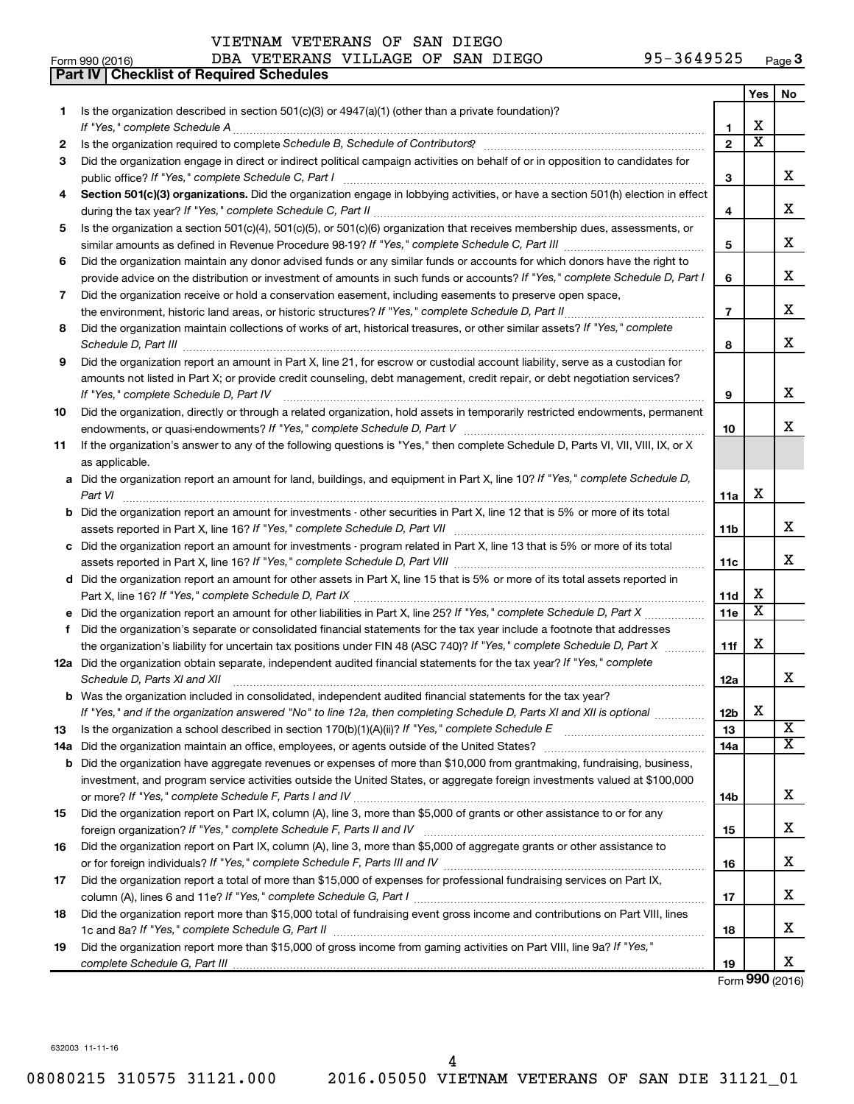| VIETNAM VETERANS OF SAN DIEGO |
|-------------------------------|
|-------------------------------|

|    | <b>Part IV   Checklist of Required Schedules</b>                                                                                                                                                                                    |                 |                       |                         |
|----|-------------------------------------------------------------------------------------------------------------------------------------------------------------------------------------------------------------------------------------|-----------------|-----------------------|-------------------------|
|    |                                                                                                                                                                                                                                     |                 | Yes                   | No.                     |
| 1. | Is the organization described in section $501(c)(3)$ or $4947(a)(1)$ (other than a private foundation)?                                                                                                                             |                 |                       |                         |
|    |                                                                                                                                                                                                                                     | 1               | х                     |                         |
| 2  |                                                                                                                                                                                                                                     | $\mathbf{2}$    | $\overline{\text{x}}$ |                         |
| З  | Did the organization engage in direct or indirect political campaign activities on behalf of or in opposition to candidates for                                                                                                     |                 |                       |                         |
|    |                                                                                                                                                                                                                                     | 3               |                       | x                       |
| 4  | Section 501(c)(3) organizations. Did the organization engage in lobbying activities, or have a section 501(h) election in effect                                                                                                    |                 |                       |                         |
|    |                                                                                                                                                                                                                                     | 4               |                       | x                       |
| 5  | Is the organization a section 501(c)(4), 501(c)(5), or 501(c)(6) organization that receives membership dues, assessments, or                                                                                                        |                 |                       |                         |
|    |                                                                                                                                                                                                                                     | 5               |                       | x                       |
| 6  | Did the organization maintain any donor advised funds or any similar funds or accounts for which donors have the right to                                                                                                           |                 |                       |                         |
|    | provide advice on the distribution or investment of amounts in such funds or accounts? If "Yes," complete Schedule D, Part I                                                                                                        | 6               |                       | x                       |
| 7  | Did the organization receive or hold a conservation easement, including easements to preserve open space,                                                                                                                           |                 |                       |                         |
|    |                                                                                                                                                                                                                                     | $\overline{7}$  |                       | x                       |
| 8  | Did the organization maintain collections of works of art, historical treasures, or other similar assets? If "Yes," complete                                                                                                        |                 |                       |                         |
|    | Schedule D, Part III <b>Marting Community</b> Contract and Technical Contract of Technical Contract Contract Contract Contract Contract Contract Contract Contract Contract Contract Contract Contract Contract Contract Contract C | 8               |                       | x                       |
| 9  | Did the organization report an amount in Part X, line 21, for escrow or custodial account liability, serve as a custodian for                                                                                                       |                 |                       |                         |
|    | amounts not listed in Part X; or provide credit counseling, debt management, credit repair, or debt negotiation services?                                                                                                           |                 |                       |                         |
|    |                                                                                                                                                                                                                                     | 9               |                       | x                       |
| 10 | Did the organization, directly or through a related organization, hold assets in temporarily restricted endowments, permanent                                                                                                       |                 |                       |                         |
|    |                                                                                                                                                                                                                                     | 10              |                       | X.                      |
| 11 | If the organization's answer to any of the following questions is "Yes," then complete Schedule D, Parts VI, VII, VIII, IX, or X                                                                                                    |                 |                       |                         |
|    | as applicable.                                                                                                                                                                                                                      |                 |                       |                         |
|    | a Did the organization report an amount for land, buildings, and equipment in Part X, line 10? If "Yes," complete Schedule D,                                                                                                       |                 | X                     |                         |
|    | Part VI                                                                                                                                                                                                                             | 11a             |                       |                         |
|    | <b>b</b> Did the organization report an amount for investments - other securities in Part X, line 12 that is 5% or more of its total                                                                                                |                 |                       | x                       |
|    |                                                                                                                                                                                                                                     | 11 <sub>b</sub> |                       |                         |
|    | c Did the organization report an amount for investments - program related in Part X, line 13 that is 5% or more of its total                                                                                                        |                 |                       | x                       |
|    | d Did the organization report an amount for other assets in Part X, line 15 that is 5% or more of its total assets reported in                                                                                                      | 11c             |                       |                         |
|    |                                                                                                                                                                                                                                     | 11d             | х                     |                         |
|    |                                                                                                                                                                                                                                     | 11e             | $\overline{\text{x}}$ |                         |
| f  | Did the organization's separate or consolidated financial statements for the tax year include a footnote that addresses                                                                                                             |                 |                       |                         |
|    | the organization's liability for uncertain tax positions under FIN 48 (ASC 740)? If "Yes," complete Schedule D, Part X                                                                                                              | 11f             | X                     |                         |
|    | 12a Did the organization obtain separate, independent audited financial statements for the tax year? If "Yes," complete                                                                                                             |                 |                       |                         |
|    | Schedule D, Parts XI and XII                                                                                                                                                                                                        | 12a             |                       | x                       |
|    | <b>b</b> Was the organization included in consolidated, independent audited financial statements for the tax year?                                                                                                                  |                 |                       |                         |
|    | If "Yes," and if the organization answered "No" to line 12a, then completing Schedule D, Parts XI and XII is optional                                                                                                               | 12b             | х                     |                         |
| 13 |                                                                                                                                                                                                                                     | 13              |                       | $\overline{\mathbf{X}}$ |
|    |                                                                                                                                                                                                                                     | 14a             |                       | $\overline{\mathtt{x}}$ |
|    | <b>b</b> Did the organization have aggregate revenues or expenses of more than \$10,000 from grantmaking, fundraising, business,                                                                                                    |                 |                       |                         |
|    | investment, and program service activities outside the United States, or aggregate foreign investments valued at \$100,000                                                                                                          |                 |                       |                         |
|    |                                                                                                                                                                                                                                     | 14b             |                       | x                       |
| 15 | Did the organization report on Part IX, column (A), line 3, more than \$5,000 of grants or other assistance to or for any                                                                                                           |                 |                       |                         |
|    |                                                                                                                                                                                                                                     | 15              |                       | x                       |
| 16 | Did the organization report on Part IX, column (A), line 3, more than \$5,000 of aggregate grants or other assistance to                                                                                                            |                 |                       |                         |
|    |                                                                                                                                                                                                                                     | 16              |                       | x                       |
| 17 | Did the organization report a total of more than \$15,000 of expenses for professional fundraising services on Part IX,                                                                                                             |                 |                       |                         |
|    |                                                                                                                                                                                                                                     | 17              |                       | x                       |
| 18 | Did the organization report more than \$15,000 total of fundraising event gross income and contributions on Part VIII, lines                                                                                                        |                 |                       |                         |
|    |                                                                                                                                                                                                                                     | 18              |                       | x                       |
| 19 | Did the organization report more than \$15,000 of gross income from gaming activities on Part VIII, line 9a? If "Yes,"                                                                                                              |                 |                       |                         |
|    |                                                                                                                                                                                                                                     | 19              |                       | X                       |

Form (2016) **990**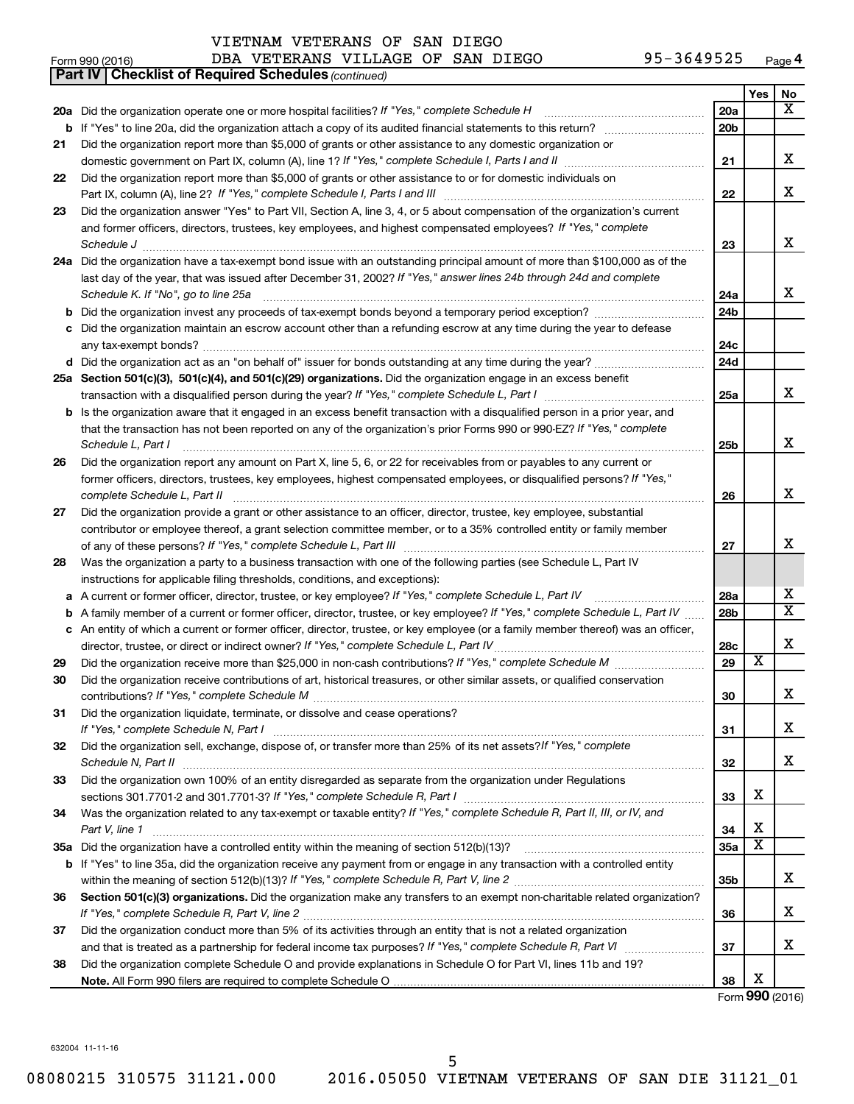|    | 95-3649525<br>DBA VETERANS VILLAGE OF SAN DIEGO<br>Form 990 (2016)                                                                  |                 |                         | Page 4                  |
|----|-------------------------------------------------------------------------------------------------------------------------------------|-----------------|-------------------------|-------------------------|
|    | Part IV   Checklist of Required Schedules (continued)                                                                               |                 |                         |                         |
|    |                                                                                                                                     |                 | Yes                     | No                      |
|    | 20a Did the organization operate one or more hospital facilities? If "Yes," complete Schedule H                                     | 20a             |                         | $\overline{\mathbf{x}}$ |
|    | <b>b</b> If "Yes" to line 20a, did the organization attach a copy of its audited financial statements to this return?               | 20 <sub>b</sub> |                         |                         |
| 21 | Did the organization report more than \$5,000 of grants or other assistance to any domestic organization or                         |                 |                         |                         |
|    | domestic government on Part IX, column (A), line 1? If "Yes," complete Schedule I, Parts I and II                                   | 21              |                         | x                       |
| 22 | Did the organization report more than \$5,000 of grants or other assistance to or for domestic individuals on                       |                 |                         |                         |
|    |                                                                                                                                     | 22              |                         | x                       |
| 23 | Did the organization answer "Yes" to Part VII, Section A, line 3, 4, or 5 about compensation of the organization's current          |                 |                         |                         |
|    | and former officers, directors, trustees, key employees, and highest compensated employees? If "Yes," complete                      |                 |                         |                         |
|    | Schedule J                                                                                                                          | 23              |                         | x                       |
|    | 24a Did the organization have a tax-exempt bond issue with an outstanding principal amount of more than \$100,000 as of the         |                 |                         |                         |
|    | last day of the year, that was issued after December 31, 2002? If "Yes," answer lines 24b through 24d and complete                  |                 |                         |                         |
|    | Schedule K. If "No", go to line 25a                                                                                                 | 24a             |                         | x                       |
|    |                                                                                                                                     | 24b             |                         |                         |
| с  | Did the organization maintain an escrow account other than a refunding escrow at any time during the year to defease                |                 |                         |                         |
|    |                                                                                                                                     | 24c             |                         |                         |
|    |                                                                                                                                     | 24d             |                         |                         |
|    | 25a Section 501(c)(3), 501(c)(4), and 501(c)(29) organizations. Did the organization engage in an excess benefit                    |                 |                         |                         |
|    |                                                                                                                                     | 25a             |                         | x                       |
|    | <b>b</b> Is the organization aware that it engaged in an excess benefit transaction with a disqualified person in a prior year, and |                 |                         |                         |
|    | that the transaction has not been reported on any of the organization's prior Forms 990 or 990-EZ? If "Yes," complete               |                 |                         |                         |
|    | Schedule L, Part I                                                                                                                  | 25b             |                         | x                       |
| 26 | Did the organization report any amount on Part X, line 5, 6, or 22 for receivables from or payables to any current or               |                 |                         |                         |
|    | former officers, directors, trustees, key employees, highest compensated employees, or disqualified persons? If "Yes,"              |                 |                         |                         |
|    | complete Schedule L, Part II                                                                                                        | 26              |                         | x                       |
| 27 | Did the organization provide a grant or other assistance to an officer, director, trustee, key employee, substantial                |                 |                         |                         |
|    | contributor or employee thereof, a grant selection committee member, or to a 35% controlled entity or family member                 |                 |                         |                         |
|    |                                                                                                                                     | 27              |                         | x                       |
| 28 | Was the organization a party to a business transaction with one of the following parties (see Schedule L, Part IV                   |                 |                         |                         |
|    | instructions for applicable filing thresholds, conditions, and exceptions):                                                         |                 |                         |                         |
|    | a A current or former officer, director, trustee, or key employee? If "Yes," complete Schedule L, Part IV                           | 28a             |                         | x                       |
| b  | A family member of a current or former officer, director, trustee, or key employee? If "Yes," complete Schedule L, Part IV          | 28b             |                         | $\overline{\mathtt{x}}$ |
|    | c An entity of which a current or former officer, director, trustee, or key employee (or a family member thereof) was an officer,   |                 |                         |                         |
|    | director, trustee, or direct or indirect owner? If "Yes," complete Schedule L, Part IV                                              | 28c             |                         | x                       |
| 29 |                                                                                                                                     | 29              | $\overline{\mathbf{X}}$ |                         |
| 30 | Did the organization receive contributions of art, historical treasures, or other similar assets, or qualified conservation         |                 |                         |                         |
|    |                                                                                                                                     | 30              |                         | x                       |
| 31 | Did the organization liquidate, terminate, or dissolve and cease operations?                                                        |                 |                         |                         |
|    |                                                                                                                                     | 31              |                         | x                       |
| 32 | Did the organization sell, exchange, dispose of, or transfer more than 25% of its net assets?/f "Yes," complete                     |                 |                         |                         |
|    | Schedule N, Part II                                                                                                                 | 32              |                         | x                       |
| 33 | Did the organization own 100% of an entity disregarded as separate from the organization under Regulations                          |                 |                         |                         |
|    |                                                                                                                                     | 33              | х                       |                         |
| 34 | Was the organization related to any tax-exempt or taxable entity? If "Yes," complete Schedule R, Part II, III, or IV, and           |                 |                         |                         |
|    | Part V, line 1                                                                                                                      | 34              | х                       |                         |
|    |                                                                                                                                     | 35a             | $\overline{\text{x}}$   |                         |
|    | b If "Yes" to line 35a, did the organization receive any payment from or engage in any transaction with a controlled entity         |                 |                         |                         |
|    |                                                                                                                                     | 35b             |                         | x                       |
| 36 | Section 501(c)(3) organizations. Did the organization make any transfers to an exempt non-charitable related organization?          |                 |                         |                         |
|    |                                                                                                                                     | 36              |                         | x                       |
| 37 | Did the organization conduct more than 5% of its activities through an entity that is not a related organization                    |                 |                         |                         |
|    |                                                                                                                                     | 37              |                         | x                       |
| 38 | Did the organization complete Schedule O and provide explanations in Schedule O for Part VI, lines 11b and 19?                      |                 |                         |                         |
|    |                                                                                                                                     | 38              | х                       |                         |
|    |                                                                                                                                     |                 |                         | Form 990 (2016)         |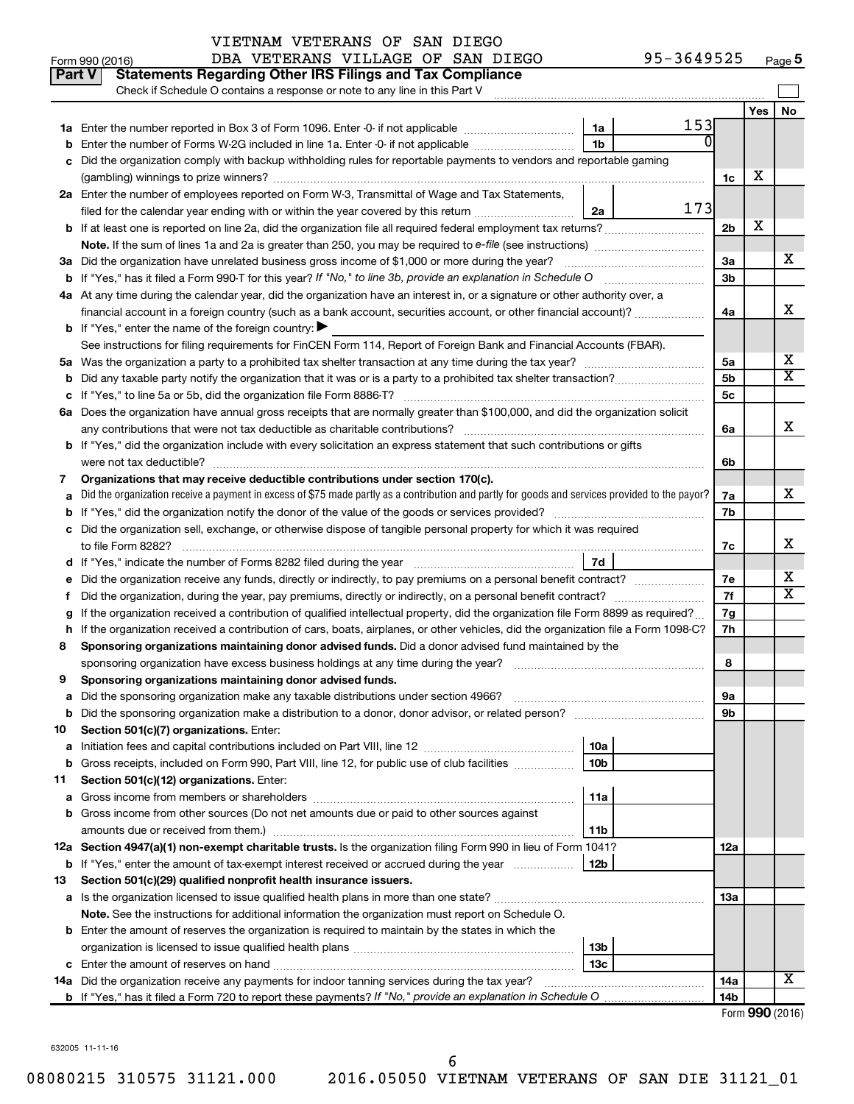|               | VIBINAM VBIBRANS OF SAN DIBGO<br>DBA VETERANS VILLAGE OF SAN DIEGO                                                                                                                                               | 95-3649525     |     |                         |  |  |  |  |  |  |
|---------------|------------------------------------------------------------------------------------------------------------------------------------------------------------------------------------------------------------------|----------------|-----|-------------------------|--|--|--|--|--|--|
| <b>Part V</b> | Form 990 (2016)<br><b>Statements Regarding Other IRS Filings and Tax Compliance</b>                                                                                                                              |                |     | Page 5                  |  |  |  |  |  |  |
|               | Check if Schedule O contains a response or note to any line in this Part V                                                                                                                                       |                |     |                         |  |  |  |  |  |  |
|               |                                                                                                                                                                                                                  |                | Yes | No                      |  |  |  |  |  |  |
|               | 1a Enter the number reported in Box 3 of Form 1096. Enter -0- if not applicable<br>1a                                                                                                                            | 153            |     |                         |  |  |  |  |  |  |
|               | Enter the number of Forms W-2G included in line 1a. Enter -0- if not applicable<br>1b                                                                                                                            |                |     |                         |  |  |  |  |  |  |
|               | Did the organization comply with backup withholding rules for reportable payments to vendors and reportable gaming                                                                                               |                |     |                         |  |  |  |  |  |  |
| с             |                                                                                                                                                                                                                  | 1c             | х   |                         |  |  |  |  |  |  |
|               | 2a Enter the number of employees reported on Form W-3, Transmittal of Wage and Tax Statements,                                                                                                                   |                |     |                         |  |  |  |  |  |  |
|               | filed for the calendar year ending with or within the year covered by this return <i>manumumumum</i><br>2a                                                                                                       | 173            |     |                         |  |  |  |  |  |  |
|               |                                                                                                                                                                                                                  | 2 <sub>b</sub> | х   |                         |  |  |  |  |  |  |
|               |                                                                                                                                                                                                                  |                |     |                         |  |  |  |  |  |  |
|               | Note. If the sum of lines 1a and 2a is greater than 250, you may be required to e-file (see instructions) <i>marroummann</i>                                                                                     |                |     |                         |  |  |  |  |  |  |
|               | 3a Did the organization have unrelated business gross income of \$1,000 or more during the year?<br>If "Yes," has it filed a Form 990-T for this year? If "No," to line 3b, provide an explanation in Schedule O |                |     |                         |  |  |  |  |  |  |
|               | 4a At any time during the calendar year, did the organization have an interest in, or a signature or other authority over, a                                                                                     | 3 <sub>b</sub> |     |                         |  |  |  |  |  |  |
|               | financial account in a foreign country (such as a bank account, securities account, or other financial account)?                                                                                                 | 4a             |     | x                       |  |  |  |  |  |  |
|               | <b>b</b> If "Yes," enter the name of the foreign country: $\blacktriangleright$                                                                                                                                  |                |     |                         |  |  |  |  |  |  |
|               | See instructions for filing requirements for FinCEN Form 114, Report of Foreign Bank and Financial Accounts (FBAR).                                                                                              |                |     |                         |  |  |  |  |  |  |
| 5а            |                                                                                                                                                                                                                  | 5а             |     | x                       |  |  |  |  |  |  |
| b             |                                                                                                                                                                                                                  | 5 <sub>b</sub> |     | $\overline{\mathtt{x}}$ |  |  |  |  |  |  |
| с             | If "Yes," to line 5a or 5b, did the organization file Form 8886-T?                                                                                                                                               | 5c             |     |                         |  |  |  |  |  |  |
|               | 6a Does the organization have annual gross receipts that are normally greater than \$100,000, and did the organization solicit                                                                                   |                |     |                         |  |  |  |  |  |  |
|               | any contributions that were not tax deductible as charitable contributions?                                                                                                                                      | 6a             |     | х                       |  |  |  |  |  |  |
|               | <b>b</b> If "Yes," did the organization include with every solicitation an express statement that such contributions or gifts                                                                                    |                |     |                         |  |  |  |  |  |  |
|               | were not tax deductible?                                                                                                                                                                                         | 6b             |     |                         |  |  |  |  |  |  |
| 7             | Organizations that may receive deductible contributions under section 170(c).                                                                                                                                    |                |     |                         |  |  |  |  |  |  |
| а             | Did the organization receive a payment in excess of \$75 made partly as a contribution and partly for goods and services provided to the payor?                                                                  | 7a             |     | x                       |  |  |  |  |  |  |
|               | If "Yes," did the organization notify the donor of the value of the goods or services provided?                                                                                                                  | 7b             |     |                         |  |  |  |  |  |  |
| с             | Did the organization sell, exchange, or otherwise dispose of tangible personal property for which it was required                                                                                                |                |     |                         |  |  |  |  |  |  |
|               | to file Form 8282?                                                                                                                                                                                               | 7c             |     | x                       |  |  |  |  |  |  |
| d             | 7d                                                                                                                                                                                                               |                |     |                         |  |  |  |  |  |  |
| е             |                                                                                                                                                                                                                  | 7e             |     | х                       |  |  |  |  |  |  |
|               |                                                                                                                                                                                                                  | 7f             |     | $\overline{\texttt{x}}$ |  |  |  |  |  |  |
|               | If the organization received a contribution of qualified intellectual property, did the organization file Form 8899 as required?                                                                                 | 7g             |     |                         |  |  |  |  |  |  |
|               | If the organization received a contribution of cars, boats, airplanes, or other vehicles, did the organization file a Form 1098-C?                                                                               | 7h             |     |                         |  |  |  |  |  |  |
| 8             | Sponsoring organizations maintaining donor advised funds. Did a donor advised fund maintained by the                                                                                                             |                |     |                         |  |  |  |  |  |  |
|               | sponsoring organization have excess business holdings at any time during the year?                                                                                                                               | 8              |     |                         |  |  |  |  |  |  |
| 9             | Sponsoring organizations maintaining donor advised funds.                                                                                                                                                        |                |     |                         |  |  |  |  |  |  |
|               | Did the sponsoring organization make any taxable distributions under section 4966?                                                                                                                               | 9а             |     |                         |  |  |  |  |  |  |
| b             | Did the sponsoring organization make a distribution to a donor, donor advisor, or related person?                                                                                                                | 9b             |     |                         |  |  |  |  |  |  |
| 10            | Section 501(c)(7) organizations. Enter:                                                                                                                                                                          |                |     |                         |  |  |  |  |  |  |
| а             | 10a                                                                                                                                                                                                              |                |     |                         |  |  |  |  |  |  |
| b             | 10 <sub>b</sub><br>Gross receipts, included on Form 990, Part VIII, line 12, for public use of club facilities <i>manumum</i>                                                                                    |                |     |                         |  |  |  |  |  |  |
| 11            | Section 501(c)(12) organizations. Enter:                                                                                                                                                                         |                |     |                         |  |  |  |  |  |  |
| а             | 11a<br>Gross income from members or shareholders                                                                                                                                                                 |                |     |                         |  |  |  |  |  |  |
| b             | Gross income from other sources (Do not net amounts due or paid to other sources against                                                                                                                         |                |     |                         |  |  |  |  |  |  |
|               | 11 <sub>b</sub>                                                                                                                                                                                                  |                |     |                         |  |  |  |  |  |  |
|               | 12a Section 4947(a)(1) non-exempt charitable trusts. Is the organization filing Form 990 in lieu of Form 1041?                                                                                                   | 12a            |     |                         |  |  |  |  |  |  |
| b             | 12 <sub>b</sub><br>If "Yes," enter the amount of tax-exempt interest received or accrued during the year                                                                                                         |                |     |                         |  |  |  |  |  |  |
| 13            | Section 501(c)(29) qualified nonprofit health insurance issuers.                                                                                                                                                 |                |     |                         |  |  |  |  |  |  |
| а             | Is the organization licensed to issue qualified health plans in more than one state?                                                                                                                             | 13a            |     |                         |  |  |  |  |  |  |
|               | Note. See the instructions for additional information the organization must report on Schedule O.                                                                                                                |                |     |                         |  |  |  |  |  |  |
| b             | Enter the amount of reserves the organization is required to maintain by the states in which the                                                                                                                 |                |     |                         |  |  |  |  |  |  |
|               | 13 <sub>b</sub>                                                                                                                                                                                                  |                |     |                         |  |  |  |  |  |  |
| с             | 13 <sub>c</sub>                                                                                                                                                                                                  |                |     |                         |  |  |  |  |  |  |
| 14a           | Did the organization receive any payments for indoor tanning services during the tax year?                                                                                                                       | 14a            |     | $\overline{\textbf{X}}$ |  |  |  |  |  |  |
|               | b If "Yes," has it filed a Form 720 to report these payments? If "No," provide an explanation in Schedule O                                                                                                      | 14b            |     |                         |  |  |  |  |  |  |

| Form 990 (2016) |  |
|-----------------|--|
|-----------------|--|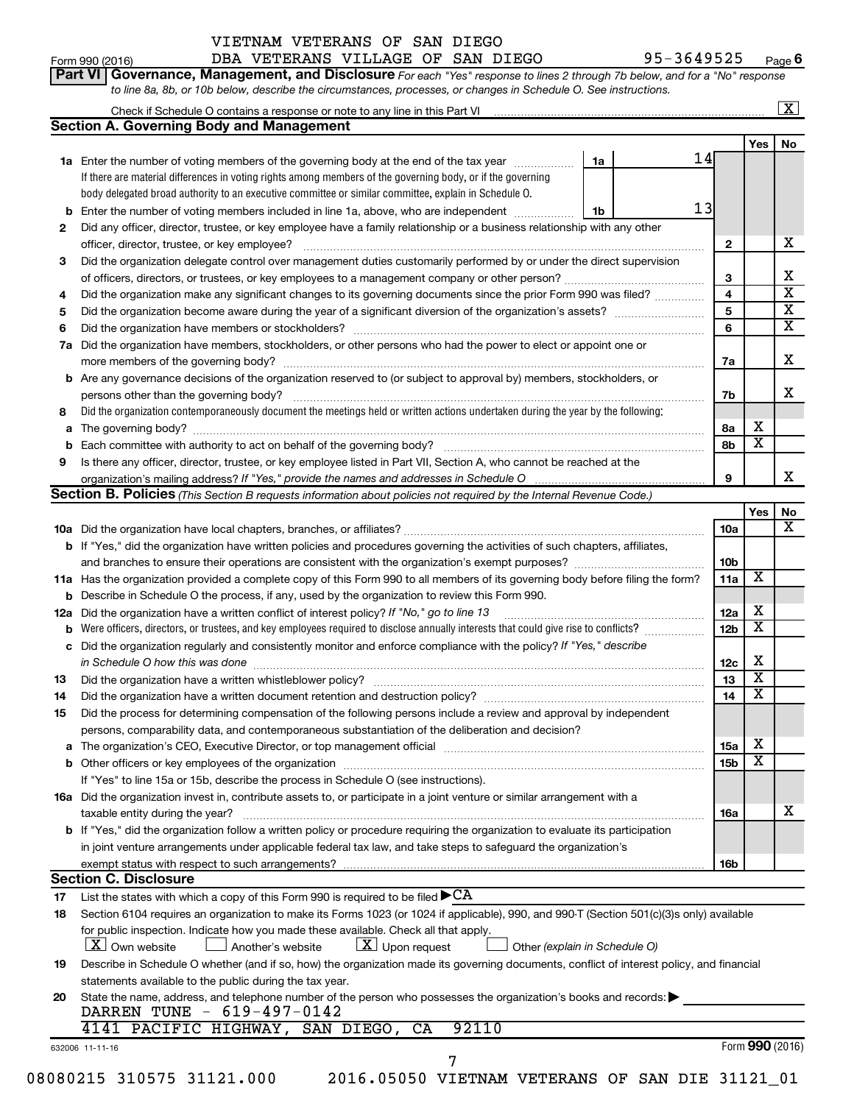|  | VIETNAM VETERANS OF SAN DIEGO |  |  |  |
|--|-------------------------------|--|--|--|
|  |                               |  |  |  |

Form 990 (2016) DBA VETERANS VILLAGE OF SAN DIEGO 95-3649525 <sub>Page</sub> 95-3649525 Page 6

| Part VI   Governance, Management, and Disclosure For each "Yes" response to lines 2 through 7b below, and for a "No" response |
|-------------------------------------------------------------------------------------------------------------------------------|
| to line 8a, 8b, or 10b below, describe the circumstances, processes, or changes in Schedule O. See instructions.              |

|    | Check if Schedule O contains a response or note to any line in this Part VI<br><b>Section A. Governing Body and Management</b>                                                |    |  |    |                 |                         | $\mathbf{X}$ |  |
|----|-------------------------------------------------------------------------------------------------------------------------------------------------------------------------------|----|--|----|-----------------|-------------------------|--------------|--|
|    |                                                                                                                                                                               |    |  |    |                 | Yes                     | No           |  |
|    | <b>1a</b> Enter the number of voting members of the governing body at the end of the tax year                                                                                 | 1a |  | 14 |                 |                         |              |  |
|    | If there are material differences in voting rights among members of the governing body, or if the governing                                                                   |    |  |    |                 |                         |              |  |
|    | body delegated broad authority to an executive committee or similar committee, explain in Schedule O.                                                                         |    |  |    |                 |                         |              |  |
|    |                                                                                                                                                                               |    |  | 13 |                 |                         |              |  |
| b  | Enter the number of voting members included in line 1a, above, who are independent <i>manumum</i>                                                                             | 1b |  |    |                 |                         |              |  |
| 2  | Did any officer, director, trustee, or key employee have a family relationship or a business relationship with any other                                                      |    |  |    |                 |                         |              |  |
|    | officer, director, trustee, or key employee?                                                                                                                                  |    |  |    | 2               |                         |              |  |
| 3  | Did the organization delegate control over management duties customarily performed by or under the direct supervision                                                         |    |  |    |                 |                         |              |  |
|    |                                                                                                                                                                               |    |  |    | 3               |                         |              |  |
| 4  | Did the organization make any significant changes to its governing documents since the prior Form 990 was filed?                                                              |    |  |    | 4               |                         |              |  |
| 5  |                                                                                                                                                                               |    |  |    | 5               |                         |              |  |
| 6  |                                                                                                                                                                               |    |  |    | 6               |                         |              |  |
| 7a | Did the organization have members, stockholders, or other persons who had the power to elect or appoint one or                                                                |    |  |    |                 |                         |              |  |
|    |                                                                                                                                                                               |    |  |    | 7a              |                         |              |  |
|    | <b>b</b> Are any governance decisions of the organization reserved to (or subject to approval by) members, stockholders, or                                                   |    |  |    |                 |                         |              |  |
|    |                                                                                                                                                                               |    |  |    | 7b              |                         |              |  |
| 8  | Did the organization contemporaneously document the meetings held or written actions undertaken during the year by the following:                                             |    |  |    |                 |                         |              |  |
|    |                                                                                                                                                                               |    |  |    | 8а              | х                       |              |  |
| b  |                                                                                                                                                                               |    |  |    | 8b              | х                       |              |  |
| 9  | Is there any officer, director, trustee, or key employee listed in Part VII, Section A, who cannot be reached at the                                                          |    |  |    |                 |                         |              |  |
|    |                                                                                                                                                                               |    |  |    | 9               |                         |              |  |
|    | Section B. Policies (This Section B requests information about policies not required by the Internal Revenue Code.)                                                           |    |  |    |                 |                         |              |  |
|    |                                                                                                                                                                               |    |  |    |                 | Yes                     |              |  |
|    |                                                                                                                                                                               |    |  |    | 10a             |                         |              |  |
|    | b If "Yes," did the organization have written policies and procedures governing the activities of such chapters, affiliates,                                                  |    |  |    |                 |                         |              |  |
|    |                                                                                                                                                                               |    |  |    |                 |                         |              |  |
|    |                                                                                                                                                                               |    |  |    | 10 <sub>b</sub> | X                       |              |  |
|    | 11a Has the organization provided a complete copy of this Form 990 to all members of its governing body before filing the form?                                               |    |  |    | 11a             |                         |              |  |
|    | <b>b</b> Describe in Schedule O the process, if any, used by the organization to review this Form 990.                                                                        |    |  |    |                 |                         |              |  |
|    | 12a Did the organization have a written conflict of interest policy? If "No," go to line 13                                                                                   |    |  |    | 12a             | х                       |              |  |
|    | <b>b</b> Were officers, directors, or trustees, and key employees required to disclose annually interests that could give rise to conflicts?                                  |    |  |    | 12 <sub>b</sub> | X                       |              |  |
|    | c Did the organization regularly and consistently monitor and enforce compliance with the policy? If "Yes," describe                                                          |    |  |    |                 |                         |              |  |
|    | in Schedule O how this was done manufactured and continuum control of the state of the state of the state of t                                                                |    |  |    | 12c             | х                       |              |  |
| 13 |                                                                                                                                                                               |    |  |    | 13              | $\overline{\textbf{x}}$ |              |  |
| 14 | Did the organization have a written document retention and destruction policy? [11] manufaction in the organization have a written document retention and destruction policy? |    |  |    | 14              | $\overline{\textbf{x}}$ |              |  |
| 15 | Did the process for determining compensation of the following persons include a review and approval by independent                                                            |    |  |    |                 |                         |              |  |
|    | persons, comparability data, and contemporaneous substantiation of the deliberation and decision?                                                                             |    |  |    |                 |                         |              |  |
|    |                                                                                                                                                                               |    |  |    | <b>15a</b>      | х                       |              |  |
|    |                                                                                                                                                                               |    |  |    | 15b             | $\overline{\text{X}}$   |              |  |
|    | If "Yes" to line 15a or 15b, describe the process in Schedule O (see instructions).                                                                                           |    |  |    |                 |                         |              |  |
|    | 16a Did the organization invest in, contribute assets to, or participate in a joint venture or similar arrangement with a                                                     |    |  |    |                 |                         |              |  |
|    | taxable entity during the year?                                                                                                                                               |    |  |    | 16a             |                         |              |  |
|    | b If "Yes," did the organization follow a written policy or procedure requiring the organization to evaluate its participation                                                |    |  |    |                 |                         |              |  |
|    | in joint venture arrangements under applicable federal tax law, and take steps to safeguard the organization's                                                                |    |  |    |                 |                         |              |  |
|    | exempt status with respect to such arrangements?                                                                                                                              |    |  |    | 16b             |                         |              |  |
|    | <b>Section C. Disclosure</b>                                                                                                                                                  |    |  |    |                 |                         |              |  |
| 17 | List the states with which a copy of this Form 990 is required to be filed $\blacktriangleright$ CA                                                                           |    |  |    |                 |                         |              |  |
| 18 | Section 6104 requires an organization to make its Forms 1023 (or 1024 if applicable), 990, and 990-T (Section 501(c)(3)s only) available                                      |    |  |    |                 |                         |              |  |
|    | for public inspection. Indicate how you made these available. Check all that apply.                                                                                           |    |  |    |                 |                         |              |  |
|    | X Own website<br>$\lfloor x \rfloor$ Upon request<br>Another's website<br>Other (explain in Schedule O)                                                                       |    |  |    |                 |                         |              |  |
| 19 | Describe in Schedule O whether (and if so, how) the organization made its governing documents, conflict of interest policy, and financial                                     |    |  |    |                 |                         |              |  |
|    | statements available to the public during the tax year.                                                                                                                       |    |  |    |                 |                         |              |  |
| 20 | State the name, address, and telephone number of the person who possesses the organization's books and records:<br>DARREN TUNE - 619-497-0142                                 |    |  |    |                 |                         |              |  |
|    | 4141 PACIFIC HIGHWAY, SAN DIEGO,<br>CA<br>92110                                                                                                                               |    |  |    |                 |                         |              |  |
|    | 632006 11-11-16                                                                                                                                                               |    |  |    |                 | Form 990 (2016)         |              |  |
|    |                                                                                                                                                                               |    |  |    |                 |                         |              |  |
|    | 08080215 310575 31121.000<br>2016.05050 VIETNAM VETERANS OF SAN DIE 31121_01                                                                                                  |    |  |    |                 |                         |              |  |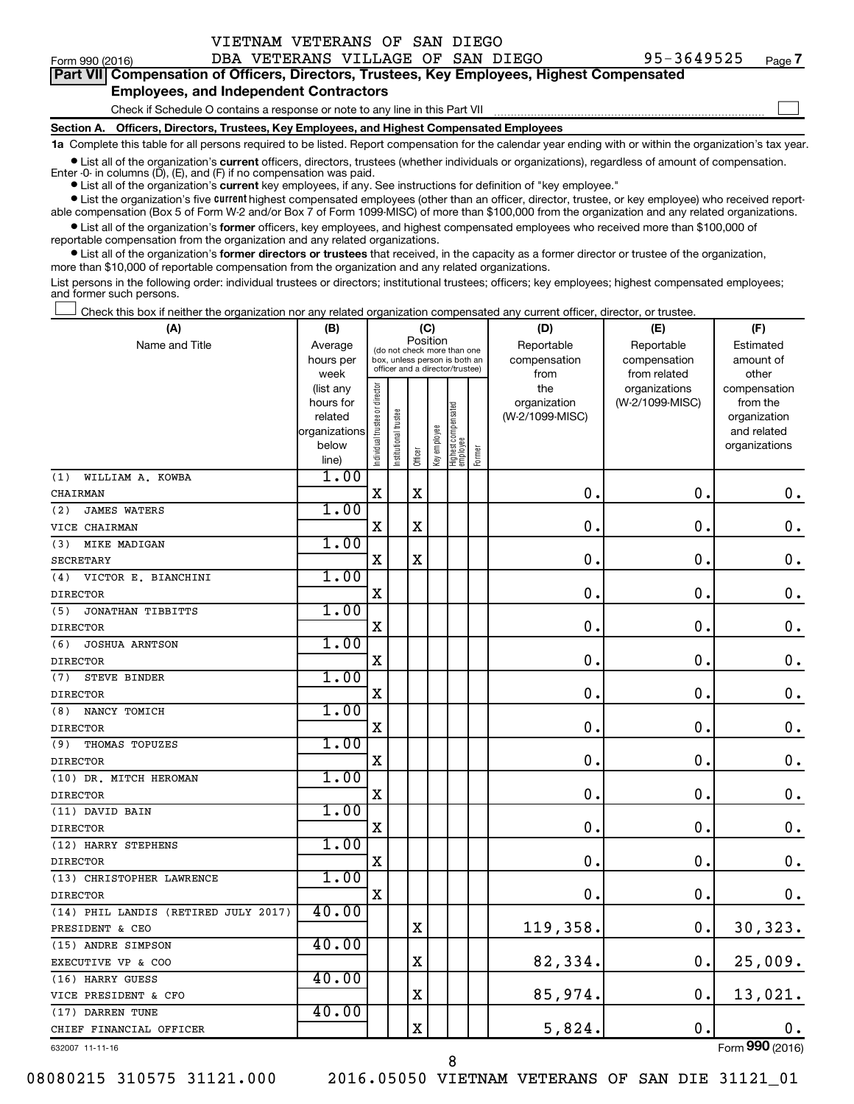| <b>Section A.</b>                                                                                                                                  | Officers, Directors, Trustees, Key Employees, and Highest Compensated Employees |                                   |  |  |  |  |            |        |
|----------------------------------------------------------------------------------------------------------------------------------------------------|---------------------------------------------------------------------------------|-----------------------------------|--|--|--|--|------------|--------|
|                                                                                                                                                    | Check if Schedule O contains a response or note to any line in this Part VII    |                                   |  |  |  |  |            |        |
| <b>Part VII Compensation of Officers, Directors, Trustees, Key Employees, Highest Compensated</b><br><b>Employees, and Independent Contractors</b> |                                                                                 |                                   |  |  |  |  |            |        |
|                                                                                                                                                    |                                                                                 |                                   |  |  |  |  |            |        |
| Form 990 (2016)                                                                                                                                    |                                                                                 | DBA VETERANS VILLAGE OF SAN DIEGO |  |  |  |  | 95-3649525 | Page 7 |

**1a**  Complete this table for all persons required to be listed. Report compensation for the calendar year ending with or within the organization's tax year.

**•** List all of the organization's current officers, directors, trustees (whether individuals or organizations), regardless of amount of compensation. Enter  $-0$ - in columns  $(D)$ ,  $(E)$ , and  $(F)$  if no compensation was paid.

**•** List all of the organization's **current** key employees, if any. See instructions for definition of "key employee."

VIETNAM VETERANS OF SAN DIEGO

**•** List the organization's five current highest compensated employees (other than an officer, director, trustee, or key employee) who received reportable compensation (Box 5 of Form W-2 and/or Box 7 of Form 1099-MISC) of more than \$100,000 from the organization and any related organizations.

**•** List all of the organization's former officers, key employees, and highest compensated employees who received more than \$100,000 of reportable compensation from the organization and any related organizations.

**•** List all of the organization's former directors or trustees that received, in the capacity as a former director or trustee of the organization, more than \$10,000 of reportable compensation from the organization and any related organizations.

List persons in the following order: individual trustees or directors; institutional trustees; officers; key employees; highest compensated employees; and former such persons.

Check this box if neither the organization nor any related organization compensated any current officer, director, or trustee.  $\Box$ 

| Position<br>Name and Title<br>Reportable<br>Average<br>Reportable<br>Estimated<br>(do not check more than one<br>hours per<br>box, unless person is both an<br>compensation<br>compensation<br>amount of<br>officer and a director/trustee)<br>from related<br>other<br>week<br>from<br>Individual trustee or director<br>the<br>(list any<br>organizations<br>compensation<br>hours for<br>organization<br>(W-2/1099-MISC)<br>from the<br>Highest compensated<br>employee<br>trustee<br>(W-2/1099-MISC)<br>related<br>organization<br>Key employee<br>organizations<br>and related<br>Institutional t<br>below<br>organizations<br>Former<br>Officer<br>line)<br>1.00<br>WILLIAM A. KOWBA<br>(1)<br>$\mathbf X$<br>$\mathbf X$<br>$\mathbf 0$ .<br>$\mathbf 0$ .<br>$\mathbf 0$ .<br><b>CHAIRMAN</b><br>1.00<br>(2)<br><b>JAMES WATERS</b><br>$\mathbf X$<br>0.<br>$\mathbf 0$ .<br>$\mathbf X$<br>$\mathbf 0$<br>VICE CHAIRMAN<br>1.00<br>MIKE MADIGAN<br>(3)<br>$\mathbf X$<br>0.<br>$\mathbf 0$ .<br>$\mathbf X$<br>$\mathbf 0$<br><b>SECRETARY</b><br>1.00<br>VICTOR E. BIANCHINI<br>(4)<br>$\mathbf X$<br>$\mathbf 0$ .<br>$\mathbf 0$ .<br>$\mathbf 0$ .<br>1.00<br>JONATHAN TIBBITTS<br>(5)<br>$\mathbf X$<br>$\mathbf 0$ .<br>$\mathbf 0$ .<br>$\mathbf 0$<br><b>DIRECTOR</b><br>1.00<br>(6)<br><b>JOSHUA ARNTSON</b><br>0<br>$\mathbf X$<br>0<br>$\mathbf 0$ .<br><b>DIRECTOR</b><br>1.00<br>(7)<br>STEVE BINDER<br>$\mathbf X$<br>$\mathbf 0$ .<br>$\mathbf 0$ .<br>$\mathbf 0$ .<br><b>DIRECTOR</b><br>1.00<br>NANCY TOMICH<br>(8)<br>$\mathbf X$<br>0.<br>$\mathbf 0$ .<br>$\mathbf 0$ .<br>1.00<br>THOMAS TOPUZES<br>(9)<br>$\mathbf 0$ .<br>$\mathbf 0$ .<br>X<br>$\mathbf 0$ .<br>1.00<br>(10) DR. MITCH HEROMAN<br>$\mathbf X$<br>$\mathbf 0$<br>$\mathbf 0$<br>$\mathbf 0$ .<br><b>DIRECTOR</b><br>1.00<br>(11) DAVID BAIN<br>X<br>$\mathbf 0$<br>$\mathbf 0$ .<br>$\mathbf 0$ .<br>1.00<br>(12) HARRY STEPHENS<br>$\mathbf 0$<br>$\mathbf 0$ .<br>$\mathbf 0$ .<br>$\mathbf X$<br>1.00<br>(13) CHRISTOPHER LAWRENCE<br>$\mathbf 0$ .<br>X<br>$\mathbf 0$ .<br>0.<br>40.00<br>(14) PHIL LANDIS (RETIRED JULY 2017)<br>$\mathbf X$<br>119,358.<br>0.<br>30, 323.<br>PRESIDENT & CEO<br>40.00<br>(15) ANDRE SIMPSON<br>X<br>82,334.<br>0.<br>25,009.<br>EXECUTIVE VP & COO<br>40.00<br>(16) HARRY GUESS<br>85,974.<br>0.<br>13,021.<br>$\mathbf X$<br>VICE PRESIDENT & CFO<br>40.00<br>(17) DARREN TUNE<br>X<br>5,824.<br>0.<br>$\mathbf 0$ .<br>CHIEF FINANCIAL OFFICER | (A)             | (B) |  | (C) |  |  |  | (D) | (E) | (F) |
|------------------------------------------------------------------------------------------------------------------------------------------------------------------------------------------------------------------------------------------------------------------------------------------------------------------------------------------------------------------------------------------------------------------------------------------------------------------------------------------------------------------------------------------------------------------------------------------------------------------------------------------------------------------------------------------------------------------------------------------------------------------------------------------------------------------------------------------------------------------------------------------------------------------------------------------------------------------------------------------------------------------------------------------------------------------------------------------------------------------------------------------------------------------------------------------------------------------------------------------------------------------------------------------------------------------------------------------------------------------------------------------------------------------------------------------------------------------------------------------------------------------------------------------------------------------------------------------------------------------------------------------------------------------------------------------------------------------------------------------------------------------------------------------------------------------------------------------------------------------------------------------------------------------------------------------------------------------------------------------------------------------------------------------------------------------------------------------------------------------------------------------------------------------------------------------------------------------------------------------------------------------------------------------------------------------------------------------------------------------------------------------------------------------------------------------------------------------------------------------|-----------------|-----|--|-----|--|--|--|-----|-----|-----|
|                                                                                                                                                                                                                                                                                                                                                                                                                                                                                                                                                                                                                                                                                                                                                                                                                                                                                                                                                                                                                                                                                                                                                                                                                                                                                                                                                                                                                                                                                                                                                                                                                                                                                                                                                                                                                                                                                                                                                                                                                                                                                                                                                                                                                                                                                                                                                                                                                                                                                          |                 |     |  |     |  |  |  |     |     |     |
|                                                                                                                                                                                                                                                                                                                                                                                                                                                                                                                                                                                                                                                                                                                                                                                                                                                                                                                                                                                                                                                                                                                                                                                                                                                                                                                                                                                                                                                                                                                                                                                                                                                                                                                                                                                                                                                                                                                                                                                                                                                                                                                                                                                                                                                                                                                                                                                                                                                                                          |                 |     |  |     |  |  |  |     |     |     |
|                                                                                                                                                                                                                                                                                                                                                                                                                                                                                                                                                                                                                                                                                                                                                                                                                                                                                                                                                                                                                                                                                                                                                                                                                                                                                                                                                                                                                                                                                                                                                                                                                                                                                                                                                                                                                                                                                                                                                                                                                                                                                                                                                                                                                                                                                                                                                                                                                                                                                          |                 |     |  |     |  |  |  |     |     |     |
|                                                                                                                                                                                                                                                                                                                                                                                                                                                                                                                                                                                                                                                                                                                                                                                                                                                                                                                                                                                                                                                                                                                                                                                                                                                                                                                                                                                                                                                                                                                                                                                                                                                                                                                                                                                                                                                                                                                                                                                                                                                                                                                                                                                                                                                                                                                                                                                                                                                                                          |                 |     |  |     |  |  |  |     |     |     |
|                                                                                                                                                                                                                                                                                                                                                                                                                                                                                                                                                                                                                                                                                                                                                                                                                                                                                                                                                                                                                                                                                                                                                                                                                                                                                                                                                                                                                                                                                                                                                                                                                                                                                                                                                                                                                                                                                                                                                                                                                                                                                                                                                                                                                                                                                                                                                                                                                                                                                          |                 |     |  |     |  |  |  |     |     |     |
|                                                                                                                                                                                                                                                                                                                                                                                                                                                                                                                                                                                                                                                                                                                                                                                                                                                                                                                                                                                                                                                                                                                                                                                                                                                                                                                                                                                                                                                                                                                                                                                                                                                                                                                                                                                                                                                                                                                                                                                                                                                                                                                                                                                                                                                                                                                                                                                                                                                                                          |                 |     |  |     |  |  |  |     |     |     |
|                                                                                                                                                                                                                                                                                                                                                                                                                                                                                                                                                                                                                                                                                                                                                                                                                                                                                                                                                                                                                                                                                                                                                                                                                                                                                                                                                                                                                                                                                                                                                                                                                                                                                                                                                                                                                                                                                                                                                                                                                                                                                                                                                                                                                                                                                                                                                                                                                                                                                          |                 |     |  |     |  |  |  |     |     |     |
|                                                                                                                                                                                                                                                                                                                                                                                                                                                                                                                                                                                                                                                                                                                                                                                                                                                                                                                                                                                                                                                                                                                                                                                                                                                                                                                                                                                                                                                                                                                                                                                                                                                                                                                                                                                                                                                                                                                                                                                                                                                                                                                                                                                                                                                                                                                                                                                                                                                                                          |                 |     |  |     |  |  |  |     |     |     |
|                                                                                                                                                                                                                                                                                                                                                                                                                                                                                                                                                                                                                                                                                                                                                                                                                                                                                                                                                                                                                                                                                                                                                                                                                                                                                                                                                                                                                                                                                                                                                                                                                                                                                                                                                                                                                                                                                                                                                                                                                                                                                                                                                                                                                                                                                                                                                                                                                                                                                          |                 |     |  |     |  |  |  |     |     |     |
|                                                                                                                                                                                                                                                                                                                                                                                                                                                                                                                                                                                                                                                                                                                                                                                                                                                                                                                                                                                                                                                                                                                                                                                                                                                                                                                                                                                                                                                                                                                                                                                                                                                                                                                                                                                                                                                                                                                                                                                                                                                                                                                                                                                                                                                                                                                                                                                                                                                                                          |                 |     |  |     |  |  |  |     |     |     |
|                                                                                                                                                                                                                                                                                                                                                                                                                                                                                                                                                                                                                                                                                                                                                                                                                                                                                                                                                                                                                                                                                                                                                                                                                                                                                                                                                                                                                                                                                                                                                                                                                                                                                                                                                                                                                                                                                                                                                                                                                                                                                                                                                                                                                                                                                                                                                                                                                                                                                          |                 |     |  |     |  |  |  |     |     |     |
|                                                                                                                                                                                                                                                                                                                                                                                                                                                                                                                                                                                                                                                                                                                                                                                                                                                                                                                                                                                                                                                                                                                                                                                                                                                                                                                                                                                                                                                                                                                                                                                                                                                                                                                                                                                                                                                                                                                                                                                                                                                                                                                                                                                                                                                                                                                                                                                                                                                                                          |                 |     |  |     |  |  |  |     |     |     |
|                                                                                                                                                                                                                                                                                                                                                                                                                                                                                                                                                                                                                                                                                                                                                                                                                                                                                                                                                                                                                                                                                                                                                                                                                                                                                                                                                                                                                                                                                                                                                                                                                                                                                                                                                                                                                                                                                                                                                                                                                                                                                                                                                                                                                                                                                                                                                                                                                                                                                          |                 |     |  |     |  |  |  |     |     |     |
|                                                                                                                                                                                                                                                                                                                                                                                                                                                                                                                                                                                                                                                                                                                                                                                                                                                                                                                                                                                                                                                                                                                                                                                                                                                                                                                                                                                                                                                                                                                                                                                                                                                                                                                                                                                                                                                                                                                                                                                                                                                                                                                                                                                                                                                                                                                                                                                                                                                                                          |                 |     |  |     |  |  |  |     |     |     |
|                                                                                                                                                                                                                                                                                                                                                                                                                                                                                                                                                                                                                                                                                                                                                                                                                                                                                                                                                                                                                                                                                                                                                                                                                                                                                                                                                                                                                                                                                                                                                                                                                                                                                                                                                                                                                                                                                                                                                                                                                                                                                                                                                                                                                                                                                                                                                                                                                                                                                          |                 |     |  |     |  |  |  |     |     |     |
|                                                                                                                                                                                                                                                                                                                                                                                                                                                                                                                                                                                                                                                                                                                                                                                                                                                                                                                                                                                                                                                                                                                                                                                                                                                                                                                                                                                                                                                                                                                                                                                                                                                                                                                                                                                                                                                                                                                                                                                                                                                                                                                                                                                                                                                                                                                                                                                                                                                                                          | <b>DIRECTOR</b> |     |  |     |  |  |  |     |     |     |
|                                                                                                                                                                                                                                                                                                                                                                                                                                                                                                                                                                                                                                                                                                                                                                                                                                                                                                                                                                                                                                                                                                                                                                                                                                                                                                                                                                                                                                                                                                                                                                                                                                                                                                                                                                                                                                                                                                                                                                                                                                                                                                                                                                                                                                                                                                                                                                                                                                                                                          |                 |     |  |     |  |  |  |     |     |     |
|                                                                                                                                                                                                                                                                                                                                                                                                                                                                                                                                                                                                                                                                                                                                                                                                                                                                                                                                                                                                                                                                                                                                                                                                                                                                                                                                                                                                                                                                                                                                                                                                                                                                                                                                                                                                                                                                                                                                                                                                                                                                                                                                                                                                                                                                                                                                                                                                                                                                                          |                 |     |  |     |  |  |  |     |     |     |
|                                                                                                                                                                                                                                                                                                                                                                                                                                                                                                                                                                                                                                                                                                                                                                                                                                                                                                                                                                                                                                                                                                                                                                                                                                                                                                                                                                                                                                                                                                                                                                                                                                                                                                                                                                                                                                                                                                                                                                                                                                                                                                                                                                                                                                                                                                                                                                                                                                                                                          |                 |     |  |     |  |  |  |     |     |     |
|                                                                                                                                                                                                                                                                                                                                                                                                                                                                                                                                                                                                                                                                                                                                                                                                                                                                                                                                                                                                                                                                                                                                                                                                                                                                                                                                                                                                                                                                                                                                                                                                                                                                                                                                                                                                                                                                                                                                                                                                                                                                                                                                                                                                                                                                                                                                                                                                                                                                                          |                 |     |  |     |  |  |  |     |     |     |
|                                                                                                                                                                                                                                                                                                                                                                                                                                                                                                                                                                                                                                                                                                                                                                                                                                                                                                                                                                                                                                                                                                                                                                                                                                                                                                                                                                                                                                                                                                                                                                                                                                                                                                                                                                                                                                                                                                                                                                                                                                                                                                                                                                                                                                                                                                                                                                                                                                                                                          |                 |     |  |     |  |  |  |     |     |     |
|                                                                                                                                                                                                                                                                                                                                                                                                                                                                                                                                                                                                                                                                                                                                                                                                                                                                                                                                                                                                                                                                                                                                                                                                                                                                                                                                                                                                                                                                                                                                                                                                                                                                                                                                                                                                                                                                                                                                                                                                                                                                                                                                                                                                                                                                                                                                                                                                                                                                                          |                 |     |  |     |  |  |  |     |     |     |
|                                                                                                                                                                                                                                                                                                                                                                                                                                                                                                                                                                                                                                                                                                                                                                                                                                                                                                                                                                                                                                                                                                                                                                                                                                                                                                                                                                                                                                                                                                                                                                                                                                                                                                                                                                                                                                                                                                                                                                                                                                                                                                                                                                                                                                                                                                                                                                                                                                                                                          |                 |     |  |     |  |  |  |     |     |     |
|                                                                                                                                                                                                                                                                                                                                                                                                                                                                                                                                                                                                                                                                                                                                                                                                                                                                                                                                                                                                                                                                                                                                                                                                                                                                                                                                                                                                                                                                                                                                                                                                                                                                                                                                                                                                                                                                                                                                                                                                                                                                                                                                                                                                                                                                                                                                                                                                                                                                                          | <b>DIRECTOR</b> |     |  |     |  |  |  |     |     |     |
|                                                                                                                                                                                                                                                                                                                                                                                                                                                                                                                                                                                                                                                                                                                                                                                                                                                                                                                                                                                                                                                                                                                                                                                                                                                                                                                                                                                                                                                                                                                                                                                                                                                                                                                                                                                                                                                                                                                                                                                                                                                                                                                                                                                                                                                                                                                                                                                                                                                                                          |                 |     |  |     |  |  |  |     |     |     |
|                                                                                                                                                                                                                                                                                                                                                                                                                                                                                                                                                                                                                                                                                                                                                                                                                                                                                                                                                                                                                                                                                                                                                                                                                                                                                                                                                                                                                                                                                                                                                                                                                                                                                                                                                                                                                                                                                                                                                                                                                                                                                                                                                                                                                                                                                                                                                                                                                                                                                          | <b>DIRECTOR</b> |     |  |     |  |  |  |     |     |     |
|                                                                                                                                                                                                                                                                                                                                                                                                                                                                                                                                                                                                                                                                                                                                                                                                                                                                                                                                                                                                                                                                                                                                                                                                                                                                                                                                                                                                                                                                                                                                                                                                                                                                                                                                                                                                                                                                                                                                                                                                                                                                                                                                                                                                                                                                                                                                                                                                                                                                                          |                 |     |  |     |  |  |  |     |     |     |
|                                                                                                                                                                                                                                                                                                                                                                                                                                                                                                                                                                                                                                                                                                                                                                                                                                                                                                                                                                                                                                                                                                                                                                                                                                                                                                                                                                                                                                                                                                                                                                                                                                                                                                                                                                                                                                                                                                                                                                                                                                                                                                                                                                                                                                                                                                                                                                                                                                                                                          |                 |     |  |     |  |  |  |     |     |     |
|                                                                                                                                                                                                                                                                                                                                                                                                                                                                                                                                                                                                                                                                                                                                                                                                                                                                                                                                                                                                                                                                                                                                                                                                                                                                                                                                                                                                                                                                                                                                                                                                                                                                                                                                                                                                                                                                                                                                                                                                                                                                                                                                                                                                                                                                                                                                                                                                                                                                                          |                 |     |  |     |  |  |  |     |     |     |
|                                                                                                                                                                                                                                                                                                                                                                                                                                                                                                                                                                                                                                                                                                                                                                                                                                                                                                                                                                                                                                                                                                                                                                                                                                                                                                                                                                                                                                                                                                                                                                                                                                                                                                                                                                                                                                                                                                                                                                                                                                                                                                                                                                                                                                                                                                                                                                                                                                                                                          | <b>DIRECTOR</b> |     |  |     |  |  |  |     |     |     |
|                                                                                                                                                                                                                                                                                                                                                                                                                                                                                                                                                                                                                                                                                                                                                                                                                                                                                                                                                                                                                                                                                                                                                                                                                                                                                                                                                                                                                                                                                                                                                                                                                                                                                                                                                                                                                                                                                                                                                                                                                                                                                                                                                                                                                                                                                                                                                                                                                                                                                          |                 |     |  |     |  |  |  |     |     |     |
|                                                                                                                                                                                                                                                                                                                                                                                                                                                                                                                                                                                                                                                                                                                                                                                                                                                                                                                                                                                                                                                                                                                                                                                                                                                                                                                                                                                                                                                                                                                                                                                                                                                                                                                                                                                                                                                                                                                                                                                                                                                                                                                                                                                                                                                                                                                                                                                                                                                                                          | <b>DIRECTOR</b> |     |  |     |  |  |  |     |     |     |
|                                                                                                                                                                                                                                                                                                                                                                                                                                                                                                                                                                                                                                                                                                                                                                                                                                                                                                                                                                                                                                                                                                                                                                                                                                                                                                                                                                                                                                                                                                                                                                                                                                                                                                                                                                                                                                                                                                                                                                                                                                                                                                                                                                                                                                                                                                                                                                                                                                                                                          |                 |     |  |     |  |  |  |     |     |     |
|                                                                                                                                                                                                                                                                                                                                                                                                                                                                                                                                                                                                                                                                                                                                                                                                                                                                                                                                                                                                                                                                                                                                                                                                                                                                                                                                                                                                                                                                                                                                                                                                                                                                                                                                                                                                                                                                                                                                                                                                                                                                                                                                                                                                                                                                                                                                                                                                                                                                                          | <b>DIRECTOR</b> |     |  |     |  |  |  |     |     |     |
|                                                                                                                                                                                                                                                                                                                                                                                                                                                                                                                                                                                                                                                                                                                                                                                                                                                                                                                                                                                                                                                                                                                                                                                                                                                                                                                                                                                                                                                                                                                                                                                                                                                                                                                                                                                                                                                                                                                                                                                                                                                                                                                                                                                                                                                                                                                                                                                                                                                                                          |                 |     |  |     |  |  |  |     |     |     |
|                                                                                                                                                                                                                                                                                                                                                                                                                                                                                                                                                                                                                                                                                                                                                                                                                                                                                                                                                                                                                                                                                                                                                                                                                                                                                                                                                                                                                                                                                                                                                                                                                                                                                                                                                                                                                                                                                                                                                                                                                                                                                                                                                                                                                                                                                                                                                                                                                                                                                          |                 |     |  |     |  |  |  |     |     |     |
|                                                                                                                                                                                                                                                                                                                                                                                                                                                                                                                                                                                                                                                                                                                                                                                                                                                                                                                                                                                                                                                                                                                                                                                                                                                                                                                                                                                                                                                                                                                                                                                                                                                                                                                                                                                                                                                                                                                                                                                                                                                                                                                                                                                                                                                                                                                                                                                                                                                                                          |                 |     |  |     |  |  |  |     |     |     |
|                                                                                                                                                                                                                                                                                                                                                                                                                                                                                                                                                                                                                                                                                                                                                                                                                                                                                                                                                                                                                                                                                                                                                                                                                                                                                                                                                                                                                                                                                                                                                                                                                                                                                                                                                                                                                                                                                                                                                                                                                                                                                                                                                                                                                                                                                                                                                                                                                                                                                          |                 |     |  |     |  |  |  |     |     |     |
|                                                                                                                                                                                                                                                                                                                                                                                                                                                                                                                                                                                                                                                                                                                                                                                                                                                                                                                                                                                                                                                                                                                                                                                                                                                                                                                                                                                                                                                                                                                                                                                                                                                                                                                                                                                                                                                                                                                                                                                                                                                                                                                                                                                                                                                                                                                                                                                                                                                                                          |                 |     |  |     |  |  |  |     |     |     |
|                                                                                                                                                                                                                                                                                                                                                                                                                                                                                                                                                                                                                                                                                                                                                                                                                                                                                                                                                                                                                                                                                                                                                                                                                                                                                                                                                                                                                                                                                                                                                                                                                                                                                                                                                                                                                                                                                                                                                                                                                                                                                                                                                                                                                                                                                                                                                                                                                                                                                          |                 |     |  |     |  |  |  |     |     |     |
|                                                                                                                                                                                                                                                                                                                                                                                                                                                                                                                                                                                                                                                                                                                                                                                                                                                                                                                                                                                                                                                                                                                                                                                                                                                                                                                                                                                                                                                                                                                                                                                                                                                                                                                                                                                                                                                                                                                                                                                                                                                                                                                                                                                                                                                                                                                                                                                                                                                                                          |                 |     |  |     |  |  |  |     |     |     |
|                                                                                                                                                                                                                                                                                                                                                                                                                                                                                                                                                                                                                                                                                                                                                                                                                                                                                                                                                                                                                                                                                                                                                                                                                                                                                                                                                                                                                                                                                                                                                                                                                                                                                                                                                                                                                                                                                                                                                                                                                                                                                                                                                                                                                                                                                                                                                                                                                                                                                          |                 |     |  |     |  |  |  |     |     |     |

632007 11-11-16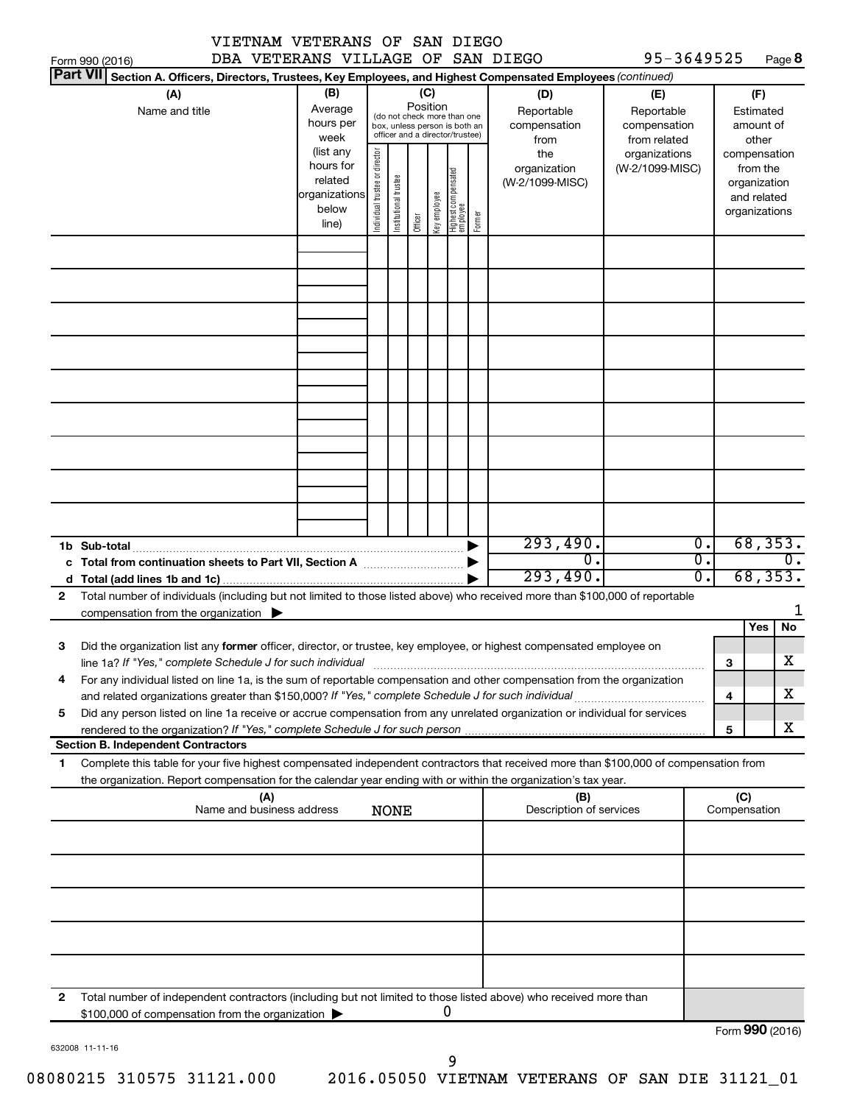| VIETNAM VETERANS OF SAN DIEGO                                                                                                                                                                                                                                                                                                                              |                                                                      |                                |                       |                 |              |                                                                                                 |    |                                                                                      |                                                   |    |                                                                          |                       |  |
|------------------------------------------------------------------------------------------------------------------------------------------------------------------------------------------------------------------------------------------------------------------------------------------------------------------------------------------------------------|----------------------------------------------------------------------|--------------------------------|-----------------------|-----------------|--------------|-------------------------------------------------------------------------------------------------|----|--------------------------------------------------------------------------------------|---------------------------------------------------|----|--------------------------------------------------------------------------|-----------------------|--|
| DBA VETERANS VILLAGE OF SAN DIEGO<br>Form 990 (2016)                                                                                                                                                                                                                                                                                                       |                                                                      |                                |                       |                 |              |                                                                                                 |    |                                                                                      | 95-3649525                                        |    |                                                                          | Page 8                |  |
| <b>Part VII</b><br>Section A. Officers, Directors, Trustees, Key Employees, and Highest Compensated Employees (continued)                                                                                                                                                                                                                                  |                                                                      |                                |                       |                 |              |                                                                                                 |    |                                                                                      |                                                   |    |                                                                          |                       |  |
| (A)<br>Name and title                                                                                                                                                                                                                                                                                                                                      | (B)<br>Average<br>hours per<br>week                                  |                                |                       | (C)<br>Position |              | (do not check more than one<br>box, unless person is both an<br>officer and a director/trustee) |    | (D)<br>Reportable<br>compensation<br>from                                            | (E)<br>Reportable<br>compensation<br>from related |    | (F)<br>Estimated<br>amount of<br>other                                   |                       |  |
|                                                                                                                                                                                                                                                                                                                                                            | (list any<br>hours for<br>related<br>organizations<br>below<br>line) | Individual trustee or director | Institutional trustee | Officer         | Key employee | Highest compensated<br>employee                                                                 |    | the<br>organizations<br>(W-2/1099-MISC)<br>organization<br>(W-2/1099-MISC)<br>Former |                                                   |    | compensation<br>from the<br>organization<br>and related<br>organizations |                       |  |
|                                                                                                                                                                                                                                                                                                                                                            |                                                                      |                                |                       |                 |              |                                                                                                 |    |                                                                                      |                                                   |    |                                                                          |                       |  |
|                                                                                                                                                                                                                                                                                                                                                            |                                                                      |                                |                       |                 |              |                                                                                                 |    |                                                                                      |                                                   |    |                                                                          |                       |  |
|                                                                                                                                                                                                                                                                                                                                                            |                                                                      |                                |                       |                 |              |                                                                                                 |    |                                                                                      |                                                   |    |                                                                          |                       |  |
|                                                                                                                                                                                                                                                                                                                                                            |                                                                      |                                |                       |                 |              |                                                                                                 |    |                                                                                      |                                                   |    |                                                                          |                       |  |
|                                                                                                                                                                                                                                                                                                                                                            |                                                                      |                                |                       |                 |              |                                                                                                 |    |                                                                                      |                                                   |    |                                                                          |                       |  |
|                                                                                                                                                                                                                                                                                                                                                            |                                                                      |                                |                       |                 |              |                                                                                                 |    |                                                                                      |                                                   |    |                                                                          |                       |  |
|                                                                                                                                                                                                                                                                                                                                                            |                                                                      |                                |                       |                 |              |                                                                                                 |    |                                                                                      |                                                   |    |                                                                          |                       |  |
|                                                                                                                                                                                                                                                                                                                                                            |                                                                      |                                |                       |                 |              |                                                                                                 |    |                                                                                      |                                                   |    |                                                                          |                       |  |
|                                                                                                                                                                                                                                                                                                                                                            |                                                                      |                                |                       |                 |              |                                                                                                 |    |                                                                                      |                                                   |    |                                                                          |                       |  |
|                                                                                                                                                                                                                                                                                                                                                            |                                                                      |                                |                       |                 |              |                                                                                                 |    |                                                                                      |                                                   |    |                                                                          |                       |  |
|                                                                                                                                                                                                                                                                                                                                                            |                                                                      |                                |                       |                 |              |                                                                                                 |    |                                                                                      |                                                   |    |                                                                          |                       |  |
| 293,490.<br>$\overline{0}$ .<br>1b Sub-total<br>$\overline{0}$ .                                                                                                                                                                                                                                                                                           |                                                                      |                                |                       |                 |              |                                                                                                 | σ. |                                                                                      | 68, 353.<br>$\overline{0}$ .                      |    |                                                                          |                       |  |
|                                                                                                                                                                                                                                                                                                                                                            |                                                                      |                                |                       |                 |              |                                                                                                 |    | 293,490.                                                                             |                                                   | σ. |                                                                          | 68, 353.              |  |
| Total number of individuals (including but not limited to those listed above) who received more than \$100,000 of reportable<br>2                                                                                                                                                                                                                          |                                                                      |                                |                       |                 |              |                                                                                                 |    |                                                                                      |                                                   |    |                                                                          |                       |  |
| compensation from the organization $\blacktriangleright$                                                                                                                                                                                                                                                                                                   |                                                                      |                                |                       |                 |              |                                                                                                 |    |                                                                                      |                                                   |    |                                                                          | 1                     |  |
|                                                                                                                                                                                                                                                                                                                                                            |                                                                      |                                |                       |                 |              |                                                                                                 |    |                                                                                      |                                                   |    |                                                                          | No<br>Yes             |  |
| Did the organization list any former officer, director, or trustee, key employee, or highest compensated employee on<br>З<br>line 1a? If "Yes," complete Schedule J for such individual manufactured content to the content of the content of the Schedule J for such individual manufactured content of the 120 ft of the 120 ft of the 120 ft of the 120 |                                                                      |                                |                       |                 |              |                                                                                                 |    |                                                                                      |                                                   |    | З                                                                        | $\overline{\text{X}}$ |  |
| For any individual listed on line 1a, is the sum of reportable compensation and other compensation from the organization<br>4                                                                                                                                                                                                                              |                                                                      |                                |                       |                 |              |                                                                                                 |    |                                                                                      |                                                   |    | 4                                                                        | x.                    |  |
| Did any person listed on line 1a receive or accrue compensation from any unrelated organization or individual for services<br>5                                                                                                                                                                                                                            |                                                                      |                                |                       |                 |              |                                                                                                 |    |                                                                                      |                                                   |    |                                                                          |                       |  |
| <b>Section B. Independent Contractors</b>                                                                                                                                                                                                                                                                                                                  |                                                                      |                                |                       |                 |              |                                                                                                 |    |                                                                                      |                                                   |    | 5                                                                        | x                     |  |
| Complete this table for your five highest compensated independent contractors that received more than \$100,000 of compensation from<br>1                                                                                                                                                                                                                  |                                                                      |                                |                       |                 |              |                                                                                                 |    |                                                                                      |                                                   |    |                                                                          |                       |  |
| the organization. Report compensation for the calendar year ending with or within the organization's tax year.<br>(A)                                                                                                                                                                                                                                      |                                                                      |                                |                       |                 |              |                                                                                                 |    | (B)                                                                                  |                                                   |    | (C)                                                                      |                       |  |
| Name and business address                                                                                                                                                                                                                                                                                                                                  |                                                                      |                                | <b>NONE</b>           |                 |              |                                                                                                 |    | Description of services                                                              |                                                   |    | Compensation                                                             |                       |  |
|                                                                                                                                                                                                                                                                                                                                                            |                                                                      |                                |                       |                 |              |                                                                                                 |    |                                                                                      |                                                   |    |                                                                          |                       |  |
|                                                                                                                                                                                                                                                                                                                                                            |                                                                      |                                |                       |                 |              |                                                                                                 |    |                                                                                      |                                                   |    |                                                                          |                       |  |
|                                                                                                                                                                                                                                                                                                                                                            |                                                                      |                                |                       |                 |              |                                                                                                 |    |                                                                                      |                                                   |    |                                                                          |                       |  |
|                                                                                                                                                                                                                                                                                                                                                            |                                                                      |                                |                       |                 |              |                                                                                                 |    |                                                                                      |                                                   |    |                                                                          |                       |  |
|                                                                                                                                                                                                                                                                                                                                                            |                                                                      |                                |                       |                 |              |                                                                                                 |    |                                                                                      |                                                   |    |                                                                          |                       |  |
| Total number of independent contractors (including but not limited to those listed above) who received more than<br>2                                                                                                                                                                                                                                      |                                                                      |                                |                       |                 |              |                                                                                                 |    |                                                                                      |                                                   |    |                                                                          |                       |  |
| \$100,000 of compensation from the organization                                                                                                                                                                                                                                                                                                            |                                                                      |                                |                       |                 |              | 0                                                                                               |    |                                                                                      |                                                   |    |                                                                          | Form 990 (2016)       |  |

632008 11-11-16

Form **990** (2016)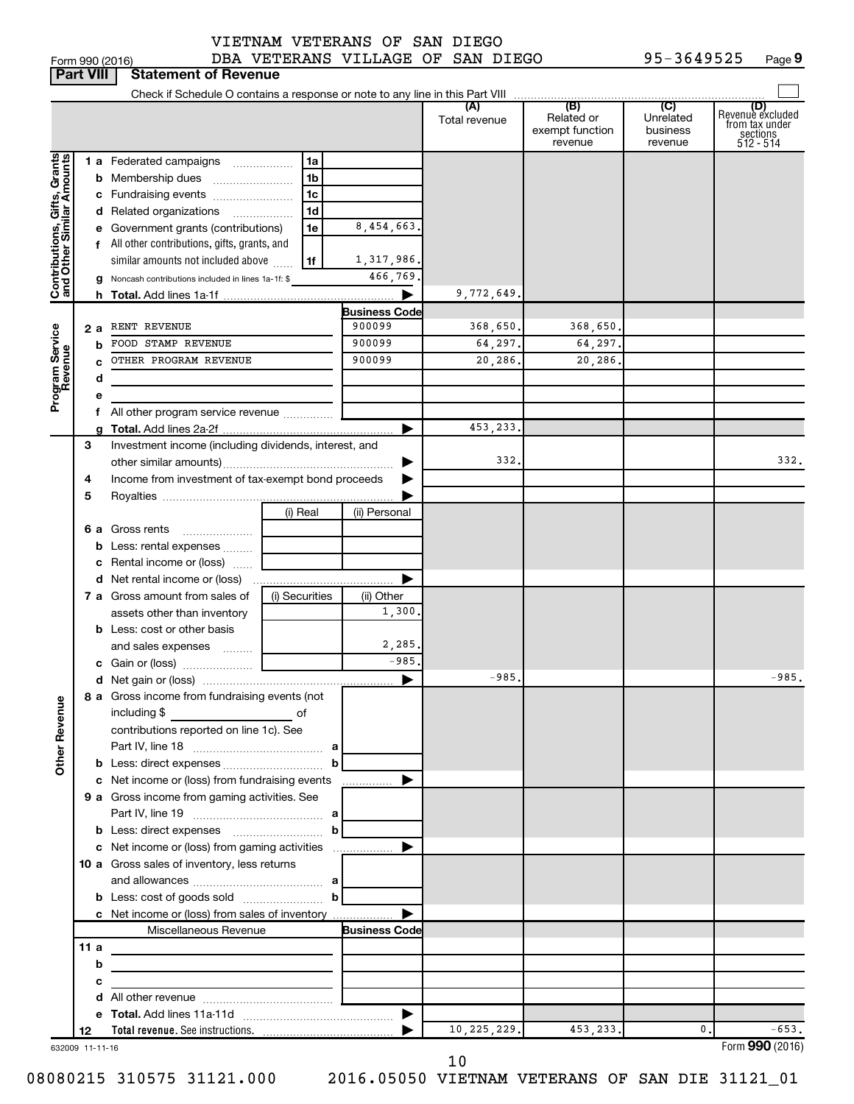#### Form 990 (2016) DBA VETERANS VILLAGE OF SAN DIEGO 95-3649525 Page VIETNAM VETERANS OF SAN DIEGO

|                                                           | <b>Part VIII</b> | <b>Statement of Revenue</b>                                                                                          |                |                                |                      |                                                 |                                         |                                                                      |
|-----------------------------------------------------------|------------------|----------------------------------------------------------------------------------------------------------------------|----------------|--------------------------------|----------------------|-------------------------------------------------|-----------------------------------------|----------------------------------------------------------------------|
|                                                           |                  |                                                                                                                      |                |                                |                      |                                                 |                                         |                                                                      |
|                                                           |                  |                                                                                                                      |                |                                | (A)<br>Total revenue | (B)<br>Related or<br>exempt function<br>revenue | (C)<br>Unrelated<br>business<br>revenue | (D)<br>Revenue excluded<br>from tax under<br>sections<br>$512 - 514$ |
| Contributions, Gifts, Grants<br>and Other Similar Amounts |                  | 1 a Federated campaigns                                                                                              | 1a<br>.        |                                |                      |                                                 |                                         |                                                                      |
|                                                           |                  | <b>b</b> Membership dues                                                                                             | 1 <sub>b</sub> |                                |                      |                                                 |                                         |                                                                      |
|                                                           |                  | c Fundraising events                                                                                                 | 1c             |                                |                      |                                                 |                                         |                                                                      |
|                                                           |                  | d Related organizations                                                                                              | 1d<br>.        |                                |                      |                                                 |                                         |                                                                      |
|                                                           |                  | e Government grants (contributions)                                                                                  | 1e             | 8,454,663.                     |                      |                                                 |                                         |                                                                      |
|                                                           |                  | f All other contributions, gifts, grants, and                                                                        |                |                                |                      |                                                 |                                         |                                                                      |
|                                                           |                  | similar amounts not included above                                                                                   | 1f             | 1,317,986.                     |                      |                                                 |                                         |                                                                      |
|                                                           |                  | g Noncash contributions included in lines 1a-1f: \$                                                                  |                | 466,769.                       |                      |                                                 |                                         |                                                                      |
|                                                           |                  |                                                                                                                      |                |                                | 9,772,649.           |                                                 |                                         |                                                                      |
|                                                           |                  | <b>RENT REVENUE</b>                                                                                                  |                | <b>Business Code</b><br>900099 | 368,650.             | 368,650                                         |                                         |                                                                      |
|                                                           | 2 a<br>b         | FOOD STAMP REVENUE                                                                                                   |                | 900099                         | 64,297.              | 64,297.                                         |                                         |                                                                      |
| Program Service<br>Revenue                                |                  | OTHER PROGRAM REVENUE                                                                                                |                | 900099                         | 20,286.              | 20,286                                          |                                         |                                                                      |
|                                                           | d                |                                                                                                                      |                |                                |                      |                                                 |                                         |                                                                      |
|                                                           |                  |                                                                                                                      |                |                                |                      |                                                 |                                         |                                                                      |
|                                                           |                  | f All other program service revenue                                                                                  |                |                                |                      |                                                 |                                         |                                                                      |
|                                                           |                  |                                                                                                                      |                |                                | 453,233              |                                                 |                                         |                                                                      |
|                                                           | З                | Investment income (including dividends, interest, and                                                                |                |                                |                      |                                                 |                                         |                                                                      |
|                                                           |                  |                                                                                                                      |                |                                | 332.                 |                                                 |                                         | 332.                                                                 |
|                                                           | 4                | Income from investment of tax-exempt bond proceeds                                                                   |                |                                |                      |                                                 |                                         |                                                                      |
|                                                           | 5                |                                                                                                                      |                |                                |                      |                                                 |                                         |                                                                      |
|                                                           |                  |                                                                                                                      | (i) Real       | (ii) Personal                  |                      |                                                 |                                         |                                                                      |
|                                                           |                  | 6 a Gross rents                                                                                                      |                |                                |                      |                                                 |                                         |                                                                      |
|                                                           | b                | Less: rental expenses                                                                                                |                |                                |                      |                                                 |                                         |                                                                      |
|                                                           |                  | c Rental income or (loss)                                                                                            |                |                                |                      |                                                 |                                         |                                                                      |
|                                                           |                  | <b>d</b> Net rental income or (loss)                                                                                 |                |                                |                      |                                                 |                                         |                                                                      |
|                                                           |                  | 7 a Gross amount from sales of                                                                                       | (i) Securities | (ii) Other                     |                      |                                                 |                                         |                                                                      |
|                                                           |                  | assets other than inventory                                                                                          |                | 1,300.                         |                      |                                                 |                                         |                                                                      |
|                                                           |                  | <b>b</b> Less: cost or other basis                                                                                   |                |                                |                      |                                                 |                                         |                                                                      |
|                                                           |                  | and sales expenses                                                                                                   |                | 2,285.<br>$-985.$              |                      |                                                 |                                         |                                                                      |
|                                                           |                  |                                                                                                                      |                |                                |                      |                                                 |                                         | $-985.$                                                              |
|                                                           |                  |                                                                                                                      |                | $\blacktriangleright$          | $-985.$              |                                                 |                                         |                                                                      |
| <b>Other Revenue</b>                                      |                  | 8 a Gross income from fundraising events (not<br>including \$<br><u> 1990 - Jan Barbara Barat, p</u>                 |                |                                |                      |                                                 |                                         |                                                                      |
|                                                           |                  | contributions reported on line 1c). See                                                                              |                |                                |                      |                                                 |                                         |                                                                      |
|                                                           |                  |                                                                                                                      |                |                                |                      |                                                 |                                         |                                                                      |
|                                                           |                  |                                                                                                                      |                |                                |                      |                                                 |                                         |                                                                      |
|                                                           |                  | 9 a Gross income from gaming activities. See                                                                         |                |                                |                      |                                                 |                                         |                                                                      |
|                                                           |                  |                                                                                                                      |                |                                |                      |                                                 |                                         |                                                                      |
|                                                           |                  |                                                                                                                      |                |                                |                      |                                                 |                                         |                                                                      |
|                                                           |                  |                                                                                                                      |                |                                |                      |                                                 |                                         |                                                                      |
|                                                           |                  | 10 a Gross sales of inventory, less returns                                                                          |                |                                |                      |                                                 |                                         |                                                                      |
|                                                           |                  |                                                                                                                      |                |                                |                      |                                                 |                                         |                                                                      |
|                                                           |                  | <b>b</b> Less: cost of goods sold $\ldots$ <b>b</b>                                                                  |                |                                |                      |                                                 |                                         |                                                                      |
|                                                           |                  | c Net income or (loss) from sales of inventory                                                                       |                |                                |                      |                                                 |                                         |                                                                      |
|                                                           |                  | Miscellaneous Revenue                                                                                                |                | <b>Business Code</b>           |                      |                                                 |                                         |                                                                      |
|                                                           | 11 $a$           |                                                                                                                      |                |                                |                      |                                                 |                                         |                                                                      |
|                                                           | b                | <u> 1989 - Johann John Stein, markin fan it ferstjer fan de ferstjer fan it ferstjer fan it ferstjer fan it fers</u> |                |                                |                      |                                                 |                                         |                                                                      |
|                                                           | с                | the control of the control of the control of the control of the control of                                           |                |                                |                      |                                                 |                                         |                                                                      |
|                                                           |                  |                                                                                                                      |                |                                |                      |                                                 |                                         |                                                                      |
|                                                           | 12               |                                                                                                                      |                |                                | 10, 225, 229.        | 453,233.                                        | 0.                                      | $-653.$                                                              |
|                                                           | 632009 11-11-16  |                                                                                                                      |                |                                |                      |                                                 |                                         | Form 990 (2016)                                                      |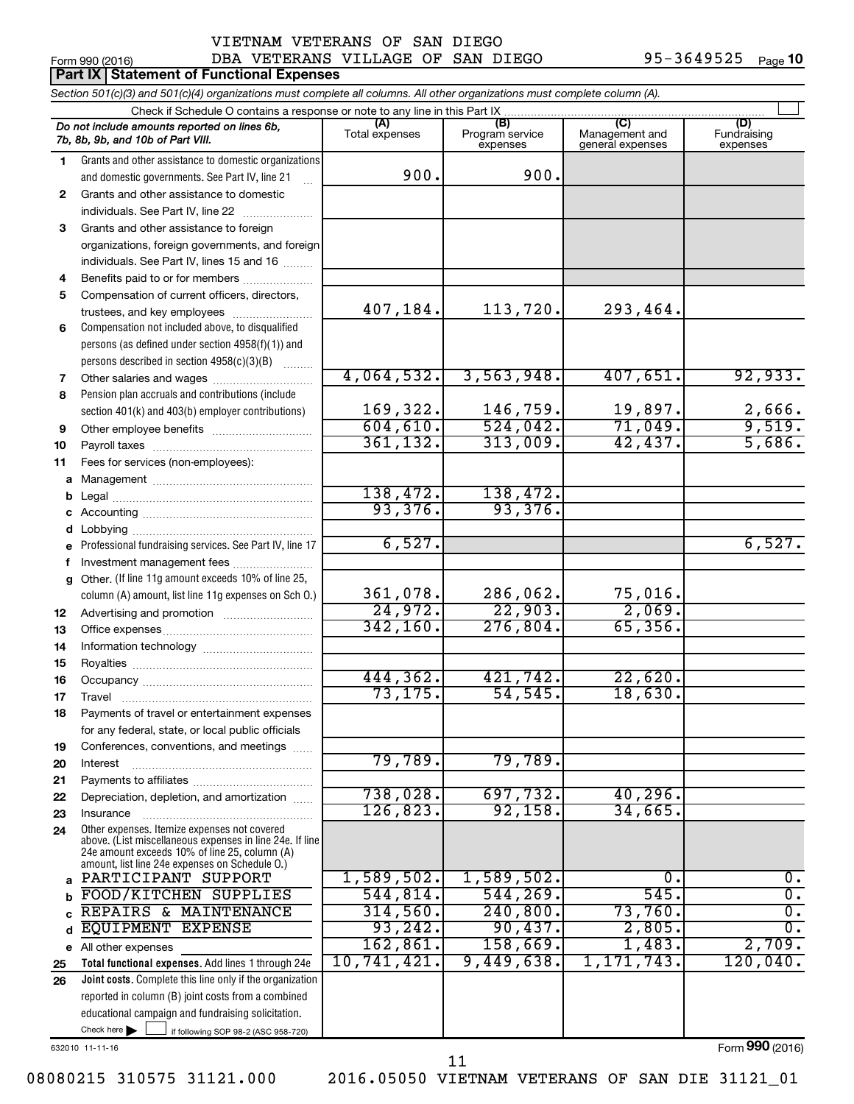#### $\epsilon$  Form 990 (2016) DBA VETERANS VILLAGE OF SAN DIEGO  $\epsilon$  95-3649525  $\epsilon$  Page VIETNAM VETERANS OF SAN DIEGO DBA VETERANS VILLAGE OF SAN DIEGO 95-3649525

95-3649525 Page 10

|          | Part IX Statement of Functional Expenses                                                                                                                                                                    |                       |                                    |                                           |                                |  |  |  |  |  |  |
|----------|-------------------------------------------------------------------------------------------------------------------------------------------------------------------------------------------------------------|-----------------------|------------------------------------|-------------------------------------------|--------------------------------|--|--|--|--|--|--|
|          | Section 501(c)(3) and 501(c)(4) organizations must complete all columns. All other organizations must complete column (A).                                                                                  |                       |                                    |                                           |                                |  |  |  |  |  |  |
|          | Check if Schedule O contains a response or note to any line in this Part IX                                                                                                                                 |                       |                                    |                                           |                                |  |  |  |  |  |  |
|          | Do not include amounts reported on lines 6b,<br>7b, 8b, 9b, and 10b of Part VIII.                                                                                                                           | (A)<br>Total expenses | (B)<br>Program service<br>expenses | (C)<br>Management and<br>general expenses | (D)<br>Fundraising<br>expenses |  |  |  |  |  |  |
| 1.       | Grants and other assistance to domestic organizations                                                                                                                                                       |                       |                                    |                                           |                                |  |  |  |  |  |  |
|          | and domestic governments. See Part IV, line 21                                                                                                                                                              | 900.                  | 900.                               |                                           |                                |  |  |  |  |  |  |
| 2        | Grants and other assistance to domestic                                                                                                                                                                     |                       |                                    |                                           |                                |  |  |  |  |  |  |
|          | individuals. See Part IV, line 22                                                                                                                                                                           |                       |                                    |                                           |                                |  |  |  |  |  |  |
| 3        | Grants and other assistance to foreign                                                                                                                                                                      |                       |                                    |                                           |                                |  |  |  |  |  |  |
|          | organizations, foreign governments, and foreign                                                                                                                                                             |                       |                                    |                                           |                                |  |  |  |  |  |  |
|          | individuals. See Part IV, lines 15 and 16                                                                                                                                                                   |                       |                                    |                                           |                                |  |  |  |  |  |  |
| 4        | Benefits paid to or for members                                                                                                                                                                             |                       |                                    |                                           |                                |  |  |  |  |  |  |
| 5        | Compensation of current officers, directors,                                                                                                                                                                | 407,184.              | 113,720.                           | 293,464.                                  |                                |  |  |  |  |  |  |
|          | trustees, and key employees                                                                                                                                                                                 |                       |                                    |                                           |                                |  |  |  |  |  |  |
| 6        | Compensation not included above, to disqualified                                                                                                                                                            |                       |                                    |                                           |                                |  |  |  |  |  |  |
|          | persons (as defined under section 4958(f)(1)) and<br>persons described in section 4958(c)(3)(B)                                                                                                             |                       |                                    |                                           |                                |  |  |  |  |  |  |
| 7        | Other salaries and wages                                                                                                                                                                                    | 4,064,532.            | 3,563,948.                         | 407,651.                                  | 92,933.                        |  |  |  |  |  |  |
| 8        | Pension plan accruals and contributions (include                                                                                                                                                            |                       |                                    |                                           |                                |  |  |  |  |  |  |
|          | section 401(k) and 403(b) employer contributions)                                                                                                                                                           | 169,322.              | 146,759.                           | 19,897.                                   |                                |  |  |  |  |  |  |
| 9        | Other employee benefits                                                                                                                                                                                     | 604, 610.             | 524,042.                           | 71,049.                                   | $\frac{2,666}{9,519}$          |  |  |  |  |  |  |
| 10       |                                                                                                                                                                                                             | 361, 132.             | 313,009.                           | 42,437.                                   | 5,686.                         |  |  |  |  |  |  |
| 11       | Fees for services (non-employees):                                                                                                                                                                          |                       |                                    |                                           |                                |  |  |  |  |  |  |
| a        |                                                                                                                                                                                                             |                       |                                    |                                           |                                |  |  |  |  |  |  |
| b        |                                                                                                                                                                                                             | 138,472.              | 138,472.                           |                                           |                                |  |  |  |  |  |  |
| с        |                                                                                                                                                                                                             | 93,376.               | 93,376.                            |                                           |                                |  |  |  |  |  |  |
| d        |                                                                                                                                                                                                             |                       |                                    |                                           |                                |  |  |  |  |  |  |
|          | Professional fundraising services. See Part IV, line 17                                                                                                                                                     | 6,527.                |                                    |                                           | 6,527.                         |  |  |  |  |  |  |
| f        | Investment management fees                                                                                                                                                                                  |                       |                                    |                                           |                                |  |  |  |  |  |  |
| a        | Other. (If line 11g amount exceeds 10% of line 25,                                                                                                                                                          |                       |                                    |                                           |                                |  |  |  |  |  |  |
|          | column (A) amount, list line 11g expenses on Sch O.)                                                                                                                                                        | 361,078.              | 286,062.                           | 75,016.                                   |                                |  |  |  |  |  |  |
| 12       |                                                                                                                                                                                                             | 24,972.               | $\overline{22,903}$ .              | 2,069.                                    |                                |  |  |  |  |  |  |
| 13       |                                                                                                                                                                                                             | 342, 160.             | 276,804.                           | 65, 356.                                  |                                |  |  |  |  |  |  |
| 14       |                                                                                                                                                                                                             |                       |                                    |                                           |                                |  |  |  |  |  |  |
| 15       |                                                                                                                                                                                                             | 444,362.              | 421,742.                           | 22,620.                                   |                                |  |  |  |  |  |  |
| 16       |                                                                                                                                                                                                             | 73, 175.              | 54,545.                            | 18,630.                                   |                                |  |  |  |  |  |  |
| 17<br>18 | Travel<br>Payments of travel or entertainment expenses                                                                                                                                                      |                       |                                    |                                           |                                |  |  |  |  |  |  |
|          | for any federal, state, or local public officials                                                                                                                                                           |                       |                                    |                                           |                                |  |  |  |  |  |  |
| 19       | Conferences, conventions, and meetings                                                                                                                                                                      |                       |                                    |                                           |                                |  |  |  |  |  |  |
| 20       | Interest                                                                                                                                                                                                    | 79,789.               | 79,789.                            |                                           |                                |  |  |  |  |  |  |
| 21       |                                                                                                                                                                                                             |                       |                                    |                                           |                                |  |  |  |  |  |  |
| 22       | Depreciation, depletion, and amortization                                                                                                                                                                   | 738,028.              | 697,732.                           | 40, 296.                                  |                                |  |  |  |  |  |  |
| 23       | Insurance                                                                                                                                                                                                   | 126,823.              | 92, 158.                           | 34,665.                                   |                                |  |  |  |  |  |  |
| 24       | Other expenses. Itemize expenses not covered<br>above. (List miscellaneous expenses in line 24e. If line<br>24e amount exceeds 10% of line 25, column (A)<br>amount, list line 24e expenses on Schedule O.) |                       |                                    |                                           |                                |  |  |  |  |  |  |
| a        | PARTICIPANT SUPPORT                                                                                                                                                                                         | 1,589,502.            | 1,589,502.                         | 0.                                        | 0.                             |  |  |  |  |  |  |
| b        | FOOD/KITCHEN SUPPLIES                                                                                                                                                                                       | 544,814.              | 544, 269.                          | 545.                                      | $\overline{0}$ .               |  |  |  |  |  |  |
| C        | REPAIRS & MAINTENANCE                                                                                                                                                                                       | 314,560.              | 240,800.                           | 73,760.                                   | $\overline{0}$ .               |  |  |  |  |  |  |
| d        | <b>EQUIPMENT</b><br><b>EXPENSE</b>                                                                                                                                                                          | 93, 242.              | 90,437.                            | 2,805.                                    | $\overline{0}$ .               |  |  |  |  |  |  |
|          | e All other expenses                                                                                                                                                                                        | 162,861.              | 158,669.                           | 1,483.                                    | 2,709.                         |  |  |  |  |  |  |
| 25       | Total functional expenses. Add lines 1 through 24e                                                                                                                                                          | 10,741,421.           | 9,449,638.                         | 1,171,743.                                | 120,040.                       |  |  |  |  |  |  |
| 26       | Joint costs. Complete this line only if the organization                                                                                                                                                    |                       |                                    |                                           |                                |  |  |  |  |  |  |
|          | reported in column (B) joint costs from a combined<br>educational campaign and fundraising solicitation.                                                                                                    |                       |                                    |                                           |                                |  |  |  |  |  |  |
|          | Check here<br>if following SOP 98-2 (ASC 958-720)                                                                                                                                                           |                       |                                    |                                           |                                |  |  |  |  |  |  |
|          |                                                                                                                                                                                                             |                       |                                    |                                           |                                |  |  |  |  |  |  |

632010 11-11-16

Form (2016) **990**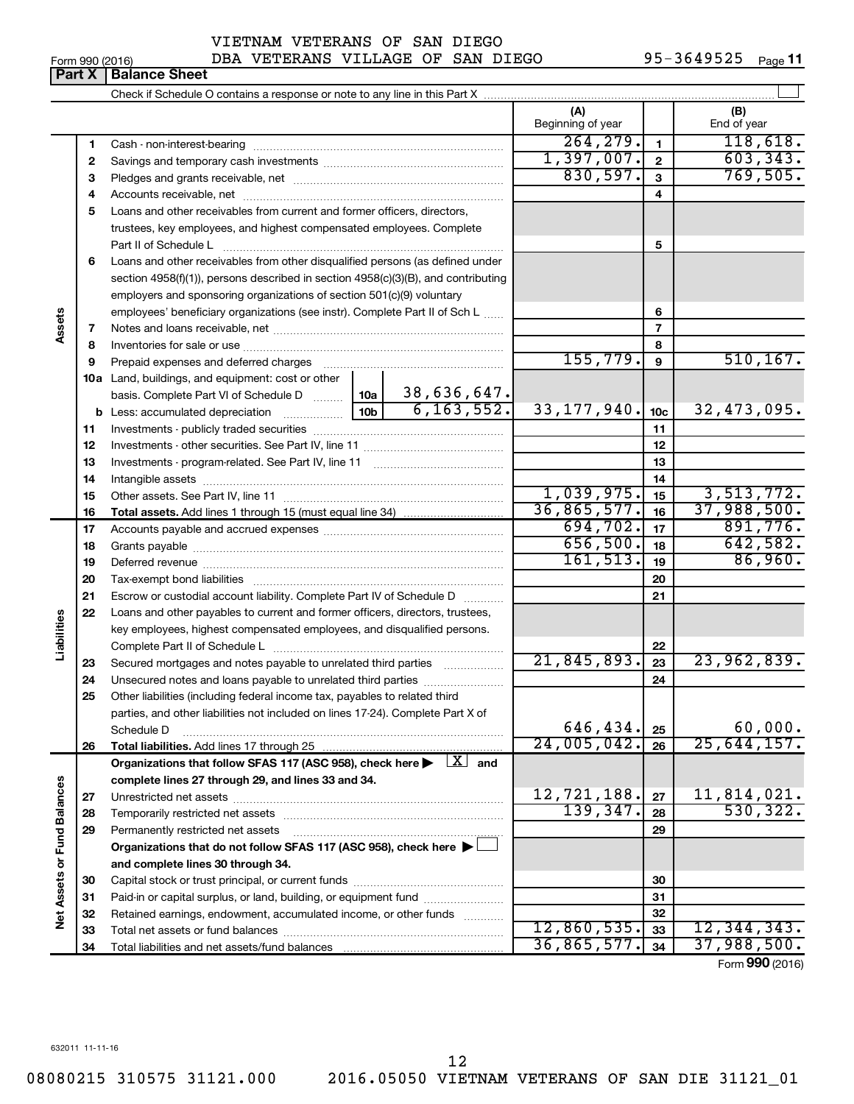| Form 990 (2016) |                               |
|-----------------|-------------------------------|
|                 | <b>Part X   Balance Sheet</b> |

#### Form 990 (2016) DBA VETERANS VILLAGE OF SAN DIEGO 95-3649525 Page VIETNAM VETERANS OF SAN DIEGO

95-3649525 <sub>Page</sub> 11

 $\perp$ Check if Schedule O contains a response or note to any line in this Part X **(A) (B)** Beginning of year | | End of year  $264, 279.$  118,618. **1 1** Cash - non-interest-bearing ~~~~~~~~~~~~~~~~~~~~~~~~~  $1,397,007$ .  $2$  603,343. **2 2** Savings and temporary cash investments ~~~~~~~~~~~~~~~~~~ 830,597. 769,505. **3 3** Pledges and grants receivable, net ~~~~~~~~~~~~~~~~~~~~~ **4 4** Accounts receivable, net ~~~~~~~~~~~~~~~~~~~~~~~~~~ **5** Loans and other receivables from current and former officers, directors, trustees, key employees, and highest compensated employees. Complete **5** Part II of Schedule L ~~~~~~~~~~~~~~~~~~~~~~~~~~~~ **6** Loans and other receivables from other disqualified persons (as defined under section 4958(f)(1)), persons described in section 4958(c)(3)(B), and contributing employers and sponsoring organizations of section 501(c)(9) voluntary employees' beneficiary organizations (see instr). Complete Part II of Sch L ...... **6 Assets 7 7** Notes and loans receivable, net ~~~~~~~~~~~~~~~~~~~~~~~ **8 8** Inventories for sale or use ~~~~~~~~~~~~~~~~~~~~~~~~~~  $155,779.$  9 510,167. **9 9** Prepaid expenses and deferred charges ~~~~~~~~~~~~~~~~~~ **10 a** Land, buildings, and equipment: cost or other 38,636,647. basis. Complete Part VI of Schedule D  $\frac{1}{10}$  10a  $6,163,552.$  33,177,940.  $10c$  32,473,095. **10c b** Less: accumulated depreciation  $\ldots$  [10b **11 11** Investments - publicly traded securities ~~~~~~~~~~~~~~~~~~~ **12 12** Investments - other securities. See Part IV, line 11 ~~~~~~~~~~~~~~ **13 13** Investments - program-related. See Part IV, line 11 ~~~~~~~~~~~~~ **14 14** Intangible assets ~~~~~~~~~~~~~~~~~~~~~~~~~~~~~~  $1,039,975.$   $15$  3,513,772. **15 15** Other assets. See Part IV, line 11  $\ldots$   $\ldots$   $\ldots$   $\ldots$   $\ldots$   $\ldots$   $\ldots$   $\ldots$   $\ldots$   $\ldots$   $\ldots$   $\ldots$   $\ldots$   $\ldots$   $\ldots$   $\ldots$   $\ldots$   $\ldots$   $\ldots$   $\ldots$   $\ldots$   $\ldots$   $\ldots$   $\ldots$   $\ldots$   $\ldots$   $\ldots$   $\ldots$   $\ldots$   $\ldots$   $\$ 36,865,577. 16 37,988,500. **16 16 Total assets.**  Add lines 1 through 15 (must equal line 34)  $694,702.$   $17$  891,776. **17 17** Accounts payable and accrued expenses ~~~~~~~~~~~~~~~~~~  $656,500.$  18 642,582. **18 18** Grants payable ~~~~~~~~~~~~~~~~~~~~~~~~~~~~~~~  $161, 513.$  19 86,960. **19 19** Deferred revenue ~~~~~~~~~~~~~~~~~~~~~~~~~~~~~~ **20 20** Tax-exempt bond liabilities ~~~~~~~~~~~~~~~~~~~~~~~~~ **21 21** Escrow or custodial account liability. Complete Part IV of Schedule D ........... **22** Loans and other payables to current and former officers, directors, trustees, **Liabilities** key employees, highest compensated employees, and disqualified persons. Complete Part II of Schedule L ~~~~~~~~~~~~~~~~~~~~~~~ **22** 21,845,893. 23,962,839. Secured mortgages and notes payable to unrelated third parties  $\ldots$  ................. **23 23 24** Unsecured notes and loans payable to unrelated third parties ~~~~~~~~ **24 25** Other liabilities (including federal income tax, payables to related third parties, and other liabilities not included on lines 17-24). Complete Part X of  $646, 434. |25|$  60,000. Schedule D ~~~~~~~~~~~~~~~~~~~~~~~~~~~~~~~~ **25**  $24,005,042.$   $26$   $25,644,157.$ **26 26 Total liabilities.**  Add lines 17 through 25 Organizations that follow SFAS 117 (ASC 958), check here  $\blacktriangleright$   $\boxed{X}$  and **complete lines 27 through 29, and lines 33 and 34. Vet Assets or Fund Balances Net Assets or Fund Balances**  $12,721,188.$   $27$  11,814,021. **27 27** Unrestricted net assets ~~~~~~~~~~~~~~~~~~~~~~~~~~~  $139,347. |28| 530,322.$ **28 28** Temporarily restricted net assets ~~~~~~~~~~~~~~~~~~~~~~ **29 29** Permanently restricted net assets ~~~~~~~~~~~~~~~~~~~~~ **Organizations that do not follow SFAS 117 (ASC 958), check here** | † **and complete lines 30 through 34. 30 30** Capital stock or trust principal, or current funds ~~~~~~~~~~~~~~~ **31 31** Paid-in or capital surplus, or land, building, or equipment fund ...................... **32 32** Retained earnings, endowment, accumulated income, or other funds ............  $12,860,535.$   $33$  12, 344, 343. **33** Total net assets or fund balances ~~~~~~~~~~~~~~~~~~~~~~ **33** 36,865,577. 37,988,500. **34 34** Total liabilities and net assets/fund balances

Form (2016) **990**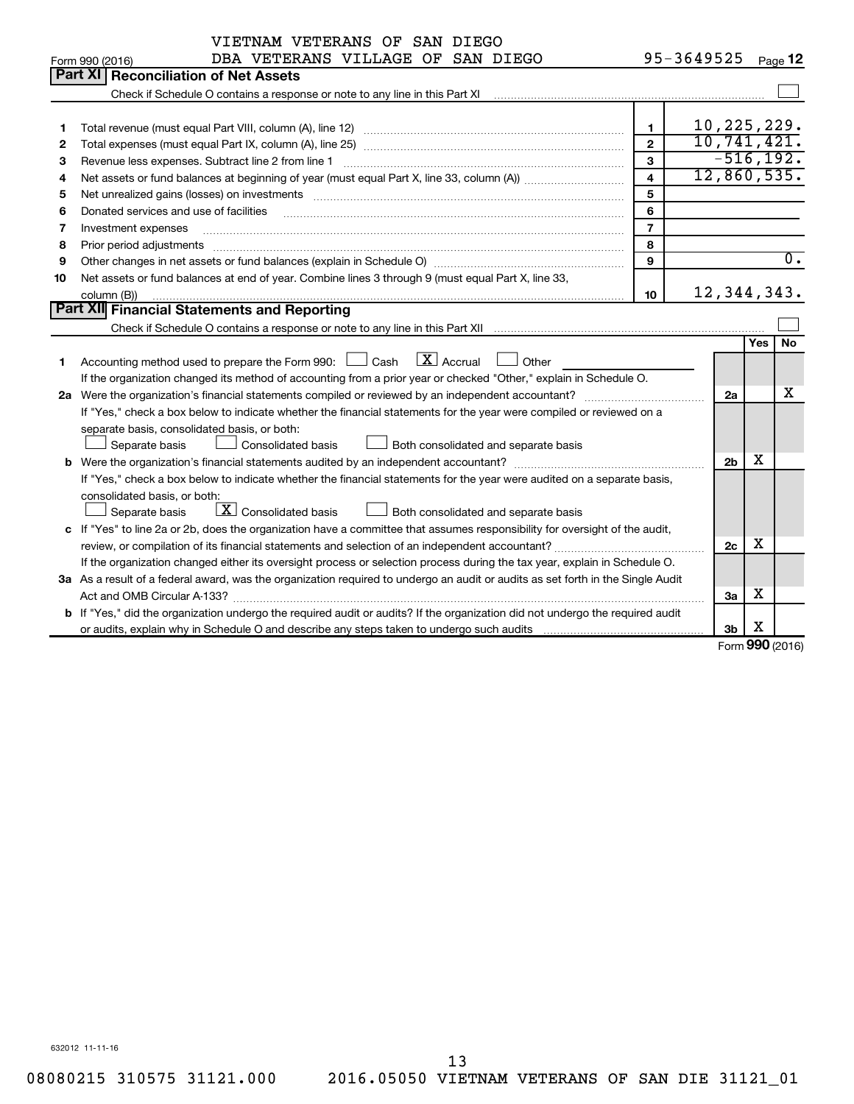| 95-3649525<br>Page 12<br>Form 990 (2016)<br><b>Part XI Reconciliation of Net Assets</b><br>10,225,229.<br>$\mathbf{1}$<br>1<br>10, 741, 421.<br>$\overline{2}$<br>2<br>$-516, 192.$<br>3<br>З<br>12,860,535.<br>$\overline{\mathbf{4}}$<br>4<br>5<br>Net unrealized gains (losses) on investments [11] matter than the control of the state of the state of the state of the state of the state of the state of the state of the state of the state of the state of the state of th<br>5<br>6<br>Donated services and use of facilities<br>6<br>$\overline{7}$<br>7<br>Investment expenses<br>8<br>8<br>Prior period adjustments<br>9<br>9<br>Net assets or fund balances at end of year. Combine lines 3 through 9 (must equal Part X, line 33,<br>10<br>12,344,343.<br>10 <sup>10</sup><br>column (B))<br><b>Part XII Financial Statements and Reporting</b><br>Yes<br>$\lfloor x \rfloor$ Accrual<br>Accounting method used to prepare the Form 990: $\Box$ Cash<br>Other<br>1<br>If the organization changed its method of accounting from a prior year or checked "Other," explain in Schedule O. | VIETNAM VETERANS OF SAN DIEGO     |  |    |  |                  |  |  |
|--------------------------------------------------------------------------------------------------------------------------------------------------------------------------------------------------------------------------------------------------------------------------------------------------------------------------------------------------------------------------------------------------------------------------------------------------------------------------------------------------------------------------------------------------------------------------------------------------------------------------------------------------------------------------------------------------------------------------------------------------------------------------------------------------------------------------------------------------------------------------------------------------------------------------------------------------------------------------------------------------------------------------------------------------------------------------------------------------------|-----------------------------------|--|----|--|------------------|--|--|
|                                                                                                                                                                                                                                                                                                                                                                                                                                                                                                                                                                                                                                                                                                                                                                                                                                                                                                                                                                                                                                                                                                        | DBA VETERANS VILLAGE OF SAN DIEGO |  |    |  |                  |  |  |
|                                                                                                                                                                                                                                                                                                                                                                                                                                                                                                                                                                                                                                                                                                                                                                                                                                                                                                                                                                                                                                                                                                        |                                   |  |    |  |                  |  |  |
|                                                                                                                                                                                                                                                                                                                                                                                                                                                                                                                                                                                                                                                                                                                                                                                                                                                                                                                                                                                                                                                                                                        |                                   |  |    |  |                  |  |  |
|                                                                                                                                                                                                                                                                                                                                                                                                                                                                                                                                                                                                                                                                                                                                                                                                                                                                                                                                                                                                                                                                                                        |                                   |  |    |  |                  |  |  |
|                                                                                                                                                                                                                                                                                                                                                                                                                                                                                                                                                                                                                                                                                                                                                                                                                                                                                                                                                                                                                                                                                                        |                                   |  |    |  |                  |  |  |
|                                                                                                                                                                                                                                                                                                                                                                                                                                                                                                                                                                                                                                                                                                                                                                                                                                                                                                                                                                                                                                                                                                        |                                   |  |    |  |                  |  |  |
|                                                                                                                                                                                                                                                                                                                                                                                                                                                                                                                                                                                                                                                                                                                                                                                                                                                                                                                                                                                                                                                                                                        |                                   |  |    |  |                  |  |  |
|                                                                                                                                                                                                                                                                                                                                                                                                                                                                                                                                                                                                                                                                                                                                                                                                                                                                                                                                                                                                                                                                                                        |                                   |  |    |  |                  |  |  |
|                                                                                                                                                                                                                                                                                                                                                                                                                                                                                                                                                                                                                                                                                                                                                                                                                                                                                                                                                                                                                                                                                                        |                                   |  |    |  |                  |  |  |
|                                                                                                                                                                                                                                                                                                                                                                                                                                                                                                                                                                                                                                                                                                                                                                                                                                                                                                                                                                                                                                                                                                        |                                   |  |    |  |                  |  |  |
|                                                                                                                                                                                                                                                                                                                                                                                                                                                                                                                                                                                                                                                                                                                                                                                                                                                                                                                                                                                                                                                                                                        |                                   |  |    |  |                  |  |  |
|                                                                                                                                                                                                                                                                                                                                                                                                                                                                                                                                                                                                                                                                                                                                                                                                                                                                                                                                                                                                                                                                                                        |                                   |  |    |  |                  |  |  |
|                                                                                                                                                                                                                                                                                                                                                                                                                                                                                                                                                                                                                                                                                                                                                                                                                                                                                                                                                                                                                                                                                                        |                                   |  |    |  | $\overline{0}$ . |  |  |
|                                                                                                                                                                                                                                                                                                                                                                                                                                                                                                                                                                                                                                                                                                                                                                                                                                                                                                                                                                                                                                                                                                        |                                   |  |    |  |                  |  |  |
|                                                                                                                                                                                                                                                                                                                                                                                                                                                                                                                                                                                                                                                                                                                                                                                                                                                                                                                                                                                                                                                                                                        |                                   |  |    |  |                  |  |  |
|                                                                                                                                                                                                                                                                                                                                                                                                                                                                                                                                                                                                                                                                                                                                                                                                                                                                                                                                                                                                                                                                                                        |                                   |  |    |  |                  |  |  |
|                                                                                                                                                                                                                                                                                                                                                                                                                                                                                                                                                                                                                                                                                                                                                                                                                                                                                                                                                                                                                                                                                                        |                                   |  |    |  |                  |  |  |
|                                                                                                                                                                                                                                                                                                                                                                                                                                                                                                                                                                                                                                                                                                                                                                                                                                                                                                                                                                                                                                                                                                        |                                   |  |    |  | <b>No</b>        |  |  |
|                                                                                                                                                                                                                                                                                                                                                                                                                                                                                                                                                                                                                                                                                                                                                                                                                                                                                                                                                                                                                                                                                                        |                                   |  |    |  |                  |  |  |
|                                                                                                                                                                                                                                                                                                                                                                                                                                                                                                                                                                                                                                                                                                                                                                                                                                                                                                                                                                                                                                                                                                        |                                   |  |    |  |                  |  |  |
|                                                                                                                                                                                                                                                                                                                                                                                                                                                                                                                                                                                                                                                                                                                                                                                                                                                                                                                                                                                                                                                                                                        |                                   |  | 2a |  | x                |  |  |
| If "Yes," check a box below to indicate whether the financial statements for the year were compiled or reviewed on a                                                                                                                                                                                                                                                                                                                                                                                                                                                                                                                                                                                                                                                                                                                                                                                                                                                                                                                                                                                   |                                   |  |    |  |                  |  |  |
| separate basis, consolidated basis, or both:                                                                                                                                                                                                                                                                                                                                                                                                                                                                                                                                                                                                                                                                                                                                                                                                                                                                                                                                                                                                                                                           |                                   |  |    |  |                  |  |  |
| Separate basis<br>Consolidated basis<br>Both consolidated and separate basis                                                                                                                                                                                                                                                                                                                                                                                                                                                                                                                                                                                                                                                                                                                                                                                                                                                                                                                                                                                                                           |                                   |  |    |  |                  |  |  |
| х<br>2 <sub>b</sub>                                                                                                                                                                                                                                                                                                                                                                                                                                                                                                                                                                                                                                                                                                                                                                                                                                                                                                                                                                                                                                                                                    |                                   |  |    |  |                  |  |  |
| If "Yes," check a box below to indicate whether the financial statements for the year were audited on a separate basis,                                                                                                                                                                                                                                                                                                                                                                                                                                                                                                                                                                                                                                                                                                                                                                                                                                                                                                                                                                                |                                   |  |    |  |                  |  |  |
| consolidated basis, or both:                                                                                                                                                                                                                                                                                                                                                                                                                                                                                                                                                                                                                                                                                                                                                                                                                                                                                                                                                                                                                                                                           |                                   |  |    |  |                  |  |  |
| $\boxed{\textbf{X}}$ Consolidated basis<br>Both consolidated and separate basis<br>Separate basis                                                                                                                                                                                                                                                                                                                                                                                                                                                                                                                                                                                                                                                                                                                                                                                                                                                                                                                                                                                                      |                                   |  |    |  |                  |  |  |
| c If "Yes" to line 2a or 2b, does the organization have a committee that assumes responsibility for oversight of the audit,                                                                                                                                                                                                                                                                                                                                                                                                                                                                                                                                                                                                                                                                                                                                                                                                                                                                                                                                                                            |                                   |  |    |  |                  |  |  |
| х<br>2c                                                                                                                                                                                                                                                                                                                                                                                                                                                                                                                                                                                                                                                                                                                                                                                                                                                                                                                                                                                                                                                                                                |                                   |  |    |  |                  |  |  |
| If the organization changed either its oversight process or selection process during the tax year, explain in Schedule O.                                                                                                                                                                                                                                                                                                                                                                                                                                                                                                                                                                                                                                                                                                                                                                                                                                                                                                                                                                              |                                   |  |    |  |                  |  |  |
| 3a As a result of a federal award, was the organization required to undergo an audit or audits as set forth in the Single Audit                                                                                                                                                                                                                                                                                                                                                                                                                                                                                                                                                                                                                                                                                                                                                                                                                                                                                                                                                                        |                                   |  |    |  |                  |  |  |
| x<br>За                                                                                                                                                                                                                                                                                                                                                                                                                                                                                                                                                                                                                                                                                                                                                                                                                                                                                                                                                                                                                                                                                                |                                   |  |    |  |                  |  |  |
| b If "Yes," did the organization undergo the required audit or audits? If the organization did not undergo the required audit                                                                                                                                                                                                                                                                                                                                                                                                                                                                                                                                                                                                                                                                                                                                                                                                                                                                                                                                                                          |                                   |  |    |  |                  |  |  |
| х<br>3b<br>ההה                                                                                                                                                                                                                                                                                                                                                                                                                                                                                                                                                                                                                                                                                                                                                                                                                                                                                                                                                                                                                                                                                         |                                   |  |    |  |                  |  |  |

Form (2016) **990**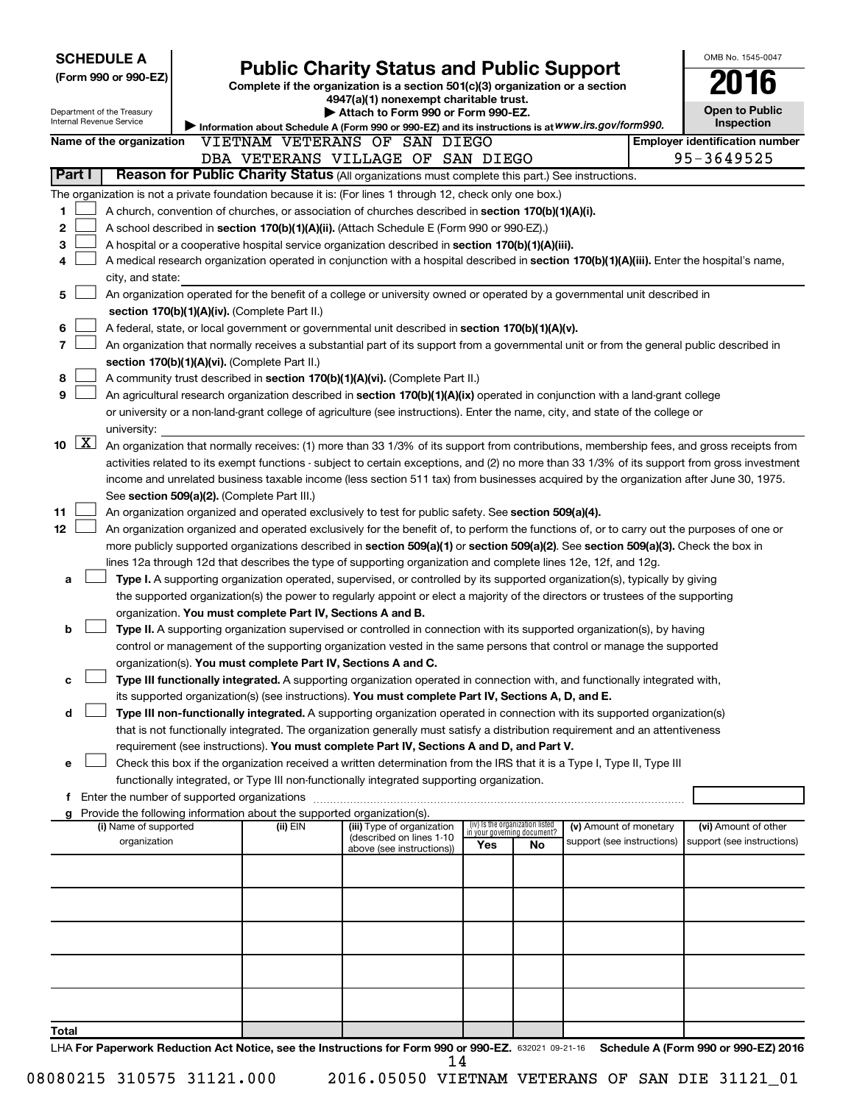| <b>SCHEDULE A</b>                                                                                                                                                                                                                                                                      |                                                                                                                           |                                                                        |                                                                                                                                                                                                               |                                    |    |                            |  | OMB No. 1545-0047                     |  |  |
|----------------------------------------------------------------------------------------------------------------------------------------------------------------------------------------------------------------------------------------------------------------------------------------|---------------------------------------------------------------------------------------------------------------------------|------------------------------------------------------------------------|---------------------------------------------------------------------------------------------------------------------------------------------------------------------------------------------------------------|------------------------------------|----|----------------------------|--|---------------------------------------|--|--|
| (Form 990 or 990-EZ)                                                                                                                                                                                                                                                                   |                                                                                                                           |                                                                        | <b>Public Charity Status and Public Support</b>                                                                                                                                                               |                                    |    |                            |  |                                       |  |  |
|                                                                                                                                                                                                                                                                                        |                                                                                                                           |                                                                        | Complete if the organization is a section 501(c)(3) organization or a section<br>4947(a)(1) nonexempt charitable trust.                                                                                       |                                    |    |                            |  |                                       |  |  |
| Department of the Treasury                                                                                                                                                                                                                                                             |                                                                                                                           |                                                                        | Attach to Form 990 or Form 990-EZ.                                                                                                                                                                            |                                    |    |                            |  | <b>Open to Public</b>                 |  |  |
| Internal Revenue Service                                                                                                                                                                                                                                                               |                                                                                                                           |                                                                        | Information about Schedule A (Form 990 or 990-EZ) and its instructions is at WWW.irs.gov/form990.                                                                                                             |                                    |    |                            |  | Inspection                            |  |  |
| Name of the organization                                                                                                                                                                                                                                                               |                                                                                                                           |                                                                        | VIETNAM VETERANS OF SAN DIEGO                                                                                                                                                                                 |                                    |    |                            |  | <b>Employer identification number</b> |  |  |
|                                                                                                                                                                                                                                                                                        |                                                                                                                           |                                                                        | DBA VETERANS VILLAGE OF SAN DIEGO                                                                                                                                                                             |                                    |    |                            |  | 95-3649525                            |  |  |
| Part I                                                                                                                                                                                                                                                                                 |                                                                                                                           |                                                                        | Reason for Public Charity Status (All organizations must complete this part.) See instructions.                                                                                                               |                                    |    |                            |  |                                       |  |  |
| The organization is not a private foundation because it is: (For lines 1 through 12, check only one box.)                                                                                                                                                                              |                                                                                                                           |                                                                        |                                                                                                                                                                                                               |                                    |    |                            |  |                                       |  |  |
| 1                                                                                                                                                                                                                                                                                      |                                                                                                                           |                                                                        | A church, convention of churches, or association of churches described in section 170(b)(1)(A)(i).                                                                                                            |                                    |    |                            |  |                                       |  |  |
| 2                                                                                                                                                                                                                                                                                      |                                                                                                                           |                                                                        | A school described in section 170(b)(1)(A)(ii). (Attach Schedule E (Form 990 or 990-EZ).)                                                                                                                     |                                    |    |                            |  |                                       |  |  |
| 3                                                                                                                                                                                                                                                                                      |                                                                                                                           |                                                                        | A hospital or a cooperative hospital service organization described in section 170(b)(1)(A)(iii).                                                                                                             |                                    |    |                            |  |                                       |  |  |
| 4                                                                                                                                                                                                                                                                                      |                                                                                                                           |                                                                        | A medical research organization operated in conjunction with a hospital described in section 170(b)(1)(A)(iii). Enter the hospital's name,                                                                    |                                    |    |                            |  |                                       |  |  |
| city, and state:                                                                                                                                                                                                                                                                       |                                                                                                                           |                                                                        |                                                                                                                                                                                                               |                                    |    |                            |  |                                       |  |  |
| 5                                                                                                                                                                                                                                                                                      | An organization operated for the benefit of a college or university owned or operated by a governmental unit described in |                                                                        |                                                                                                                                                                                                               |                                    |    |                            |  |                                       |  |  |
|                                                                                                                                                                                                                                                                                        |                                                                                                                           | section 170(b)(1)(A)(iv). (Complete Part II.)                          |                                                                                                                                                                                                               |                                    |    |                            |  |                                       |  |  |
| 6                                                                                                                                                                                                                                                                                      |                                                                                                                           |                                                                        | A federal, state, or local government or governmental unit described in section 170(b)(1)(A)(v).                                                                                                              |                                    |    |                            |  |                                       |  |  |
| 7                                                                                                                                                                                                                                                                                      |                                                                                                                           |                                                                        | An organization that normally receives a substantial part of its support from a governmental unit or from the general public described in                                                                     |                                    |    |                            |  |                                       |  |  |
| 8                                                                                                                                                                                                                                                                                      |                                                                                                                           | section 170(b)(1)(A)(vi). (Complete Part II.)                          |                                                                                                                                                                                                               |                                    |    |                            |  |                                       |  |  |
| 9                                                                                                                                                                                                                                                                                      |                                                                                                                           |                                                                        | A community trust described in section 170(b)(1)(A)(vi). (Complete Part II.)<br>An agricultural research organization described in section 170(b)(1)(A)(ix) operated in conjunction with a land-grant college |                                    |    |                            |  |                                       |  |  |
|                                                                                                                                                                                                                                                                                        |                                                                                                                           |                                                                        | or university or a non-land-grant college of agriculture (see instructions). Enter the name, city, and state of the college or                                                                                |                                    |    |                            |  |                                       |  |  |
| university:                                                                                                                                                                                                                                                                            |                                                                                                                           |                                                                        |                                                                                                                                                                                                               |                                    |    |                            |  |                                       |  |  |
| $\boxed{\text{X}}$<br>10                                                                                                                                                                                                                                                               |                                                                                                                           |                                                                        | An organization that normally receives: (1) more than 33 1/3% of its support from contributions, membership fees, and gross receipts from                                                                     |                                    |    |                            |  |                                       |  |  |
|                                                                                                                                                                                                                                                                                        |                                                                                                                           |                                                                        |                                                                                                                                                                                                               |                                    |    |                            |  |                                       |  |  |
| activities related to its exempt functions - subject to certain exceptions, and (2) no more than 33 1/3% of its support from gross investment<br>income and unrelated business taxable income (less section 511 tax) from businesses acquired by the organization after June 30, 1975. |                                                                                                                           |                                                                        |                                                                                                                                                                                                               |                                    |    |                            |  |                                       |  |  |
|                                                                                                                                                                                                                                                                                        | See section 509(a)(2). (Complete Part III.)                                                                               |                                                                        |                                                                                                                                                                                                               |                                    |    |                            |  |                                       |  |  |
| 11                                                                                                                                                                                                                                                                                     |                                                                                                                           |                                                                        | An organization organized and operated exclusively to test for public safety. See section 509(a)(4).                                                                                                          |                                    |    |                            |  |                                       |  |  |
| 12                                                                                                                                                                                                                                                                                     |                                                                                                                           |                                                                        | An organization organized and operated exclusively for the benefit of, to perform the functions of, or to carry out the purposes of one or                                                                    |                                    |    |                            |  |                                       |  |  |
|                                                                                                                                                                                                                                                                                        |                                                                                                                           |                                                                        | more publicly supported organizations described in section 509(a)(1) or section 509(a)(2). See section 509(a)(3). Check the box in                                                                            |                                    |    |                            |  |                                       |  |  |
|                                                                                                                                                                                                                                                                                        |                                                                                                                           |                                                                        | lines 12a through 12d that describes the type of supporting organization and complete lines 12e, 12f, and 12g.                                                                                                |                                    |    |                            |  |                                       |  |  |
| a                                                                                                                                                                                                                                                                                      |                                                                                                                           |                                                                        | Type I. A supporting organization operated, supervised, or controlled by its supported organization(s), typically by giving                                                                                   |                                    |    |                            |  |                                       |  |  |
|                                                                                                                                                                                                                                                                                        |                                                                                                                           |                                                                        | the supported organization(s) the power to regularly appoint or elect a majority of the directors or trustees of the supporting                                                                               |                                    |    |                            |  |                                       |  |  |
|                                                                                                                                                                                                                                                                                        |                                                                                                                           | organization. You must complete Part IV, Sections A and B.             |                                                                                                                                                                                                               |                                    |    |                            |  |                                       |  |  |
| b                                                                                                                                                                                                                                                                                      |                                                                                                                           |                                                                        | Type II. A supporting organization supervised or controlled in connection with its supported organization(s), by having                                                                                       |                                    |    |                            |  |                                       |  |  |
|                                                                                                                                                                                                                                                                                        |                                                                                                                           |                                                                        | control or management of the supporting organization vested in the same persons that control or manage the supported                                                                                          |                                    |    |                            |  |                                       |  |  |
|                                                                                                                                                                                                                                                                                        |                                                                                                                           | organization(s). You must complete Part IV, Sections A and C.          |                                                                                                                                                                                                               |                                    |    |                            |  |                                       |  |  |
| с                                                                                                                                                                                                                                                                                      |                                                                                                                           |                                                                        | Type III functionally integrated. A supporting organization operated in connection with, and functionally integrated with,                                                                                    |                                    |    |                            |  |                                       |  |  |
|                                                                                                                                                                                                                                                                                        |                                                                                                                           |                                                                        | its supported organization(s) (see instructions). You must complete Part IV, Sections A, D, and E.                                                                                                            |                                    |    |                            |  |                                       |  |  |
| d                                                                                                                                                                                                                                                                                      |                                                                                                                           |                                                                        | Type III non-functionally integrated. A supporting organization operated in connection with its supported organization(s)                                                                                     |                                    |    |                            |  |                                       |  |  |
|                                                                                                                                                                                                                                                                                        |                                                                                                                           |                                                                        | that is not functionally integrated. The organization generally must satisfy a distribution requirement and an attentiveness                                                                                  |                                    |    |                            |  |                                       |  |  |
|                                                                                                                                                                                                                                                                                        |                                                                                                                           |                                                                        | requirement (see instructions). You must complete Part IV, Sections A and D, and Part V.                                                                                                                      |                                    |    |                            |  |                                       |  |  |
| е                                                                                                                                                                                                                                                                                      |                                                                                                                           |                                                                        | Check this box if the organization received a written determination from the IRS that it is a Type I, Type II, Type III                                                                                       |                                    |    |                            |  |                                       |  |  |
| f Enter the number of supported organizations                                                                                                                                                                                                                                          |                                                                                                                           |                                                                        | functionally integrated, or Type III non-functionally integrated supporting organization.                                                                                                                     |                                    |    |                            |  |                                       |  |  |
|                                                                                                                                                                                                                                                                                        |                                                                                                                           | Provide the following information about the supported organization(s). |                                                                                                                                                                                                               |                                    |    |                            |  |                                       |  |  |
| g<br>(i) Name of supported                                                                                                                                                                                                                                                             |                                                                                                                           | (ii) EIN                                                               | (iii) Type of organization                                                                                                                                                                                    | (iv) Is the organization listed    |    | (v) Amount of monetary     |  | (vi) Amount of other                  |  |  |
| organization                                                                                                                                                                                                                                                                           |                                                                                                                           |                                                                        | (described on lines 1-10                                                                                                                                                                                      | in your governing document?<br>Yes | No | support (see instructions) |  | support (see instructions)            |  |  |
|                                                                                                                                                                                                                                                                                        |                                                                                                                           |                                                                        | above (see instructions))                                                                                                                                                                                     |                                    |    |                            |  |                                       |  |  |
|                                                                                                                                                                                                                                                                                        |                                                                                                                           |                                                                        |                                                                                                                                                                                                               |                                    |    |                            |  |                                       |  |  |
|                                                                                                                                                                                                                                                                                        |                                                                                                                           |                                                                        |                                                                                                                                                                                                               |                                    |    |                            |  |                                       |  |  |
|                                                                                                                                                                                                                                                                                        |                                                                                                                           |                                                                        |                                                                                                                                                                                                               |                                    |    |                            |  |                                       |  |  |
|                                                                                                                                                                                                                                                                                        |                                                                                                                           |                                                                        |                                                                                                                                                                                                               |                                    |    |                            |  |                                       |  |  |
|                                                                                                                                                                                                                                                                                        |                                                                                                                           |                                                                        |                                                                                                                                                                                                               |                                    |    |                            |  |                                       |  |  |
|                                                                                                                                                                                                                                                                                        |                                                                                                                           |                                                                        |                                                                                                                                                                                                               |                                    |    |                            |  |                                       |  |  |
|                                                                                                                                                                                                                                                                                        |                                                                                                                           |                                                                        |                                                                                                                                                                                                               |                                    |    |                            |  |                                       |  |  |
|                                                                                                                                                                                                                                                                                        |                                                                                                                           |                                                                        |                                                                                                                                                                                                               |                                    |    |                            |  |                                       |  |  |
|                                                                                                                                                                                                                                                                                        |                                                                                                                           |                                                                        |                                                                                                                                                                                                               |                                    |    |                            |  |                                       |  |  |
| <b>Total</b>                                                                                                                                                                                                                                                                           |                                                                                                                           |                                                                        |                                                                                                                                                                                                               |                                    |    |                            |  |                                       |  |  |
| LHA For Paperwork Reduction Act Notice, see the Instructions for Form 990 or 990-EZ. 632021 09-21-16                                                                                                                                                                                   |                                                                                                                           |                                                                        | 14                                                                                                                                                                                                            |                                    |    |                            |  | Schedule A (Form 990 or 990-EZ) 2016  |  |  |

| 08080215 310575 31121.000 |  |
|---------------------------|--|
|---------------------------|--|

2016.05050 VIETNAM VETERANS OF SAN DIE 31121\_01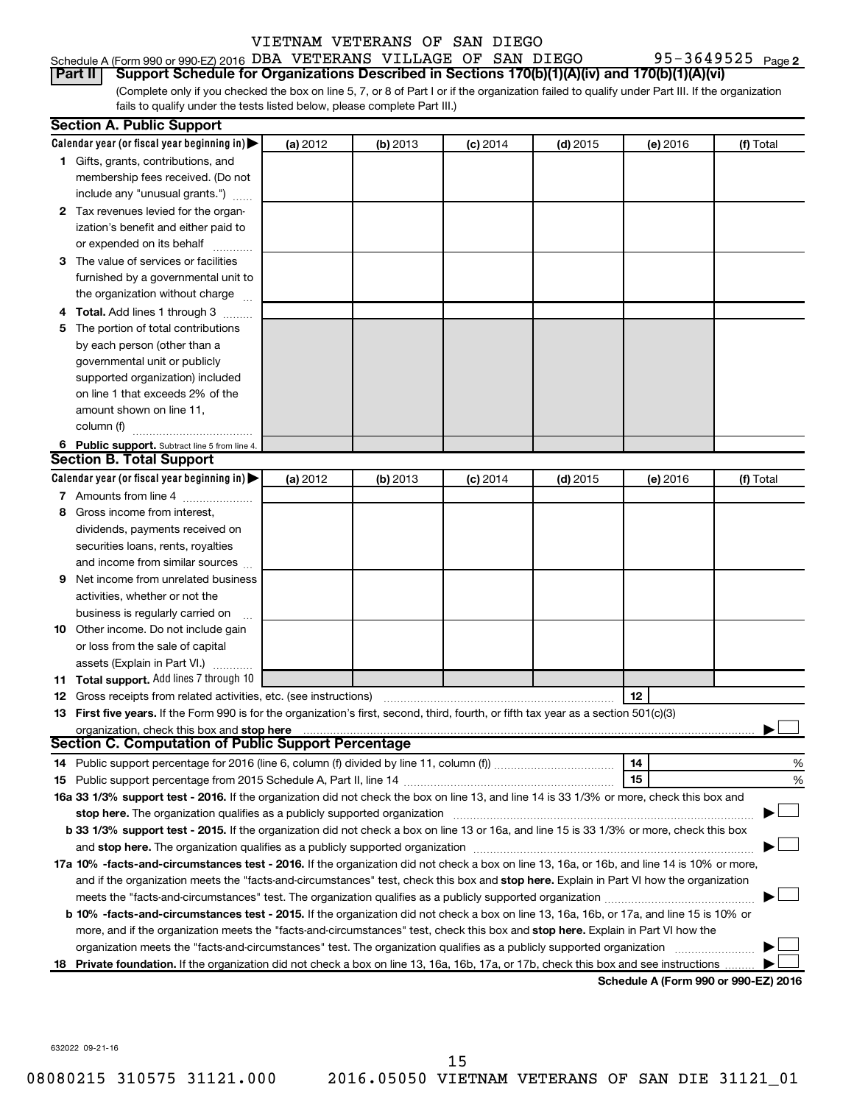Schedule A (Form 990 or 990-EZ) 2016 DBA VETERANS VILLAGE OF SAN DIEGO  $95-3649525$  Page **Part II** | Support Schedule for Organizations Described in Sections 170(b)(1)(A)(iv) and 170(b)(1)(A)(vi)

95-3649525 Page 2

(Complete only if you checked the box on line 5, 7, or 8 of Part I or if the organization failed to qualify under Part III. If the organization fails to qualify under the tests listed below, please complete Part III.)

|    | <b>Section A. Public Support</b>                                                                                                                                                                                               |          |          |            |            |          |                                      |
|----|--------------------------------------------------------------------------------------------------------------------------------------------------------------------------------------------------------------------------------|----------|----------|------------|------------|----------|--------------------------------------|
|    | Calendar year (or fiscal year beginning in)                                                                                                                                                                                    | (a) 2012 | (b) 2013 | $(c)$ 2014 | $(d)$ 2015 | (e) 2016 | (f) Total                            |
|    | 1 Gifts, grants, contributions, and                                                                                                                                                                                            |          |          |            |            |          |                                      |
|    | membership fees received. (Do not                                                                                                                                                                                              |          |          |            |            |          |                                      |
|    | include any "unusual grants.")                                                                                                                                                                                                 |          |          |            |            |          |                                      |
|    | 2 Tax revenues levied for the organ-                                                                                                                                                                                           |          |          |            |            |          |                                      |
|    | ization's benefit and either paid to                                                                                                                                                                                           |          |          |            |            |          |                                      |
|    | or expended on its behalf                                                                                                                                                                                                      |          |          |            |            |          |                                      |
|    | 3 The value of services or facilities                                                                                                                                                                                          |          |          |            |            |          |                                      |
|    | furnished by a governmental unit to                                                                                                                                                                                            |          |          |            |            |          |                                      |
|    | the organization without charge                                                                                                                                                                                                |          |          |            |            |          |                                      |
|    | 4 Total. Add lines 1 through 3                                                                                                                                                                                                 |          |          |            |            |          |                                      |
|    | 5 The portion of total contributions                                                                                                                                                                                           |          |          |            |            |          |                                      |
|    | by each person (other than a                                                                                                                                                                                                   |          |          |            |            |          |                                      |
|    | governmental unit or publicly                                                                                                                                                                                                  |          |          |            |            |          |                                      |
|    | supported organization) included                                                                                                                                                                                               |          |          |            |            |          |                                      |
|    | on line 1 that exceeds 2% of the                                                                                                                                                                                               |          |          |            |            |          |                                      |
|    | amount shown on line 11,                                                                                                                                                                                                       |          |          |            |            |          |                                      |
|    | column (f)                                                                                                                                                                                                                     |          |          |            |            |          |                                      |
|    | 6 Public support. Subtract line 5 from line 4.                                                                                                                                                                                 |          |          |            |            |          |                                      |
|    | <b>Section B. Total Support</b>                                                                                                                                                                                                |          |          |            |            |          |                                      |
|    | Calendar year (or fiscal year beginning in)                                                                                                                                                                                    | (a) 2012 | (b) 2013 | $(c)$ 2014 | $(d)$ 2015 | (e) 2016 | (f) Total                            |
|    | 7 Amounts from line 4                                                                                                                                                                                                          |          |          |            |            |          |                                      |
|    | 8 Gross income from interest,                                                                                                                                                                                                  |          |          |            |            |          |                                      |
|    | dividends, payments received on                                                                                                                                                                                                |          |          |            |            |          |                                      |
|    | securities loans, rents, royalties                                                                                                                                                                                             |          |          |            |            |          |                                      |
|    | and income from similar sources                                                                                                                                                                                                |          |          |            |            |          |                                      |
| 9  | Net income from unrelated business                                                                                                                                                                                             |          |          |            |            |          |                                      |
|    | activities, whether or not the                                                                                                                                                                                                 |          |          |            |            |          |                                      |
|    | business is regularly carried on                                                                                                                                                                                               |          |          |            |            |          |                                      |
|    | 10 Other income. Do not include gain                                                                                                                                                                                           |          |          |            |            |          |                                      |
|    | or loss from the sale of capital                                                                                                                                                                                               |          |          |            |            |          |                                      |
|    | assets (Explain in Part VI.)                                                                                                                                                                                                   |          |          |            |            |          |                                      |
|    | 11 Total support. Add lines 7 through 10                                                                                                                                                                                       |          |          |            |            |          |                                      |
|    | <b>12</b> Gross receipts from related activities, etc. (see instructions)                                                                                                                                                      |          |          |            |            | 12       |                                      |
|    | 13 First five years. If the Form 990 is for the organization's first, second, third, fourth, or fifth tax year as a section 501(c)(3)                                                                                          |          |          |            |            |          |                                      |
|    | organization, check this box and stop here                                                                                                                                                                                     |          |          |            |            |          |                                      |
|    | <b>Section C. Computation of Public Support Percentage</b>                                                                                                                                                                     |          |          |            |            |          |                                      |
|    |                                                                                                                                                                                                                                |          |          |            |            | 14       | %                                    |
|    |                                                                                                                                                                                                                                |          |          |            |            | 15       | %                                    |
|    | 16a 33 1/3% support test - 2016. If the organization did not check the box on line 13, and line 14 is 33 1/3% or more, check this box and                                                                                      |          |          |            |            |          |                                      |
|    | stop here. The organization qualifies as a publicly supported organization manufactured content and the support of the state of the state of the state of the state of the state of the state of the state of the state of the |          |          |            |            |          |                                      |
|    | b 33 1/3% support test - 2015. If the organization did not check a box on line 13 or 16a, and line 15 is 33 1/3% or more, check this box                                                                                       |          |          |            |            |          |                                      |
|    |                                                                                                                                                                                                                                |          |          |            |            |          |                                      |
|    | 17a 10% -facts-and-circumstances test - 2016. If the organization did not check a box on line 13, 16a, or 16b, and line 14 is 10% or more,                                                                                     |          |          |            |            |          |                                      |
|    | and if the organization meets the "facts-and-circumstances" test, check this box and stop here. Explain in Part VI how the organization                                                                                        |          |          |            |            |          |                                      |
|    |                                                                                                                                                                                                                                |          |          |            |            |          |                                      |
|    | <b>b 10%</b> -facts-and-circumstances test - 2015. If the organization did not check a box on line 13, 16a, 16b, or 17a, and line 15 is 10% or                                                                                 |          |          |            |            |          |                                      |
|    | more, and if the organization meets the "facts-and-circumstances" test, check this box and stop here. Explain in Part VI how the                                                                                               |          |          |            |            |          |                                      |
|    | organization meets the "facts-and-circumstances" test. The organization qualifies as a publicly supported organization                                                                                                         |          |          |            |            |          |                                      |
| 18 | Private foundation. If the organization did not check a box on line 13, 16a, 16b, 17a, or 17b, check this box and see instructions.                                                                                            |          |          |            |            |          |                                      |
|    |                                                                                                                                                                                                                                |          |          |            |            |          | Schodule A (Form 000 or 000 F7) 2016 |

**Schedule A (Form 990 or 990-EZ) 2016**

632022 09-21-16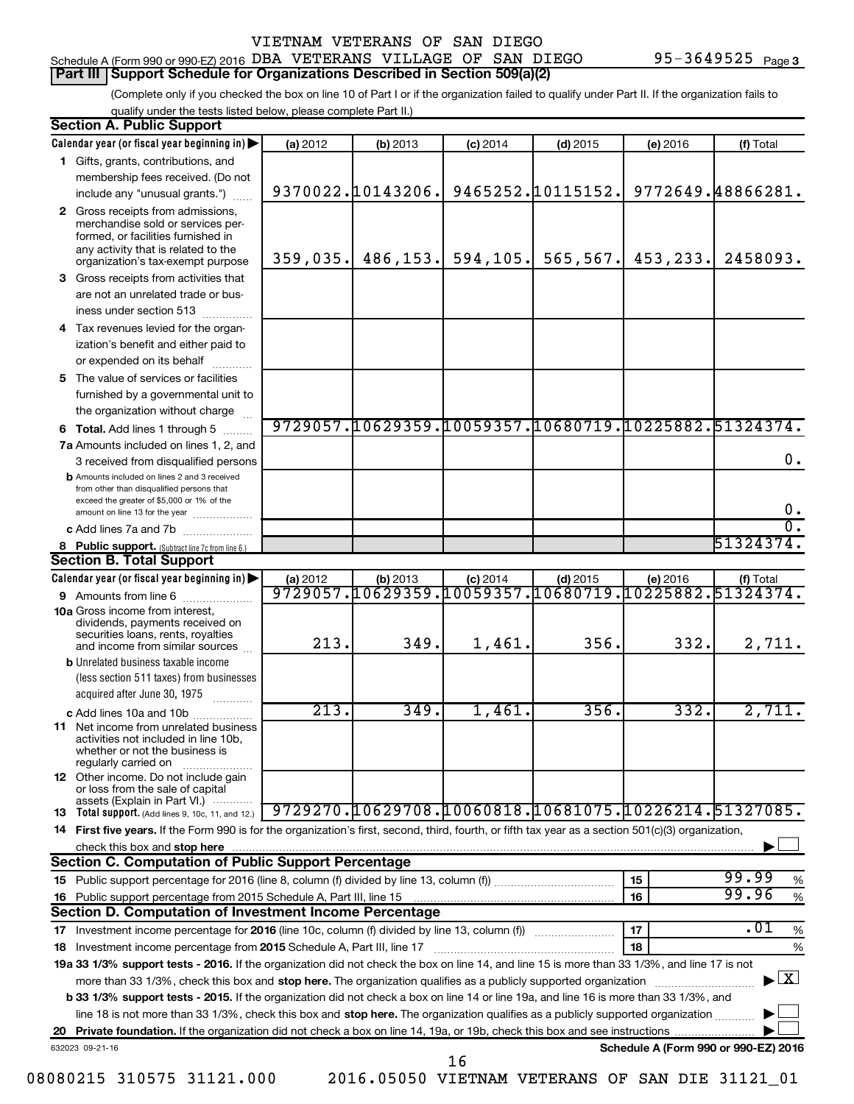#### Schedule A (Form 990 or 990-EZ) 2016 DBA VETERANS VILLAGE OF SAN DIEGO  $95-3649525$  Page **Part III | Support Schedule for Organizations Described in Section 509(a)(2)**

(Complete only if you checked the box on line 10 of Part I or if the organization failed to qualify under Part II. If the organization fails to qualify under the tests listed below, please complete Part II.)

| Calendar year (or fiscal year beginning in)                                                                                                                                                                                                                                            | (a) 2012           | (b) 2013                                        | $(c)$ 2014            | $(d)$ 2015                                                                 | (e) 2016 | (f) Total                            |
|----------------------------------------------------------------------------------------------------------------------------------------------------------------------------------------------------------------------------------------------------------------------------------------|--------------------|-------------------------------------------------|-----------------------|----------------------------------------------------------------------------|----------|--------------------------------------|
| 1 Gifts, grants, contributions, and                                                                                                                                                                                                                                                    |                    |                                                 |                       |                                                                            |          |                                      |
| membership fees received. (Do not                                                                                                                                                                                                                                                      |                    |                                                 |                       |                                                                            |          |                                      |
| include any "unusual grants.")                                                                                                                                                                                                                                                         |                    | 9370022.10143206.                               |                       | 9465252.10115152.                                                          |          | 9772649.48866281.                    |
| 2 Gross receipts from admissions,<br>merchandise sold or services per-<br>formed, or facilities furnished in<br>any activity that is related to the<br>organization's tax-exempt purpose                                                                                               | 359,035.           |                                                 | $486, 153.$ 594, 105. | 565, 567.                                                                  | 453,233. | 2458093.                             |
| 3 Gross receipts from activities that                                                                                                                                                                                                                                                  |                    |                                                 |                       |                                                                            |          |                                      |
| are not an unrelated trade or bus-                                                                                                                                                                                                                                                     |                    |                                                 |                       |                                                                            |          |                                      |
| iness under section 513                                                                                                                                                                                                                                                                |                    |                                                 |                       |                                                                            |          |                                      |
| 4 Tax revenues levied for the organ-<br>ization's benefit and either paid to                                                                                                                                                                                                           |                    |                                                 |                       |                                                                            |          |                                      |
| or expended on its behalf                                                                                                                                                                                                                                                              |                    |                                                 |                       |                                                                            |          |                                      |
| 5 The value of services or facilities<br>furnished by a governmental unit to                                                                                                                                                                                                           |                    |                                                 |                       |                                                                            |          |                                      |
| the organization without charge                                                                                                                                                                                                                                                        |                    |                                                 |                       |                                                                            |          |                                      |
| 6 Total. Add lines 1 through 5                                                                                                                                                                                                                                                         |                    |                                                 |                       | .10225882.51324374.html .10059357.10680719.10225882.51324374.              |          |                                      |
| 7a Amounts included on lines 1, 2, and<br>3 received from disqualified persons                                                                                                                                                                                                         |                    |                                                 |                       |                                                                            |          | 0.                                   |
| <b>b</b> Amounts included on lines 2 and 3 received<br>from other than disqualified persons that<br>exceed the greater of \$5,000 or 1% of the                                                                                                                                         |                    |                                                 |                       |                                                                            |          | $\mathbf 0$ .                        |
| amount on line 13 for the year                                                                                                                                                                                                                                                         |                    |                                                 |                       |                                                                            |          | $\overline{0}$ .                     |
| c Add lines 7a and 7b                                                                                                                                                                                                                                                                  |                    |                                                 |                       |                                                                            |          | 51324374.                            |
| 8 Public support. (Subtract line 7c from line 6.)<br><b>Section B. Total Support</b>                                                                                                                                                                                                   |                    |                                                 |                       |                                                                            |          |                                      |
|                                                                                                                                                                                                                                                                                        |                    |                                                 |                       |                                                                            |          |                                      |
| Calendar year (or fiscal year beginning in)<br>9 Amounts from line 6                                                                                                                                                                                                                   | (a) 2012           | (b) 2013                                        | $(c)$ 2014            | $(d)$ 2015<br><u>9729057.10629359.10059357.10680719.10225882.51324374.</u> | (e) 2016 | (f) Total                            |
| <b>10a</b> Gross income from interest,<br>dividends, payments received on<br>securities loans, rents, royalties                                                                                                                                                                        |                    |                                                 |                       |                                                                            |          |                                      |
| and income from similar sources                                                                                                                                                                                                                                                        | 213.               | 349.                                            | 1,461.                | 356.                                                                       | 332.     | 2,711.                               |
| <b>b</b> Unrelated business taxable income                                                                                                                                                                                                                                             |                    |                                                 |                       |                                                                            |          |                                      |
| (less section 511 taxes) from businesses                                                                                                                                                                                                                                               |                    |                                                 |                       |                                                                            |          |                                      |
| acquired after June 30, 1975                                                                                                                                                                                                                                                           |                    |                                                 |                       |                                                                            |          |                                      |
| c Add lines 10a and 10b<br>11 Net income from unrelated business<br>activities not included in line 10b,<br>whether or not the business is<br>regularly carried on                                                                                                                     | $\overline{213}$ . | 349.                                            | 1,461.                | 356.                                                                       | 332.     | 2,711.                               |
| 12 Other income. Do not include gain<br>or loss from the sale of capital<br>assets (Explain in Part VI.)                                                                                                                                                                               |                    |                                                 |                       |                                                                            |          |                                      |
| 13 Total support. (Add lines 9, 10c, 11, and 12.)                                                                                                                                                                                                                                      |                    |                                                 |                       | 9729270.10629708.10060818.10681075.10226214.51327085.                      |          |                                      |
| 14 First five years. If the Form 990 is for the organization's first, second, third, fourth, or fifth tax year as a section 501(c)(3) organization,<br>check this box and stop here                                                                                                    |                    |                                                 |                       |                                                                            |          |                                      |
| Section C. Computation of Public Support Percentage                                                                                                                                                                                                                                    |                    |                                                 |                       |                                                                            |          |                                      |
|                                                                                                                                                                                                                                                                                        |                    |                                                 |                       |                                                                            | 15       | 99.99<br>%                           |
|                                                                                                                                                                                                                                                                                        |                    |                                                 |                       |                                                                            | 16       | 99.96<br>$\%$                        |
| Section D. Computation of Investment Income Percentage                                                                                                                                                                                                                                 |                    |                                                 |                       |                                                                            |          |                                      |
|                                                                                                                                                                                                                                                                                        |                    |                                                 |                       |                                                                            | 17       | .01<br>%                             |
| 18 Investment income percentage from 2015 Schedule A, Part III, line 17                                                                                                                                                                                                                |                    |                                                 |                       |                                                                            | 18       | $\%$                                 |
| 19a 33 1/3% support tests - 2016. If the organization did not check the box on line 14, and line 15 is more than 33 1/3%, and line 17 is not                                                                                                                                           |                    |                                                 |                       |                                                                            |          |                                      |
| more than 33 1/3%, check this box and stop here. The organization qualifies as a publicly supported organization <i>marroummanness</i><br><b>b 33 1/3% support tests - 2015.</b> If the organization did not check a box on line 14 or line 19a, and line 16 is more than 33 1/3%, and |                    |                                                 |                       |                                                                            |          | $\blacktriangleright$ $\mathbf{X}$   |
| line 18 is not more than 33 1/3%, check this box and stop here. The organization qualifies as a publicly supported organization                                                                                                                                                        |                    |                                                 |                       |                                                                            |          |                                      |
|                                                                                                                                                                                                                                                                                        |                    |                                                 |                       |                                                                            |          |                                      |
| 632023 09-21-16                                                                                                                                                                                                                                                                        |                    |                                                 |                       |                                                                            |          | Schedule A (Form 990 or 990-EZ) 2016 |
|                                                                                                                                                                                                                                                                                        |                    |                                                 | 16                    |                                                                            |          |                                      |
| 08080215 310575 31121.000                                                                                                                                                                                                                                                              |                    | 2016.05050 VIETNAM VETERANS OF SAN DIE 31121_01 |                       |                                                                            |          |                                      |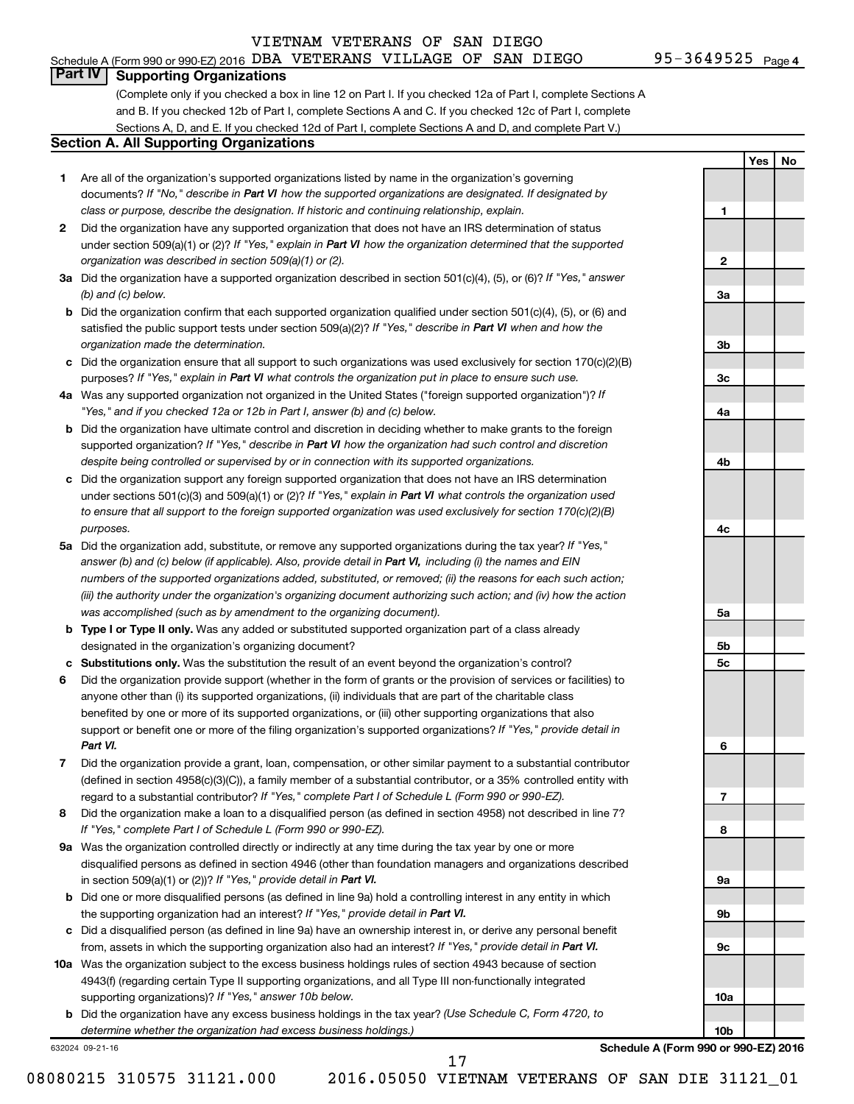# Schedule A (Form 990 or 990-EZ) 2016 DBA VETERANS VILLAGE OF SAN DIEGO  $95-3649525$  Page

**1**

**2**

**3a**

**3b**

**3c**

**4a**

**4b**

**4c**

**5a**

**5b 5c**

**6**

**7**

**8**

**9a**

**9b**

**9c**

**10a**

**10b**

**Yes No**

#### **Part IV Supporting Organizations**

(Complete only if you checked a box in line 12 on Part I. If you checked 12a of Part I, complete Sections A and B. If you checked 12b of Part I, complete Sections A and C. If you checked 12c of Part I, complete Sections A, D, and E. If you checked 12d of Part I, complete Sections A and D, and complete Part V.)

#### **Section A. All Supporting Organizations**

- **1** Are all of the organization's supported organizations listed by name in the organization's governing documents? If "No," describe in Part VI how the supported organizations are designated. If designated by *class or purpose, describe the designation. If historic and continuing relationship, explain.*
- **2** Did the organization have any supported organization that does not have an IRS determination of status under section 509(a)(1) or (2)? If "Yes," explain in Part VI how the organization determined that the supported *organization was described in section 509(a)(1) or (2).*
- **3a** Did the organization have a supported organization described in section 501(c)(4), (5), or (6)? If "Yes," answer *(b) and (c) below.*
- **b** Did the organization confirm that each supported organization qualified under section 501(c)(4), (5), or (6) and satisfied the public support tests under section 509(a)(2)? If "Yes," describe in Part VI when and how the *organization made the determination.*
- **c** Did the organization ensure that all support to such organizations was used exclusively for section 170(c)(2)(B) purposes? If "Yes," explain in Part VI what controls the organization put in place to ensure such use.
- **4 a** *If* Was any supported organization not organized in the United States ("foreign supported organization")? *"Yes," and if you checked 12a or 12b in Part I, answer (b) and (c) below.*
- **b** Did the organization have ultimate control and discretion in deciding whether to make grants to the foreign supported organization? If "Yes," describe in Part VI how the organization had such control and discretion *despite being controlled or supervised by or in connection with its supported organizations.*
- **c** Did the organization support any foreign supported organization that does not have an IRS determination under sections 501(c)(3) and 509(a)(1) or (2)? If "Yes," explain in Part VI what controls the organization used *to ensure that all support to the foreign supported organization was used exclusively for section 170(c)(2)(B) purposes.*
- **5a** Did the organization add, substitute, or remove any supported organizations during the tax year? If "Yes," answer (b) and (c) below (if applicable). Also, provide detail in Part VI, including (i) the names and EIN *numbers of the supported organizations added, substituted, or removed; (ii) the reasons for each such action; (iii) the authority under the organization's organizing document authorizing such action; and (iv) how the action was accomplished (such as by amendment to the organizing document).*
- **b Type I or Type II only.** Was any added or substituted supported organization part of a class already designated in the organization's organizing document?
- **c Substitutions only.**  Was the substitution the result of an event beyond the organization's control?
- **6** Did the organization provide support (whether in the form of grants or the provision of services or facilities) to support or benefit one or more of the filing organization's supported organizations? If "Yes," provide detail in anyone other than (i) its supported organizations, (ii) individuals that are part of the charitable class benefited by one or more of its supported organizations, or (iii) other supporting organizations that also *Part VI.*
- **7** Did the organization provide a grant, loan, compensation, or other similar payment to a substantial contributor regard to a substantial contributor? If "Yes," complete Part I of Schedule L (Form 990 or 990-EZ). (defined in section 4958(c)(3)(C)), a family member of a substantial contributor, or a 35% controlled entity with
- **8** Did the organization make a loan to a disqualified person (as defined in section 4958) not described in line 7? *If "Yes," complete Part I of Schedule L (Form 990 or 990-EZ).*
- **9 a** Was the organization controlled directly or indirectly at any time during the tax year by one or more in section 509(a)(1) or (2))? If "Yes," provide detail in **Part VI.** disqualified persons as defined in section 4946 (other than foundation managers and organizations described
- **b** Did one or more disqualified persons (as defined in line 9a) hold a controlling interest in any entity in which the supporting organization had an interest? If "Yes," provide detail in Part VI.
- **c** Did a disqualified person (as defined in line 9a) have an ownership interest in, or derive any personal benefit from, assets in which the supporting organization also had an interest? If "Yes," provide detail in Part VI.
- **10 a** Was the organization subject to the excess business holdings rules of section 4943 because of section supporting organizations)? If "Yes," answer 10b below. 4943(f) (regarding certain Type II supporting organizations, and all Type III non-functionally integrated
	- **b** Did the organization have any excess business holdings in the tax year? (Use Schedule C, Form 4720, to *determine whether the organization had excess business holdings.)*

632024 09-21-16

**Schedule A (Form 990 or 990-EZ) 2016**

08080215 310575 31121.000 2016.05050 VIETNAM VETERANS OF SAN DIE 31121\_01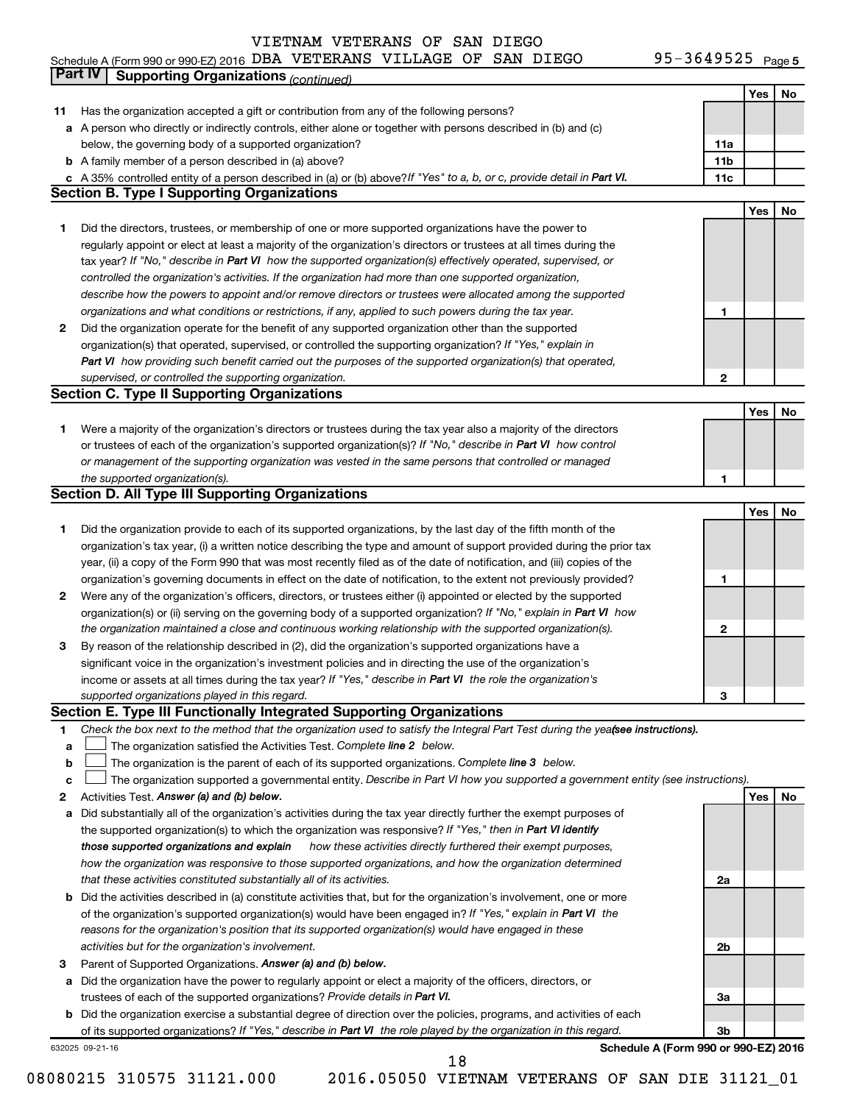Schedule A (Form 990 or 990-EZ) 2016 Page DBA VETERANS VILLAGE OF SAN DIEGO 95-3649525

|    | Part IV<br><b>Supporting Organizations (continued)</b>                                                                          |                 |     |    |
|----|---------------------------------------------------------------------------------------------------------------------------------|-----------------|-----|----|
|    |                                                                                                                                 |                 | Yes | No |
| 11 | Has the organization accepted a gift or contribution from any of the following persons?                                         |                 |     |    |
|    | a A person who directly or indirectly controls, either alone or together with persons described in (b) and (c)                  |                 |     |    |
|    | below, the governing body of a supported organization?                                                                          | 11a             |     |    |
|    | <b>b</b> A family member of a person described in (a) above?                                                                    | 11 <sub>b</sub> |     |    |
|    | c A 35% controlled entity of a person described in (a) or (b) above? If "Yes" to a, b, or c, provide detail in Part VI.         | 11c             |     |    |
|    | <b>Section B. Type I Supporting Organizations</b>                                                                               |                 |     |    |
|    |                                                                                                                                 |                 | Yes | No |
| 1  | Did the directors, trustees, or membership of one or more supported organizations have the power to                             |                 |     |    |
|    | regularly appoint or elect at least a majority of the organization's directors or trustees at all times during the              |                 |     |    |
|    |                                                                                                                                 |                 |     |    |
|    | tax year? If "No," describe in Part VI how the supported organization(s) effectively operated, supervised, or                   |                 |     |    |
|    | controlled the organization's activities. If the organization had more than one supported organization,                         |                 |     |    |
|    | describe how the powers to appoint and/or remove directors or trustees were allocated among the supported                       |                 |     |    |
|    | organizations and what conditions or restrictions, if any, applied to such powers during the tax year.                          | 1               |     |    |
| 2  | Did the organization operate for the benefit of any supported organization other than the supported                             |                 |     |    |
|    | organization(s) that operated, supervised, or controlled the supporting organization? If "Yes," explain in                      |                 |     |    |
|    | Part VI how providing such benefit carried out the purposes of the supported organization(s) that operated,                     |                 |     |    |
|    | supervised, or controlled the supporting organization.                                                                          | $\mathbf{2}$    |     |    |
|    | <b>Section C. Type II Supporting Organizations</b>                                                                              |                 |     |    |
|    |                                                                                                                                 |                 | Yes | No |
| 1. | Were a majority of the organization's directors or trustees during the tax year also a majority of the directors                |                 |     |    |
|    | or trustees of each of the organization's supported organization(s)? If "No," describe in Part VI how control                   |                 |     |    |
|    | or management of the supporting organization was vested in the same persons that controlled or managed                          |                 |     |    |
|    | the supported organization(s).                                                                                                  | 1               |     |    |
|    | <b>Section D. All Type III Supporting Organizations</b>                                                                         |                 |     |    |
|    |                                                                                                                                 |                 | Yes | No |
| 1  | Did the organization provide to each of its supported organizations, by the last day of the fifth month of the                  |                 |     |    |
|    | organization's tax year, (i) a written notice describing the type and amount of support provided during the prior tax           |                 |     |    |
|    | year, (ii) a copy of the Form 990 that was most recently filed as of the date of notification, and (iii) copies of the          |                 |     |    |
|    | organization's governing documents in effect on the date of notification, to the extent not previously provided?                | 1               |     |    |
| 2  | Were any of the organization's officers, directors, or trustees either (i) appointed or elected by the supported                |                 |     |    |
|    | organization(s) or (ii) serving on the governing body of a supported organization? If "No," explain in Part VI how              |                 |     |    |
|    | the organization maintained a close and continuous working relationship with the supported organization(s).                     | 2               |     |    |
| 3  | By reason of the relationship described in (2), did the organization's supported organizations have a                           |                 |     |    |
|    | significant voice in the organization's investment policies and in directing the use of the organization's                      |                 |     |    |
|    | income or assets at all times during the tax year? If "Yes," describe in Part VI the role the organization's                    |                 |     |    |
|    |                                                                                                                                 |                 |     |    |
|    | supported organizations played in this regard.                                                                                  | з               |     |    |
|    | Section E. Type III Functionally Integrated Supporting Organizations                                                            |                 |     |    |
| 1  | Check the box next to the method that the organization used to satisfy the Integral Part Test during the yea(see instructions). |                 |     |    |
| а  | The organization satisfied the Activities Test. Complete line 2 below.                                                          |                 |     |    |
| b  | The organization is the parent of each of its supported organizations. Complete line 3 below.                                   |                 |     |    |
| с  | The organization supported a governmental entity. Describe in Part VI how you supported a government entity (see instructions). |                 |     |    |
| 2  | Activities Test. Answer (a) and (b) below.                                                                                      |                 | Yes | No |
| а  | Did substantially all of the organization's activities during the tax year directly further the exempt purposes of              |                 |     |    |
|    | the supported organization(s) to which the organization was responsive? If "Yes," then in Part VI identify                      |                 |     |    |
|    | those supported organizations and explain<br>how these activities directly furthered their exempt purposes,                     |                 |     |    |
|    | how the organization was responsive to those supported organizations, and how the organization determined                       |                 |     |    |
|    | that these activities constituted substantially all of its activities.                                                          | 2a              |     |    |
| b  | Did the activities described in (a) constitute activities that, but for the organization's involvement, one or more             |                 |     |    |
|    | of the organization's supported organization(s) would have been engaged in? If "Yes," explain in Part VI the                    |                 |     |    |
|    | reasons for the organization's position that its supported organization(s) would have engaged in these                          |                 |     |    |
|    | activities but for the organization's involvement.                                                                              | 2b              |     |    |
| 3  | Parent of Supported Organizations. Answer (a) and (b) below.                                                                    |                 |     |    |
| а  | Did the organization have the power to regularly appoint or elect a majority of the officers, directors, or                     |                 |     |    |
|    | trustees of each of the supported organizations? Provide details in Part VI.                                                    | За              |     |    |
|    | <b>b</b> Did the organization exercise a substantial degree of direction over the policies, programs, and activities of each    |                 |     |    |
|    | of its supported organizations? If "Yes," describe in Part VI the role played by the organization in this regard.               | Зb              |     |    |
|    | Schedule A (Form 990 or 990-EZ) 2016<br>632025 09-21-16                                                                         |                 |     |    |
|    | 18                                                                                                                              |                 |     |    |

<sup>08080215 310575 31121.000 2016.05050</sup> VIETNAM VETERANS OF SAN DIE 31121\_01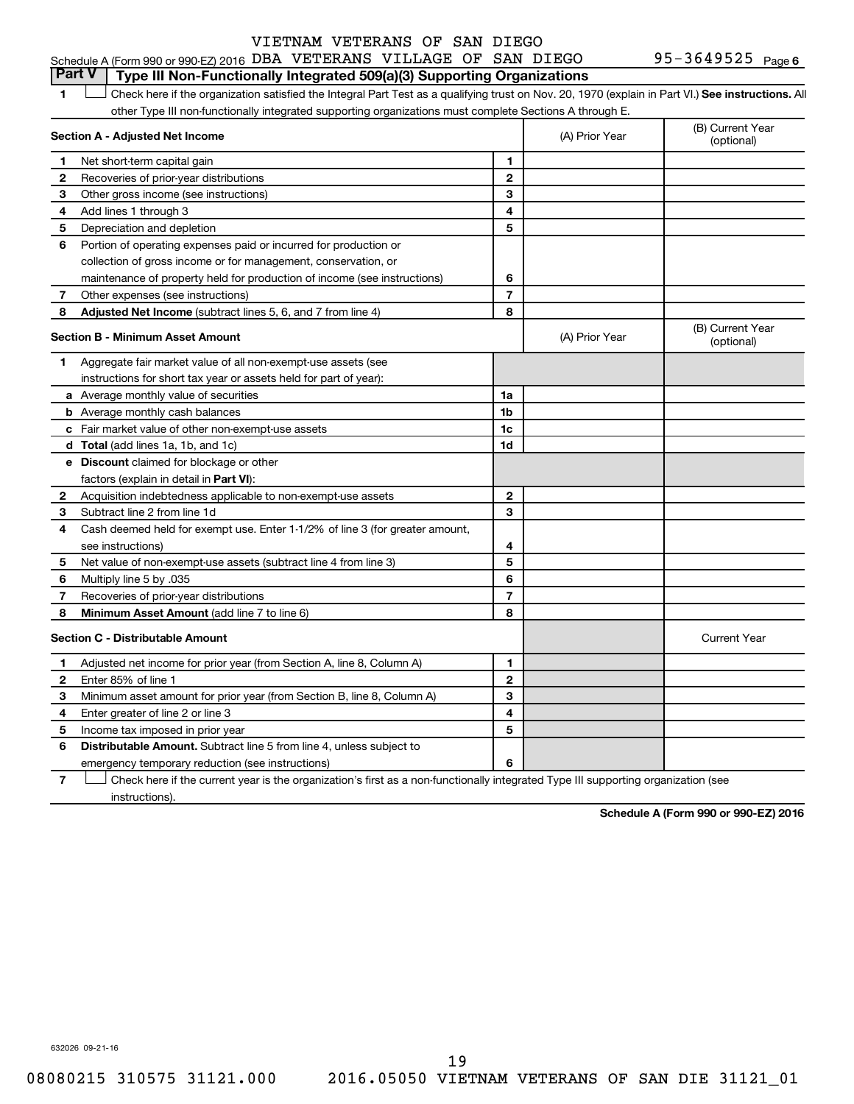#### Schedule A (Form 990 or 990-EZ) 2016 DBA VETERANS VILLAGE OF SAN DIEGO  $95-3649525$  Page **Part V Type III Non-Functionally Integrated 509(a)(3) Supporting Organizations**

1 **Letter See instructions.** All Check here if the organization satisfied the Integral Part Test as a qualifying trust on Nov. 20, 1970 (explain in Part VI.) See instructions. All other Type III non-functionally integrated supporting organizations must complete Sections A through E.

|    | Section A - Adjusted Net Income                                              |                | (A) Prior Year | (B) Current Year<br>(optional) |
|----|------------------------------------------------------------------------------|----------------|----------------|--------------------------------|
| 1. | Net short-term capital gain                                                  | 1              |                |                                |
| 2  | Recoveries of prior-year distributions                                       | $\overline{2}$ |                |                                |
| 3  | Other gross income (see instructions)                                        | 3              |                |                                |
| 4  | Add lines 1 through 3                                                        | 4              |                |                                |
| 5  | Depreciation and depletion                                                   | 5              |                |                                |
| 6  | Portion of operating expenses paid or incurred for production or             |                |                |                                |
|    | collection of gross income or for management, conservation, or               |                |                |                                |
|    | maintenance of property held for production of income (see instructions)     | 6              |                |                                |
| 7  | Other expenses (see instructions)                                            | $\overline{7}$ |                |                                |
| 8  | Adjusted Net Income (subtract lines 5, 6, and 7 from line 4)                 | 8              |                |                                |
|    | <b>Section B - Minimum Asset Amount</b>                                      |                | (A) Prior Year | (B) Current Year<br>(optional) |
| 1  | Aggregate fair market value of all non-exempt-use assets (see                |                |                |                                |
|    | instructions for short tax year or assets held for part of year):            |                |                |                                |
|    | a Average monthly value of securities                                        | 1a             |                |                                |
|    | <b>b</b> Average monthly cash balances                                       | 1 <sub>b</sub> |                |                                |
|    | c Fair market value of other non-exempt-use assets                           | 1c             |                |                                |
|    | <b>d</b> Total (add lines 1a, 1b, and 1c)                                    | 1d             |                |                                |
|    | e Discount claimed for blockage or other                                     |                |                |                                |
|    | factors (explain in detail in <b>Part VI</b> ):                              |                |                |                                |
| 2  | Acquisition indebtedness applicable to non-exempt-use assets                 | $\mathbf{2}$   |                |                                |
| З  | Subtract line 2 from line 1d                                                 | 3              |                |                                |
| 4  | Cash deemed held for exempt use. Enter 1-1/2% of line 3 (for greater amount, |                |                |                                |
|    | see instructions)                                                            | 4              |                |                                |
| 5  | Net value of non-exempt-use assets (subtract line 4 from line 3)             | 5              |                |                                |
| 6  | Multiply line 5 by .035                                                      | 6              |                |                                |
| 7  | Recoveries of prior-year distributions                                       | $\overline{7}$ |                |                                |
| 8  | Minimum Asset Amount (add line 7 to line 6)                                  | 8              |                |                                |
|    | <b>Section C - Distributable Amount</b>                                      |                |                | <b>Current Year</b>            |
| 1  | Adjusted net income for prior year (from Section A, line 8, Column A)        | 1              |                |                                |
| 2  | Enter 85% of line 1                                                          | $\overline{2}$ |                |                                |
| 3  | Minimum asset amount for prior year (from Section B, line 8, Column A)       | 3              |                |                                |
| 4  | Enter greater of line 2 or line 3                                            | 4              |                |                                |
| 5  | Income tax imposed in prior year                                             | 5              |                |                                |
| 6  | Distributable Amount. Subtract line 5 from line 4, unless subject to         |                |                |                                |
|    | emergency temporary reduction (see instructions)                             | 6              |                |                                |
|    |                                                                              |                |                |                                |

**7** Check here if the current year is the organization's first as a non-functionally integrated Type III supporting organization (see † instructions).

**Schedule A (Form 990 or 990-EZ) 2016**

632026 09-21-16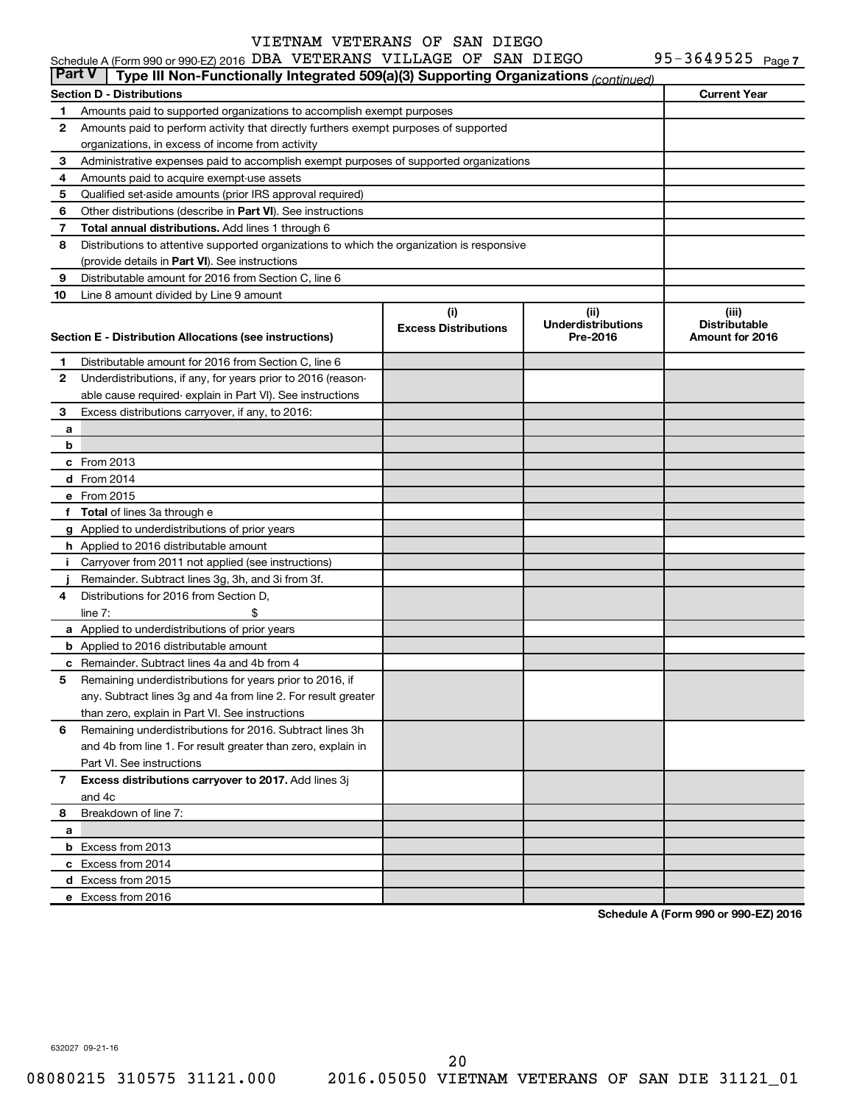#### **Section D - Distributions Current Year 1 2 3 4 5 6 7 8 9 10** Other distributions (describe in Part VI). See instructions **Total annual distributions.** Add lines 1 through 6 (provide details in Part VI). See instructions **(i) Excess Distributions (ii) Underdistributions Pre-2016 (iii) Distributable Section E - Distribution Allocations (see instructions) 1 2 3 4 5 6** Remaining underdistributions for 2016. Subtract lines 3h **7 8** Breakdown of line 7: **a b c** From 2013 **d** From 2014 **e** From 2015 **f Total**  of lines 3a through e **g** Applied to underdistributions of prior years **h** Applied to 2016 distributable amount **i** Carryover from 2011 not applied (see instructions) **j a** Applied to underdistributions of prior years **b** Applied to 2016 distributable amount **c** Remainder. Subtract lines 4a and 4b from 4 **Excess distributions carryover to 2017.**  Add lines 3j **a b** Excess from 2013 **c** Excess from 2014 **d** Excess from 2015 **e** Excess from 2016 Schedule A (Form 990 or 990-EZ) 2016 DBA VETERANS VILLAGE OF SAN DIEGO  $95-3649525$  Page Amounts paid to supported organizations to accomplish exempt purposes Amounts paid to perform activity that directly furthers exempt purposes of supported organizations, in excess of income from activity Administrative expenses paid to accomplish exempt purposes of supported organizations Amounts paid to acquire exempt-use assets Qualified set-aside amounts (prior IRS approval required) Distributions to attentive supported organizations to which the organization is responsive Distributable amount for 2016 from Section C, line 6 Line 8 amount divided by Line 9 amount Distributable amount for 2016 from Section C, line 6 Underdistributions, if any, for years prior to 2016 (reasonable cause required- explain in Part VI). See instructions Excess distributions carryover, if any, to 2016: Remainder. Subtract lines 3g, 3h, and 3i from 3f. Distributions for 2016 from Section D,  $line 7:$   $\$ Remaining underdistributions for years prior to 2016, if any. Subtract lines 3g and 4a from line 2. For result greater than zero, explain in Part VI. See instructions and 4b from line 1. For result greater than zero, explain in Part VI. See instructions and 4c **Part V Type III Non-Functionally Integrated 509(a)(3) Supporting Organizations** *(continued)*

**Schedule A (Form 990 or 990-EZ) 2016**

632027 09-21-16

08080215 310575 31121.000 2016.05050 VIETNAM VETERANS OF SAN DIE 31121\_01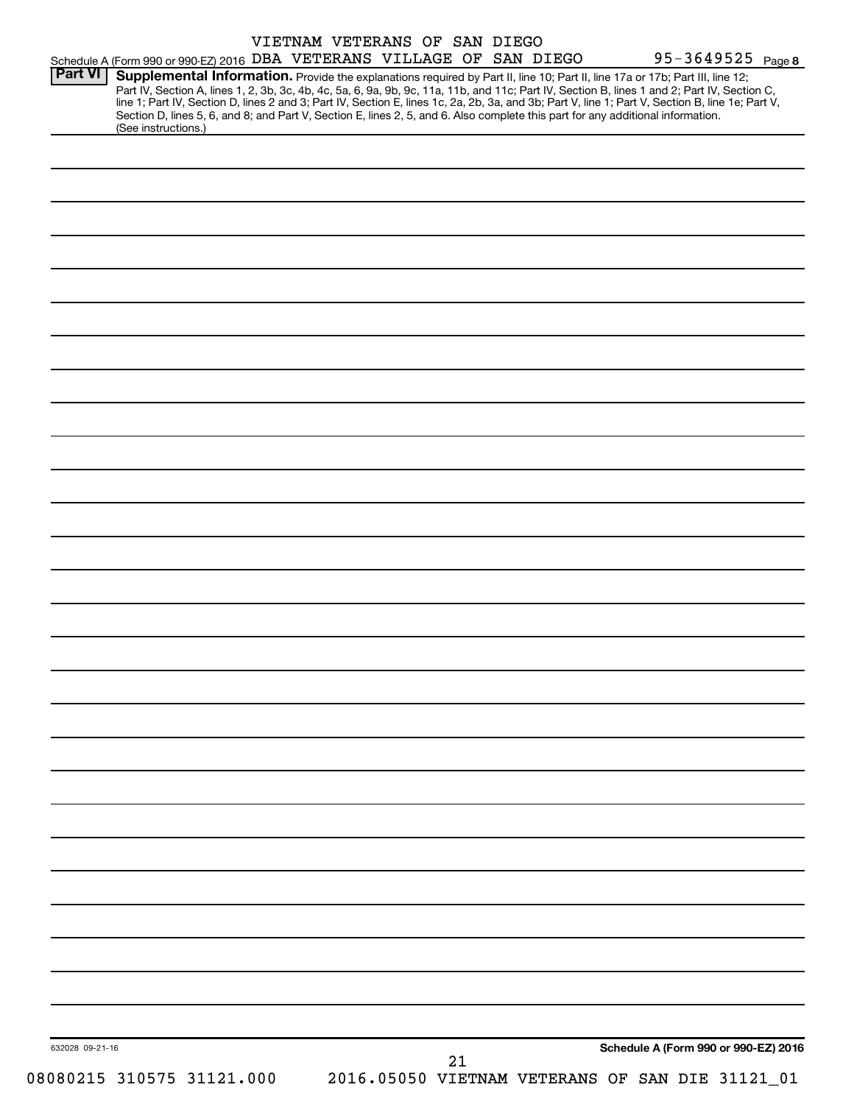| Schedule A (Form 990 or 990-EZ) 2016 DBA VETERANS VILLAGE OF SAN DIEGO<br>Supplemental Information. Provide the explanations required by Part II, line 10; Part II, line 17a or 17b; Part III, line 12;<br>Part IV, Section A, lines 1, 2, 3b, 3c, 4b, 4c, 5a, 6, 9a, 9b, 9c, 11a, 11b, and 11c; Part IV, Section B, lines 1 and 2; Part IV, Section C,<br>line 1; Part IV, Section D, lines 2 and 3; Part IV, Section E, lines 1c, 2a, 2b, 3a, and 3b; Part V, line 1; Part V, Section B, line 1e; Part V,<br>Section D, lines 5, 6, and 8; and Part V, Section E, lines 2, 5, and 6. Also complete this part for any additional information.<br>(See instructions.) |  |  |  |    |  | 95-3649525 Page 8 |                                                                                                                      |
|-----------------------------------------------------------------------------------------------------------------------------------------------------------------------------------------------------------------------------------------------------------------------------------------------------------------------------------------------------------------------------------------------------------------------------------------------------------------------------------------------------------------------------------------------------------------------------------------------------------------------------------------------------------------------|--|--|--|----|--|-------------------|----------------------------------------------------------------------------------------------------------------------|
|                                                                                                                                                                                                                                                                                                                                                                                                                                                                                                                                                                                                                                                                       |  |  |  |    |  |                   |                                                                                                                      |
|                                                                                                                                                                                                                                                                                                                                                                                                                                                                                                                                                                                                                                                                       |  |  |  |    |  |                   |                                                                                                                      |
|                                                                                                                                                                                                                                                                                                                                                                                                                                                                                                                                                                                                                                                                       |  |  |  |    |  |                   |                                                                                                                      |
|                                                                                                                                                                                                                                                                                                                                                                                                                                                                                                                                                                                                                                                                       |  |  |  |    |  |                   |                                                                                                                      |
|                                                                                                                                                                                                                                                                                                                                                                                                                                                                                                                                                                                                                                                                       |  |  |  |    |  |                   |                                                                                                                      |
|                                                                                                                                                                                                                                                                                                                                                                                                                                                                                                                                                                                                                                                                       |  |  |  |    |  |                   |                                                                                                                      |
|                                                                                                                                                                                                                                                                                                                                                                                                                                                                                                                                                                                                                                                                       |  |  |  |    |  |                   |                                                                                                                      |
|                                                                                                                                                                                                                                                                                                                                                                                                                                                                                                                                                                                                                                                                       |  |  |  |    |  |                   |                                                                                                                      |
|                                                                                                                                                                                                                                                                                                                                                                                                                                                                                                                                                                                                                                                                       |  |  |  |    |  |                   |                                                                                                                      |
|                                                                                                                                                                                                                                                                                                                                                                                                                                                                                                                                                                                                                                                                       |  |  |  |    |  |                   |                                                                                                                      |
|                                                                                                                                                                                                                                                                                                                                                                                                                                                                                                                                                                                                                                                                       |  |  |  |    |  |                   |                                                                                                                      |
|                                                                                                                                                                                                                                                                                                                                                                                                                                                                                                                                                                                                                                                                       |  |  |  |    |  |                   |                                                                                                                      |
|                                                                                                                                                                                                                                                                                                                                                                                                                                                                                                                                                                                                                                                                       |  |  |  |    |  |                   |                                                                                                                      |
|                                                                                                                                                                                                                                                                                                                                                                                                                                                                                                                                                                                                                                                                       |  |  |  |    |  |                   |                                                                                                                      |
|                                                                                                                                                                                                                                                                                                                                                                                                                                                                                                                                                                                                                                                                       |  |  |  |    |  |                   |                                                                                                                      |
|                                                                                                                                                                                                                                                                                                                                                                                                                                                                                                                                                                                                                                                                       |  |  |  |    |  |                   |                                                                                                                      |
|                                                                                                                                                                                                                                                                                                                                                                                                                                                                                                                                                                                                                                                                       |  |  |  |    |  |                   |                                                                                                                      |
|                                                                                                                                                                                                                                                                                                                                                                                                                                                                                                                                                                                                                                                                       |  |  |  |    |  |                   |                                                                                                                      |
|                                                                                                                                                                                                                                                                                                                                                                                                                                                                                                                                                                                                                                                                       |  |  |  |    |  |                   |                                                                                                                      |
|                                                                                                                                                                                                                                                                                                                                                                                                                                                                                                                                                                                                                                                                       |  |  |  |    |  |                   |                                                                                                                      |
|                                                                                                                                                                                                                                                                                                                                                                                                                                                                                                                                                                                                                                                                       |  |  |  |    |  |                   |                                                                                                                      |
|                                                                                                                                                                                                                                                                                                                                                                                                                                                                                                                                                                                                                                                                       |  |  |  |    |  |                   |                                                                                                                      |
|                                                                                                                                                                                                                                                                                                                                                                                                                                                                                                                                                                                                                                                                       |  |  |  |    |  |                   |                                                                                                                      |
|                                                                                                                                                                                                                                                                                                                                                                                                                                                                                                                                                                                                                                                                       |  |  |  |    |  |                   |                                                                                                                      |
|                                                                                                                                                                                                                                                                                                                                                                                                                                                                                                                                                                                                                                                                       |  |  |  |    |  |                   |                                                                                                                      |
|                                                                                                                                                                                                                                                                                                                                                                                                                                                                                                                                                                                                                                                                       |  |  |  |    |  |                   |                                                                                                                      |
|                                                                                                                                                                                                                                                                                                                                                                                                                                                                                                                                                                                                                                                                       |  |  |  |    |  |                   |                                                                                                                      |
|                                                                                                                                                                                                                                                                                                                                                                                                                                                                                                                                                                                                                                                                       |  |  |  |    |  |                   |                                                                                                                      |
|                                                                                                                                                                                                                                                                                                                                                                                                                                                                                                                                                                                                                                                                       |  |  |  |    |  |                   |                                                                                                                      |
|                                                                                                                                                                                                                                                                                                                                                                                                                                                                                                                                                                                                                                                                       |  |  |  |    |  |                   |                                                                                                                      |
|                                                                                                                                                                                                                                                                                                                                                                                                                                                                                                                                                                                                                                                                       |  |  |  |    |  |                   |                                                                                                                      |
|                                                                                                                                                                                                                                                                                                                                                                                                                                                                                                                                                                                                                                                                       |  |  |  |    |  |                   |                                                                                                                      |
|                                                                                                                                                                                                                                                                                                                                                                                                                                                                                                                                                                                                                                                                       |  |  |  |    |  |                   |                                                                                                                      |
|                                                                                                                                                                                                                                                                                                                                                                                                                                                                                                                                                                                                                                                                       |  |  |  |    |  |                   |                                                                                                                      |
|                                                                                                                                                                                                                                                                                                                                                                                                                                                                                                                                                                                                                                                                       |  |  |  |    |  |                   |                                                                                                                      |
|                                                                                                                                                                                                                                                                                                                                                                                                                                                                                                                                                                                                                                                                       |  |  |  |    |  |                   |                                                                                                                      |
|                                                                                                                                                                                                                                                                                                                                                                                                                                                                                                                                                                                                                                                                       |  |  |  |    |  |                   |                                                                                                                      |
|                                                                                                                                                                                                                                                                                                                                                                                                                                                                                                                                                                                                                                                                       |  |  |  |    |  |                   |                                                                                                                      |
|                                                                                                                                                                                                                                                                                                                                                                                                                                                                                                                                                                                                                                                                       |  |  |  |    |  |                   |                                                                                                                      |
|                                                                                                                                                                                                                                                                                                                                                                                                                                                                                                                                                                                                                                                                       |  |  |  |    |  |                   |                                                                                                                      |
|                                                                                                                                                                                                                                                                                                                                                                                                                                                                                                                                                                                                                                                                       |  |  |  |    |  |                   |                                                                                                                      |
|                                                                                                                                                                                                                                                                                                                                                                                                                                                                                                                                                                                                                                                                       |  |  |  |    |  |                   |                                                                                                                      |
|                                                                                                                                                                                                                                                                                                                                                                                                                                                                                                                                                                                                                                                                       |  |  |  |    |  |                   |                                                                                                                      |
|                                                                                                                                                                                                                                                                                                                                                                                                                                                                                                                                                                                                                                                                       |  |  |  |    |  |                   |                                                                                                                      |
|                                                                                                                                                                                                                                                                                                                                                                                                                                                                                                                                                                                                                                                                       |  |  |  |    |  |                   |                                                                                                                      |
|                                                                                                                                                                                                                                                                                                                                                                                                                                                                                                                                                                                                                                                                       |  |  |  |    |  |                   |                                                                                                                      |
|                                                                                                                                                                                                                                                                                                                                                                                                                                                                                                                                                                                                                                                                       |  |  |  |    |  |                   |                                                                                                                      |
|                                                                                                                                                                                                                                                                                                                                                                                                                                                                                                                                                                                                                                                                       |  |  |  |    |  |                   |                                                                                                                      |
|                                                                                                                                                                                                                                                                                                                                                                                                                                                                                                                                                                                                                                                                       |  |  |  |    |  |                   |                                                                                                                      |
|                                                                                                                                                                                                                                                                                                                                                                                                                                                                                                                                                                                                                                                                       |  |  |  |    |  |                   |                                                                                                                      |
|                                                                                                                                                                                                                                                                                                                                                                                                                                                                                                                                                                                                                                                                       |  |  |  |    |  |                   |                                                                                                                      |
|                                                                                                                                                                                                                                                                                                                                                                                                                                                                                                                                                                                                                                                                       |  |  |  |    |  |                   |                                                                                                                      |
|                                                                                                                                                                                                                                                                                                                                                                                                                                                                                                                                                                                                                                                                       |  |  |  |    |  |                   |                                                                                                                      |
|                                                                                                                                                                                                                                                                                                                                                                                                                                                                                                                                                                                                                                                                       |  |  |  |    |  |                   |                                                                                                                      |
|                                                                                                                                                                                                                                                                                                                                                                                                                                                                                                                                                                                                                                                                       |  |  |  |    |  |                   |                                                                                                                      |
|                                                                                                                                                                                                                                                                                                                                                                                                                                                                                                                                                                                                                                                                       |  |  |  |    |  |                   |                                                                                                                      |
|                                                                                                                                                                                                                                                                                                                                                                                                                                                                                                                                                                                                                                                                       |  |  |  |    |  |                   |                                                                                                                      |
|                                                                                                                                                                                                                                                                                                                                                                                                                                                                                                                                                                                                                                                                       |  |  |  | 21 |  |                   | Schedule A (Form 990 or 990-EZ) 2016<br>08080215 310575 31121.000<br>2016.05050 VIETNAM VETERANS OF SAN DIE 31121_01 |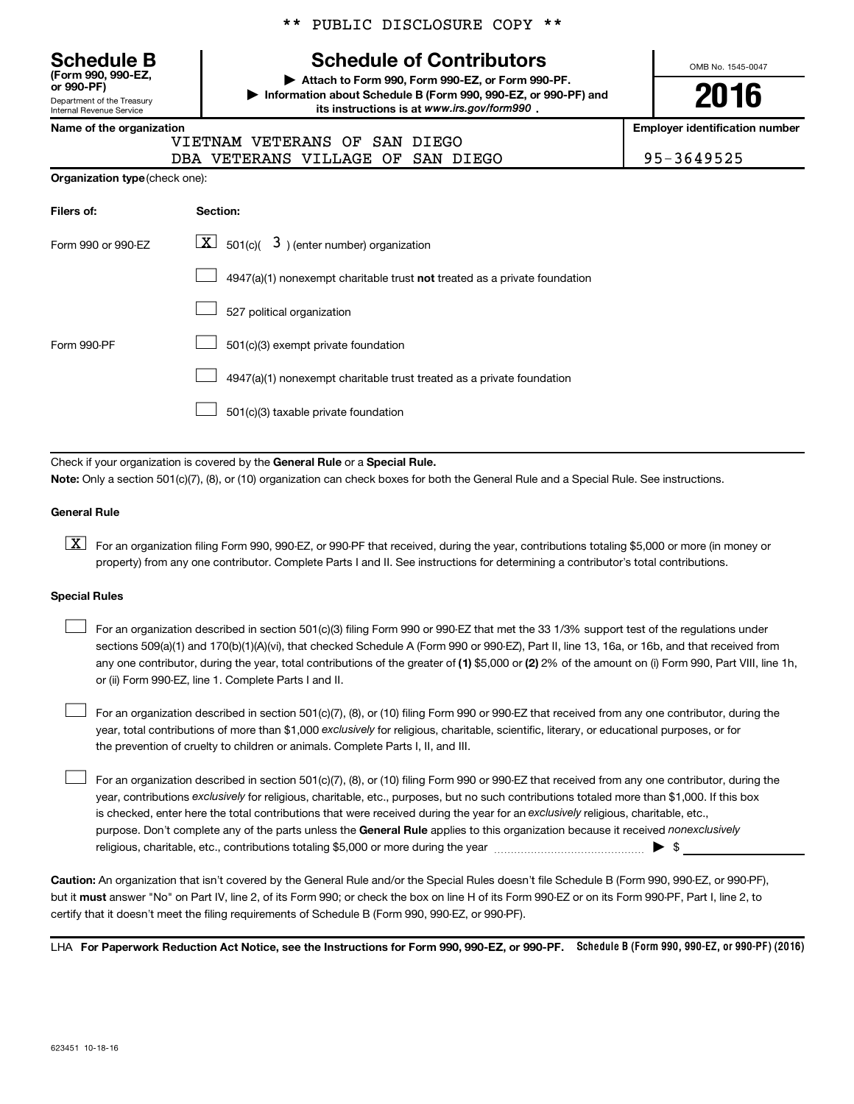Department of the Treasury **(Form 990, 990-EZ,**

Internal Revenue Service

#### \*\* PUBLIC DISCLOSURE COPY \*\*

# **Schedule B Schedule of Contributors**

**or 990-PF) | Attach to Form 990, Form 990-EZ, or Form 990-PF. | Information about Schedule B (Form 990, 990-EZ, or 990-PF) and** its instructions is at www.irs.gov/form990.

OMB No. 1545-0047

**2016**

**Name of the organization Employer identification number**

| VIETNAM VETERANS OF SAN DIEGO |                                   |            |
|-------------------------------|-----------------------------------|------------|
|                               | DBA VETERANS VILLAGE OF SAN DIEGO | 95-3649525 |

|  | Organization type (check one): |
|--|--------------------------------|
|--|--------------------------------|

| Filers of:         | Section:                                                                  |
|--------------------|---------------------------------------------------------------------------|
| Form 990 or 990-EZ | $\lfloor \underline{X} \rfloor$ 501(c)( 3) (enter number) organization    |
|                    | 4947(a)(1) nonexempt charitable trust not treated as a private foundation |
|                    | 527 political organization                                                |
| Form 990-PF        | 501(c)(3) exempt private foundation                                       |
|                    | 4947(a)(1) nonexempt charitable trust treated as a private foundation     |
|                    | 501(c)(3) taxable private foundation                                      |

Check if your organization is covered by the General Rule or a Special Rule.

**Note:**  Only a section 501(c)(7), (8), or (10) organization can check boxes for both the General Rule and a Special Rule. See instructions.

#### **General Rule**

**K** For an organization filing Form 990, 990-EZ, or 990-PF that received, during the year, contributions totaling \$5,000 or more (in money or property) from any one contributor. Complete Parts I and II. See instructions for determining a contributor's total contributions.

#### **Special Rules**

 $\Box$ 

any one contributor, during the year, total contributions of the greater of **(1)** \$5,000 or **(2)** 2% of the amount on (i) Form 990, Part VIII, line 1h, For an organization described in section 501(c)(3) filing Form 990 or 990-EZ that met the 33 1/3% support test of the regulations under sections 509(a)(1) and 170(b)(1)(A)(vi), that checked Schedule A (Form 990 or 990-EZ), Part II, line 13, 16a, or 16b, and that received from or (ii) Form 990-EZ, line 1. Complete Parts I and II.  $\Box$ 

year, total contributions of more than \$1,000 *exclusively* for religious, charitable, scientific, literary, or educational purposes, or for For an organization described in section 501(c)(7), (8), or (10) filing Form 990 or 990-EZ that received from any one contributor, during the the prevention of cruelty to children or animals. Complete Parts I, II, and III.  $\Box$ 

purpose. Don't complete any of the parts unless the General Rule applies to this organization because it received nonexclusively year, contributions exclusively for religious, charitable, etc., purposes, but no such contributions totaled more than \$1,000. If this box is checked, enter here the total contributions that were received during the year for an exclusively religious, charitable, etc., For an organization described in section 501(c)(7), (8), or (10) filing Form 990 or 990-EZ that received from any one contributor, during the religious, charitable, etc., contributions totaling \$5,000 or more during the year  $\ldots$  $\ldots$  $\ldots$  $\ldots$  $\ldots$  $\ldots$ 

**Caution:**  An organization that isn't covered by the General Rule and/or the Special Rules doesn't file Schedule B (Form 990, 990-EZ, or 990-PF),  **must** but it answer "No" on Part IV, line 2, of its Form 990; or check the box on line H of its Form 990-EZ or on its Form 990-PF, Part I, line 2, to certify that it doesn't meet the filing requirements of Schedule B (Form 990, 990-EZ, or 990-PF).

LHA For Paperwork Reduction Act Notice, see the Instructions for Form 990, 990-EZ, or 990-PF. Schedule B (Form 990, 990-EZ, or 990-PF) (2016)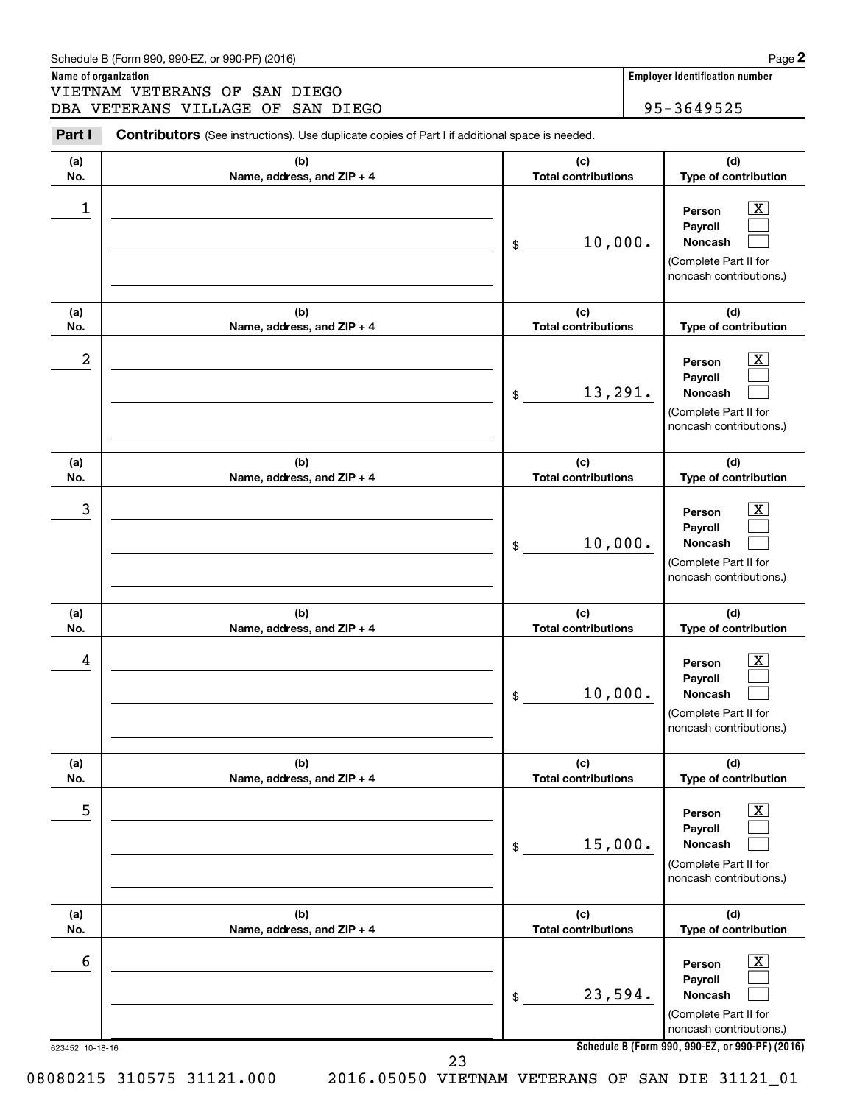| Schedule B (Form 990, 990-EZ, or 990-PF) (2016)<br>. , , , , , , , , , | Page |
|------------------------------------------------------------------------|------|
|------------------------------------------------------------------------|------|

**Name of organization Employer identification number**

| Part I               | <b>Contributors</b> (See instructions). Use duplicate copies of Part I if additional space is needed. |                                   |                                                                                                                                                              |
|----------------------|-------------------------------------------------------------------------------------------------------|-----------------------------------|--------------------------------------------------------------------------------------------------------------------------------------------------------------|
| (a)<br>No.           | (b)<br>Name, address, and ZIP + 4                                                                     | (c)<br><b>Total contributions</b> | (d)<br>Type of contribution                                                                                                                                  |
| $\mathbf 1$          |                                                                                                       | 10,000.<br>\$                     | $\overline{\mathbf{X}}$<br>Person<br>Payroll<br>Noncash<br>(Complete Part II for<br>noncash contributions.)                                                  |
| (a)<br>No.           | (b)<br>Name, address, and ZIP + 4                                                                     | (c)<br><b>Total contributions</b> | (d)<br>Type of contribution                                                                                                                                  |
| 2                    |                                                                                                       | 13,291.<br>\$                     | $\overline{\mathbf{X}}$<br>Person<br>Payroll<br>Noncash<br>(Complete Part II for<br>noncash contributions.)                                                  |
| (a)<br>No.           | (b)<br>Name, address, and ZIP + 4                                                                     | (c)<br><b>Total contributions</b> | (d)<br>Type of contribution                                                                                                                                  |
| 3                    |                                                                                                       | 10,000.<br>\$                     | $\overline{\mathbf{X}}$<br>Person<br>Payroll<br>Noncash<br>(Complete Part II for<br>noncash contributions.)                                                  |
| (a)<br>No.           | (b)<br>Name, address, and ZIP + 4                                                                     | (c)<br><b>Total contributions</b> | (d)<br>Type of contribution                                                                                                                                  |
|                      |                                                                                                       |                                   |                                                                                                                                                              |
| 4                    |                                                                                                       | 10,000.<br>\$                     | $\overline{\mathbf{X}}$<br>Person<br>Payroll<br>Noncash<br>(Complete Part II for<br>noncash contributions.)                                                  |
| (a)<br>No.           | (b)<br>Name, address, and ZIP + 4                                                                     | (c)<br><b>Total contributions</b> | (d)<br>Type of contribution                                                                                                                                  |
| 5                    |                                                                                                       | 15,000.<br>\$                     | $\overline{\text{X}}$<br>Person<br>Payroll<br>Noncash<br>(Complete Part II for<br>noncash contributions.)                                                    |
| (a)<br>No.           | (b)<br>Name, address, and ZIP + 4                                                                     | (c)<br><b>Total contributions</b> | (d)<br>Type of contribution                                                                                                                                  |
| 6<br>623452 10-18-16 |                                                                                                       | 23,594.<br>\$                     | $\overline{\text{X}}$<br>Person<br>Payroll<br>Noncash<br>(Complete Part II for<br>noncash contributions.)<br>Schedule B (Form 990, 990-EZ, or 990-PF) (2016) |

08080215 310575 31121.000 2016.05050 VIETNAM VETERANS OF SAN DIE 31121\_01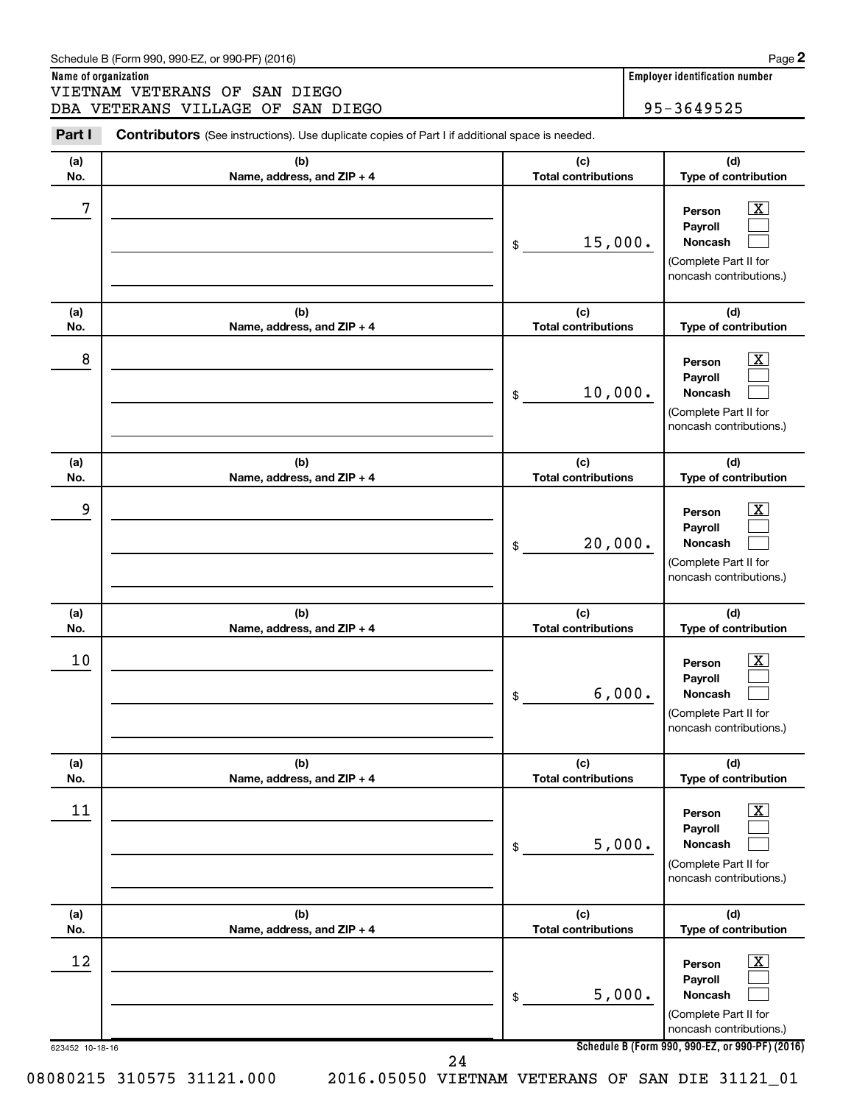| Schedule B (Form 990, 990-EZ, or 990-PF) (2016)<br>. , , , , , , , , , | Page |
|------------------------------------------------------------------------|------|
|------------------------------------------------------------------------|------|

**Name of organization Employer identification number**

| (a) | (b)                        | (c)                        | (d)                                                                                                                |
|-----|----------------------------|----------------------------|--------------------------------------------------------------------------------------------------------------------|
| No. | Name, address, and ZIP + 4 | <b>Total contributions</b> | Type of contribution                                                                                               |
| 7   |                            | 15,000.<br>\$              | $\overline{\mathbf{X}}$<br>Person<br>Payroll<br><b>Noncash</b><br>(Complete Part II for<br>noncash contributions.) |
| (a) | (b)                        | (c)                        | (d)                                                                                                                |
| No. | Name, address, and ZIP + 4 | <b>Total contributions</b> | Type of contribution                                                                                               |
| 8   |                            | 10,000.<br>\$              | $\overline{\text{X}}$<br>Person<br>Payroll<br><b>Noncash</b><br>(Complete Part II for<br>noncash contributions.)   |
| (a) | (b)                        | (c)                        | (d)                                                                                                                |
| No. | Name, address, and ZIP + 4 | <b>Total contributions</b> | Type of contribution                                                                                               |
| 9   |                            | 20,000.<br>\$              | $\overline{\mathbf{X}}$<br>Person<br>Payroll<br><b>Noncash</b><br>(Complete Part II for<br>noncash contributions.) |
| (a) | (b)                        | (c)                        | (d)                                                                                                                |
| No. | Name, address, and ZIP + 4 | <b>Total contributions</b> | Type of contribution                                                                                               |
| 10  |                            | 6,000.<br>\$               | $\overline{\text{X}}$<br>Person<br>Payroll<br><b>Noncash</b><br>(Complete Part II for<br>noncash contributions.)   |
| (a) | (b)                        | (c)                        | (d)                                                                                                                |
| No. | Name, address, and ZIP + 4 | <b>Total contributions</b> | Type of contribution                                                                                               |
| 11  |                            | 5,000.<br>\$               | $\overline{\mathbf{X}}$<br>Person<br>Payroll<br><b>Noncash</b><br>(Complete Part II for<br>noncash contributions.) |
| (a) | (b)                        | (c)                        | (d)                                                                                                                |
| No. | Name, address, and ZIP + 4 | <b>Total contributions</b> | Type of contribution                                                                                               |
| 12  |                            | 5,000.<br>\$               | $\mathbf{X}$<br>Person<br>Payroll<br><b>Noncash</b><br>(Complete Part II for<br>noncash contributions.)            |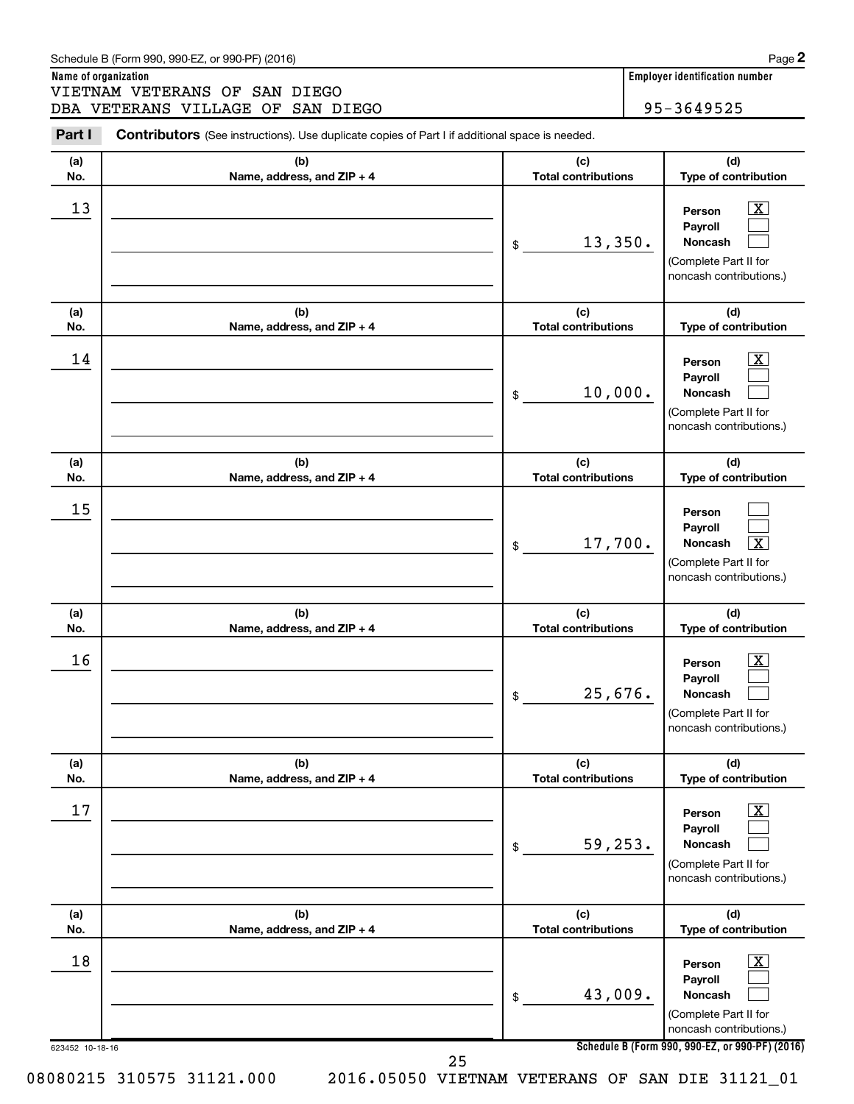|  | Schedule B (Form 990, 990-EZ, or 990-PF) (2016) |  |  | Page |
|--|-------------------------------------------------|--|--|------|
|--|-------------------------------------------------|--|--|------|

**Name of organization Employer identification number**

|                       | Contributors (See instructions). Use duplicate copies of Part I if additional space is needed. |                                   |                                                                                                                                                              |
|-----------------------|------------------------------------------------------------------------------------------------|-----------------------------------|--------------------------------------------------------------------------------------------------------------------------------------------------------------|
| (a)<br>No.            | (b)<br>Name, address, and ZIP + 4                                                              | (c)<br><b>Total contributions</b> | (d)<br>Type of contribution                                                                                                                                  |
| 13                    |                                                                                                | 13,350.<br>\$                     | $\overline{\text{X}}$<br>Person<br>Payroll<br><b>Noncash</b><br>(Complete Part II for<br>noncash contributions.)                                             |
| (a)<br>No.            | (b)<br>Name, address, and ZIP + 4                                                              | (c)<br><b>Total contributions</b> | (d)<br>Type of contribution                                                                                                                                  |
| 14                    |                                                                                                | 10,000.<br>\$                     | $\overline{\text{X}}$<br>Person<br>Payroll<br><b>Noncash</b><br>(Complete Part II for<br>noncash contributions.)                                             |
| (a)<br>No.            | (b)<br>Name, address, and ZIP + 4                                                              | (c)<br><b>Total contributions</b> | (d)<br>Type of contribution                                                                                                                                  |
| 15                    |                                                                                                | 17,700.<br>\$                     | Person<br>Payroll<br>$\overline{\textbf{x}}$<br><b>Noncash</b><br>(Complete Part II for<br>noncash contributions.)                                           |
| (a)<br>No.            | (b)<br>Name, address, and ZIP + 4                                                              | (c)<br><b>Total contributions</b> | (d)<br>Type of contribution                                                                                                                                  |
| 16                    |                                                                                                |                                   | $\overline{\text{X}}$<br>Person<br>Payroll                                                                                                                   |
|                       |                                                                                                | 25,676.<br>\$                     | <b>Noncash</b><br>(Complete Part II for<br>noncash contributions.)                                                                                           |
| (a)<br>No.            | (b)<br>Name, address, and ZIP + 4                                                              | (c)<br><b>Total contributions</b> | (d)<br>Type of contribution                                                                                                                                  |
| 17                    |                                                                                                | 59,253.<br>\$                     | $\overline{\text{X}}$<br>Person<br>Payroll<br>Noncash<br>(Complete Part II for<br>noncash contributions.)                                                    |
| (a)<br>No.            | (b)<br>Name, address, and ZIP + 4                                                              | (c)<br><b>Total contributions</b> | (d)<br>Type of contribution                                                                                                                                  |
| 18<br>623452 10-18-16 |                                                                                                | 43,009.<br>\$                     | $\overline{\text{X}}$<br>Person<br>Payroll<br>Noncash<br>(Complete Part II for<br>noncash contributions.)<br>Schedule B (Form 990, 990-EZ, or 990-PF) (2016) |

08080215 310575 31121.000 2016.05050 VIETNAM VETERANS OF SAN DIE 31121\_01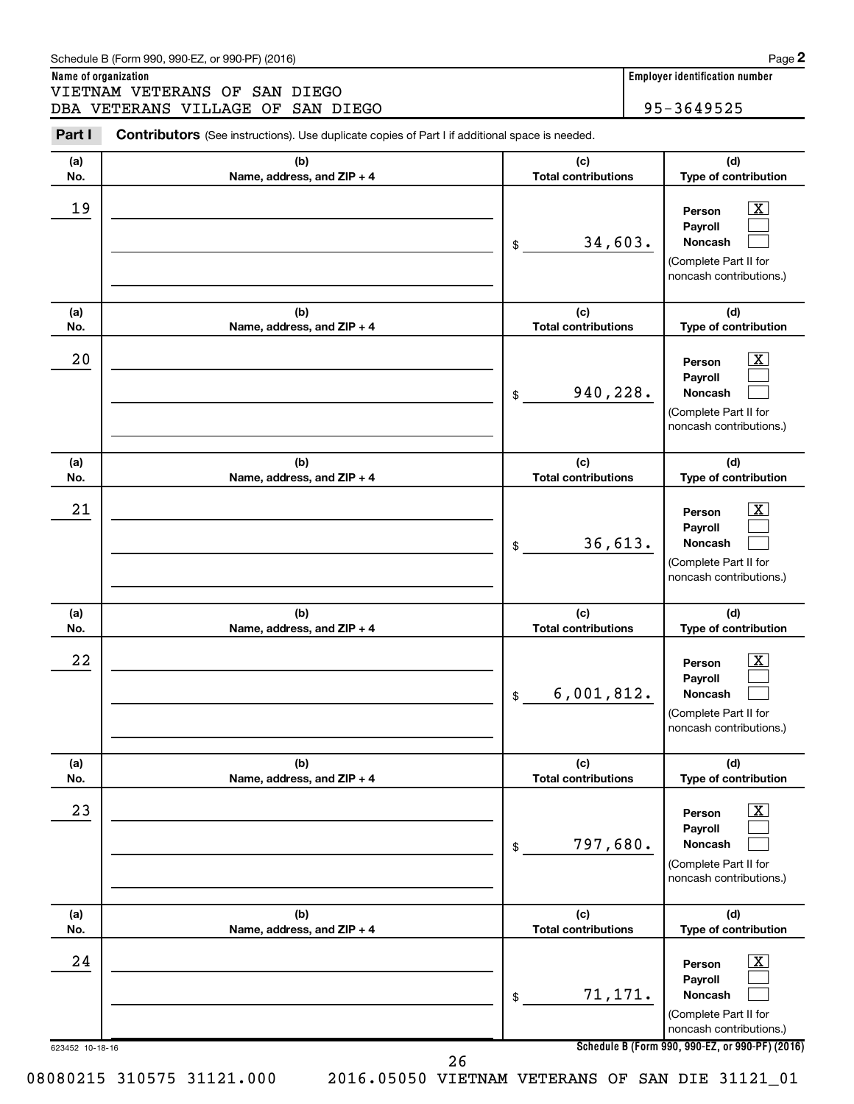|  | Schedule B (Form 990, 990-EZ, or 990-PF) (2016) | Page |
|--|-------------------------------------------------|------|
|--|-------------------------------------------------|------|

**Name of organization Employer identification number**

| Part I                | <b>Contributors</b> (See instructions). Use duplicate copies of Part I if additional space is needed. |                                   |                                                                                                                                                              |
|-----------------------|-------------------------------------------------------------------------------------------------------|-----------------------------------|--------------------------------------------------------------------------------------------------------------------------------------------------------------|
| (a)<br>No.            | (b)<br>Name, address, and ZIP + 4                                                                     | (c)<br><b>Total contributions</b> | (d)<br>Type of contribution                                                                                                                                  |
| 19                    |                                                                                                       | 34,603.<br>\$                     | $\overline{\mathbf{X}}$<br>Person<br>Payroll<br><b>Noncash</b><br>(Complete Part II for<br>noncash contributions.)                                           |
| (a)<br>No.            | (b)<br>Name, address, and ZIP + 4                                                                     | (c)<br><b>Total contributions</b> | (d)<br>Type of contribution                                                                                                                                  |
| 20                    |                                                                                                       | 940,228.<br>\$                    | $\overline{\mathbf{X}}$<br>Person<br>Payroll<br><b>Noncash</b><br>(Complete Part II for<br>noncash contributions.)                                           |
| (a)<br>No.            | (b)<br>Name, address, and ZIP + 4                                                                     | (c)<br><b>Total contributions</b> | (d)<br>Type of contribution                                                                                                                                  |
| 21                    |                                                                                                       | 36,613.<br>\$                     | $\overline{\text{X}}$<br>Person<br>Payroll<br><b>Noncash</b><br>(Complete Part II for<br>noncash contributions.)                                             |
|                       |                                                                                                       |                                   |                                                                                                                                                              |
| (a)<br>No.            | (b)<br>Name, address, and ZIP + 4                                                                     | (c)<br><b>Total contributions</b> | (d)<br>Type of contribution                                                                                                                                  |
| 22                    |                                                                                                       | 6,001,812.<br>\$                  | $\overline{\mathbf{X}}$<br>Person<br>Payroll<br><b>Noncash</b><br>(Complete Part II for<br>noncash contributions.)                                           |
| (a)<br>No.            | (b)<br>Name, address, and ZIP + 4                                                                     | (c)<br><b>Total contributions</b> | (d)<br>Type of contribution                                                                                                                                  |
| 23                    |                                                                                                       | 797,680.<br>\$                    | $\overline{\text{X}}$<br>Person<br>Payroll<br>Noncash<br>(Complete Part II for<br>noncash contributions.)                                                    |
| (a)<br>No.            | (b)<br>Name, address, and ZIP + 4                                                                     | (c)<br><b>Total contributions</b> | (d)<br>Type of contribution                                                                                                                                  |
| 24<br>623452 10-18-16 |                                                                                                       | 71,171.<br>\$                     | $\overline{\text{X}}$<br>Person<br>Payroll<br>Noncash<br>(Complete Part II for<br>noncash contributions.)<br>Schedule B (Form 990, 990-EZ, or 990-PF) (2016) |

08080215 310575 31121.000 2016.05050 VIETNAM VETERANS OF SAN DIE 31121\_01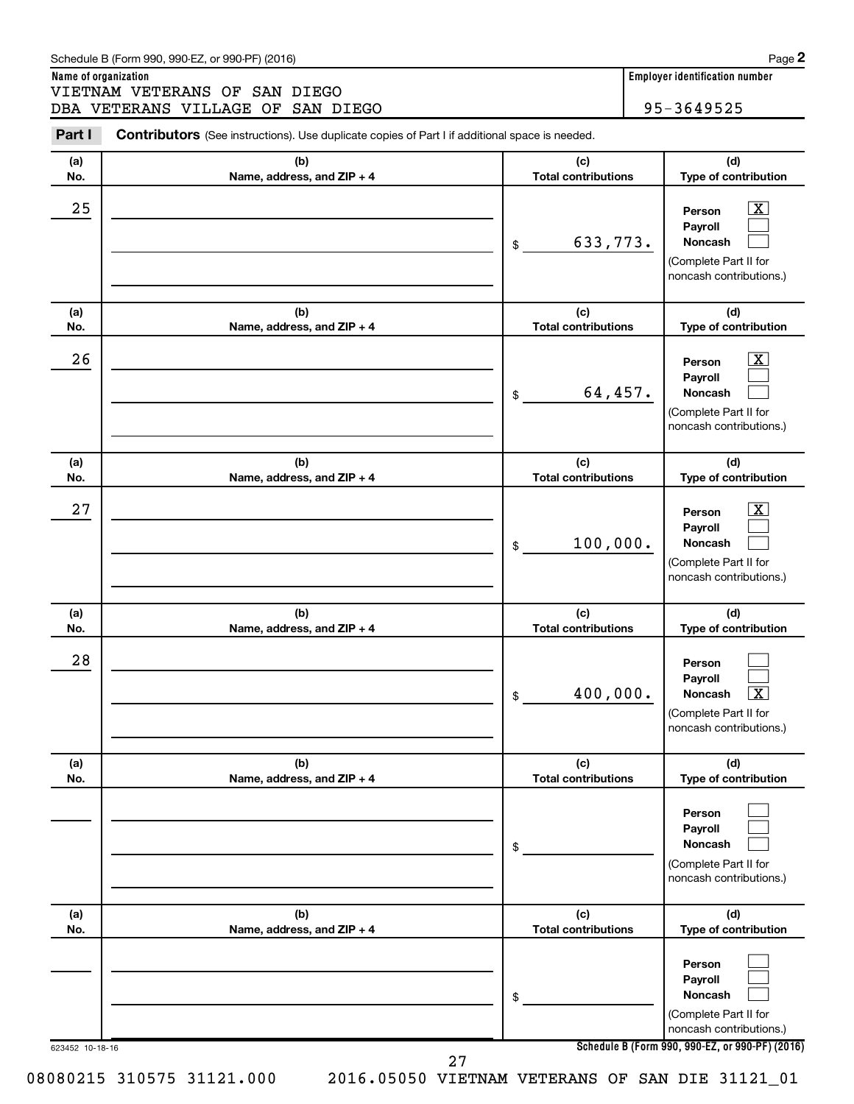|  | Schedule B (Form 990, 990-EZ, or 990-PF) (2016) |  |  | Page |
|--|-------------------------------------------------|--|--|------|
|--|-------------------------------------------------|--|--|------|

**Name of organization Employer identification number**

| (a)        | (b)                               | (c)                               | (d)                                                                                                         |
|------------|-----------------------------------|-----------------------------------|-------------------------------------------------------------------------------------------------------------|
| No.        | Name, address, and ZIP + 4        | <b>Total contributions</b>        | Type of contribution                                                                                        |
| 25         |                                   | 633,773.<br>\$                    | $\overline{\text{X}}$<br>Person<br>Payroll<br>Noncash<br>(Complete Part II for<br>noncash contributions.)   |
| (a)<br>No. | (b)<br>Name, address, and ZIP + 4 | (c)<br><b>Total contributions</b> | (d)<br>Type of contribution                                                                                 |
| 26         |                                   | 64,457.<br>\$                     | $\overline{\mathbf{X}}$<br>Person<br>Payroll<br>Noncash<br>(Complete Part II for<br>noncash contributions.) |
| (a)<br>No. | (b)<br>Name, address, and ZIP + 4 | (c)<br><b>Total contributions</b> | (d)<br>Type of contribution                                                                                 |
| 27         |                                   | 100,000.<br>\$                    | $\overline{\text{X}}$<br>Person<br>Payroll<br>Noncash<br>(Complete Part II for<br>noncash contributions.)   |
| (a)<br>No. | (b)<br>Name, address, and ZIP + 4 | (c)<br><b>Total contributions</b> | (d)<br>Type of contribution                                                                                 |
| 28         |                                   | 400,000.<br>\$                    | Person<br>Payroll<br>Noncash<br>$\mathbf{X}$<br>(Complete Part II for<br>noncash contributions.)            |
| (a)<br>No. | (b)<br>Name, address, and ZIP + 4 | (c)<br><b>Total contributions</b> | (d)<br>Type of contribution                                                                                 |
|            |                                   | \$                                | Person<br>Payroll<br><b>Noncash</b><br>(Complete Part II for<br>noncash contributions.)                     |
| (a)<br>No. | (b)<br>Name, address, and ZIP + 4 | (c)<br><b>Total contributions</b> | (d)<br>Type of contribution                                                                                 |
|            |                                   | \$                                | Person<br>Payroll<br><b>Noncash</b><br>(Complete Part II for<br>noncash contributions.)                     |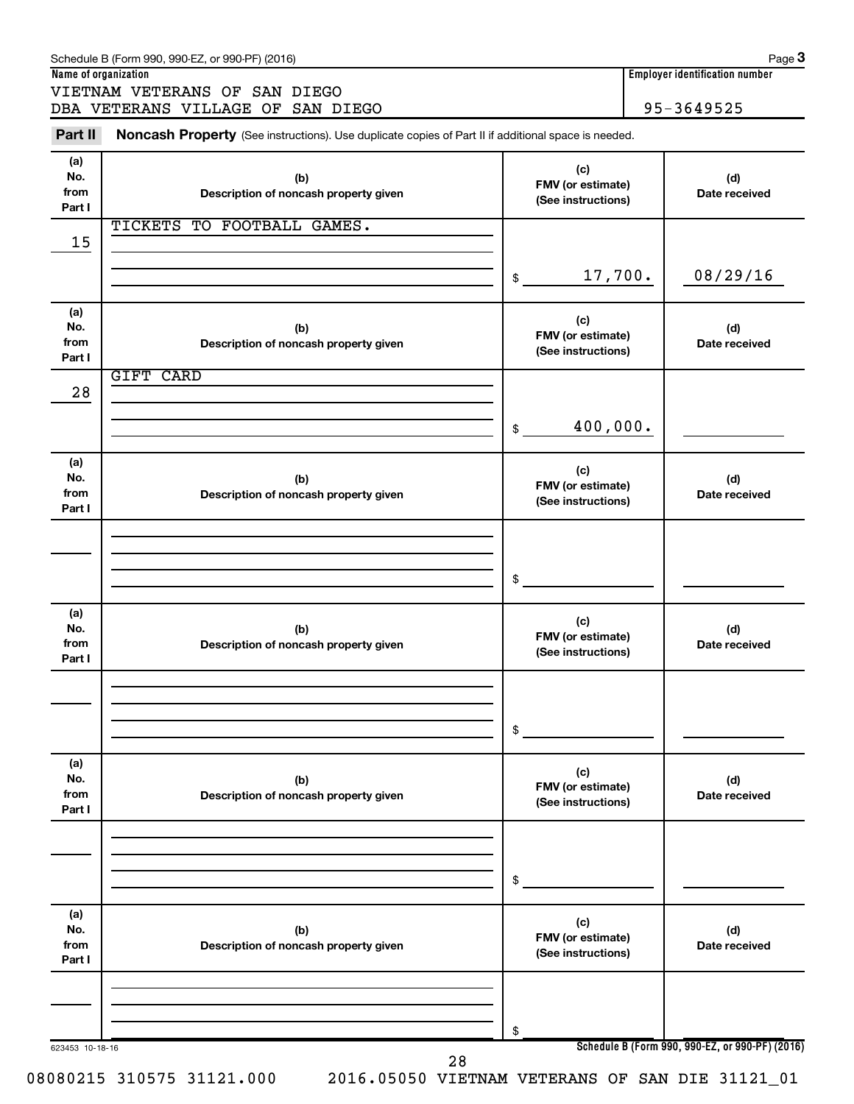|                              | VIETNAM VETERANS OF SAN DIEGO<br>DBA VETERANS VILLAGE OF SAN DIEGO                                  |                                                | 95-3649525                                      |
|------------------------------|-----------------------------------------------------------------------------------------------------|------------------------------------------------|-------------------------------------------------|
| Part II                      | Noncash Property (See instructions). Use duplicate copies of Part II if additional space is needed. |                                                |                                                 |
| (a)<br>No.<br>from<br>Part I | (b)<br>Description of noncash property given                                                        | (c)<br>FMV (or estimate)<br>(See instructions) | (d)<br>Date received                            |
| 15                           | TICKETS<br>TO FOOTBALL GAMES.                                                                       |                                                |                                                 |
|                              |                                                                                                     | 17,700.<br>\$                                  | 08/29/16                                        |
| (a)<br>No.<br>from<br>Part I | (b)<br>Description of noncash property given                                                        | (c)<br>FMV (or estimate)<br>(See instructions) | (d)<br>Date received                            |
| 28                           | <b>GIFT CARD</b>                                                                                    | 400,000.                                       |                                                 |
| (a)                          |                                                                                                     | \$                                             |                                                 |
| No.<br>from<br>Part I        | (b)<br>Description of noncash property given                                                        | (c)<br>FMV (or estimate)<br>(See instructions) | (d)<br>Date received                            |
|                              |                                                                                                     | \$                                             |                                                 |
| (a)<br>No.<br>from<br>Part I | (b)<br>Description of noncash property given                                                        | (c)<br>FMV (or estimate)<br>(See instructions) | (d)<br>Date received                            |
|                              |                                                                                                     | \$                                             |                                                 |
| (a)<br>No.<br>from<br>Part I | (b)<br>Description of noncash property given                                                        | (c)<br>FMV (or estimate)<br>(See instructions) | (d)<br>Date received                            |
|                              |                                                                                                     | \$                                             |                                                 |
| (a)<br>No.<br>from<br>Part I | (b)<br>Description of noncash property given                                                        | (c)<br>FMV (or estimate)<br>(See instructions) | (d)<br>Date received                            |
|                              |                                                                                                     |                                                |                                                 |
| 623453 10-18-16              |                                                                                                     | \$                                             | Schedule B (Form 990, 990-EZ, or 990-PF) (2016) |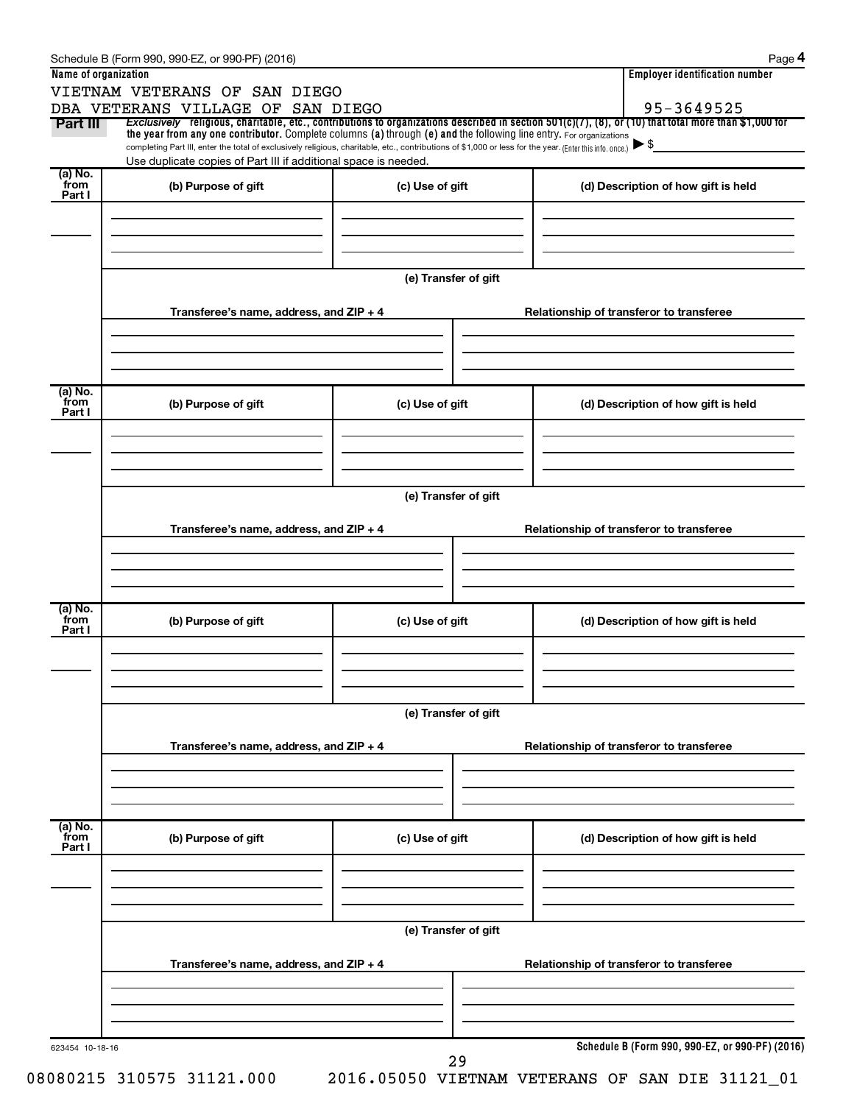|                      | Schedule B (Form 990, 990-EZ, or 990-PF) (2016)                                                                                                                                                                             |                                            | Page 4                                                                                                                                                                 |  |  |  |  |
|----------------------|-----------------------------------------------------------------------------------------------------------------------------------------------------------------------------------------------------------------------------|--------------------------------------------|------------------------------------------------------------------------------------------------------------------------------------------------------------------------|--|--|--|--|
| Name of organization |                                                                                                                                                                                                                             |                                            | <b>Employer identification number</b>                                                                                                                                  |  |  |  |  |
|                      | VIETNAM VETERANS OF SAN DIEGO                                                                                                                                                                                               |                                            |                                                                                                                                                                        |  |  |  |  |
| Part III             | DBA VETERANS VILLAGE OF SAN DIEGO                                                                                                                                                                                           |                                            | 95-3649525<br>Exclusively religious, charitable, etc., contributions to organizations described in section $501(c)(7)$ , (8), or (10) that total more than \$1,000 for |  |  |  |  |
|                      | the year from any one contributor. Complete columns (a) through (e) and the following line entry. For organizations                                                                                                         |                                            | $\blacktriangleright$ \$                                                                                                                                               |  |  |  |  |
|                      | completing Part III, enter the total of exclusively religious, charitable, etc., contributions of \$1,000 or less for the year. (Enter this info. once.)<br>Use duplicate copies of Part III if additional space is needed. |                                            |                                                                                                                                                                        |  |  |  |  |
| (a) No.<br>from      |                                                                                                                                                                                                                             |                                            |                                                                                                                                                                        |  |  |  |  |
| Part I               | (b) Purpose of gift                                                                                                                                                                                                         | (c) Use of gift                            | (d) Description of how gift is held                                                                                                                                    |  |  |  |  |
|                      |                                                                                                                                                                                                                             |                                            |                                                                                                                                                                        |  |  |  |  |
|                      |                                                                                                                                                                                                                             |                                            |                                                                                                                                                                        |  |  |  |  |
|                      |                                                                                                                                                                                                                             |                                            |                                                                                                                                                                        |  |  |  |  |
|                      |                                                                                                                                                                                                                             | (e) Transfer of gift                       |                                                                                                                                                                        |  |  |  |  |
|                      |                                                                                                                                                                                                                             |                                            |                                                                                                                                                                        |  |  |  |  |
|                      | Transferee's name, address, and ZIP + 4                                                                                                                                                                                     |                                            | Relationship of transferor to transferee                                                                                                                               |  |  |  |  |
|                      |                                                                                                                                                                                                                             |                                            |                                                                                                                                                                        |  |  |  |  |
|                      |                                                                                                                                                                                                                             |                                            |                                                                                                                                                                        |  |  |  |  |
|                      |                                                                                                                                                                                                                             |                                            |                                                                                                                                                                        |  |  |  |  |
| (a) No.<br>from      | (b) Purpose of gift                                                                                                                                                                                                         | (c) Use of gift                            | (d) Description of how gift is held                                                                                                                                    |  |  |  |  |
| Part I               |                                                                                                                                                                                                                             |                                            |                                                                                                                                                                        |  |  |  |  |
|                      |                                                                                                                                                                                                                             |                                            |                                                                                                                                                                        |  |  |  |  |
|                      |                                                                                                                                                                                                                             |                                            |                                                                                                                                                                        |  |  |  |  |
|                      |                                                                                                                                                                                                                             |                                            |                                                                                                                                                                        |  |  |  |  |
|                      |                                                                                                                                                                                                                             | (e) Transfer of gift                       |                                                                                                                                                                        |  |  |  |  |
|                      |                                                                                                                                                                                                                             |                                            |                                                                                                                                                                        |  |  |  |  |
|                      | Transferee's name, address, and ZIP + 4                                                                                                                                                                                     |                                            | Relationship of transferor to transferee                                                                                                                               |  |  |  |  |
|                      |                                                                                                                                                                                                                             |                                            |                                                                                                                                                                        |  |  |  |  |
|                      |                                                                                                                                                                                                                             |                                            |                                                                                                                                                                        |  |  |  |  |
|                      |                                                                                                                                                                                                                             |                                            |                                                                                                                                                                        |  |  |  |  |
| (a) No.<br>from      | (b) Purpose of gift                                                                                                                                                                                                         | (c) Use of gift                            | (d) Description of how gift is held                                                                                                                                    |  |  |  |  |
| Part I               |                                                                                                                                                                                                                             |                                            |                                                                                                                                                                        |  |  |  |  |
|                      |                                                                                                                                                                                                                             |                                            |                                                                                                                                                                        |  |  |  |  |
|                      |                                                                                                                                                                                                                             |                                            |                                                                                                                                                                        |  |  |  |  |
|                      |                                                                                                                                                                                                                             |                                            |                                                                                                                                                                        |  |  |  |  |
|                      |                                                                                                                                                                                                                             | (e) Transfer of gift                       |                                                                                                                                                                        |  |  |  |  |
|                      | Transferee's name, address, and ZIP + 4                                                                                                                                                                                     |                                            | Relationship of transferor to transferee                                                                                                                               |  |  |  |  |
|                      |                                                                                                                                                                                                                             |                                            |                                                                                                                                                                        |  |  |  |  |
|                      |                                                                                                                                                                                                                             |                                            |                                                                                                                                                                        |  |  |  |  |
|                      |                                                                                                                                                                                                                             |                                            |                                                                                                                                                                        |  |  |  |  |
| (a) No.<br>from      |                                                                                                                                                                                                                             |                                            |                                                                                                                                                                        |  |  |  |  |
| Part I               | (b) Purpose of gift                                                                                                                                                                                                         | (c) Use of gift                            | (d) Description of how gift is held                                                                                                                                    |  |  |  |  |
|                      |                                                                                                                                                                                                                             |                                            |                                                                                                                                                                        |  |  |  |  |
|                      |                                                                                                                                                                                                                             |                                            |                                                                                                                                                                        |  |  |  |  |
|                      |                                                                                                                                                                                                                             |                                            |                                                                                                                                                                        |  |  |  |  |
|                      |                                                                                                                                                                                                                             | (e) Transfer of gift                       |                                                                                                                                                                        |  |  |  |  |
|                      |                                                                                                                                                                                                                             |                                            |                                                                                                                                                                        |  |  |  |  |
|                      | Transferee's name, address, and ZIP + 4                                                                                                                                                                                     |                                            | Relationship of transferor to transferee                                                                                                                               |  |  |  |  |
|                      |                                                                                                                                                                                                                             |                                            |                                                                                                                                                                        |  |  |  |  |
|                      |                                                                                                                                                                                                                             |                                            |                                                                                                                                                                        |  |  |  |  |
|                      |                                                                                                                                                                                                                             |                                            |                                                                                                                                                                        |  |  |  |  |
| 623454 10-18-16      |                                                                                                                                                                                                                             |                                            | Schedule B (Form 990, 990-EZ, or 990-PF) (2016)                                                                                                                        |  |  |  |  |
| 00001 F              | 0.00<br><b>21101</b><br>31 A E 5 E                                                                                                                                                                                          | 29<br>0.01c<br>AEAEA <del>iitomii</del> ni | II<br><b>21121</b><br>$\sim$ $\sim$ $\sim$                                                                                                                             |  |  |  |  |

08080215 310575 31121.000 2016.05050 VIETNAM VETERANS OF SAN DIE 31121\_01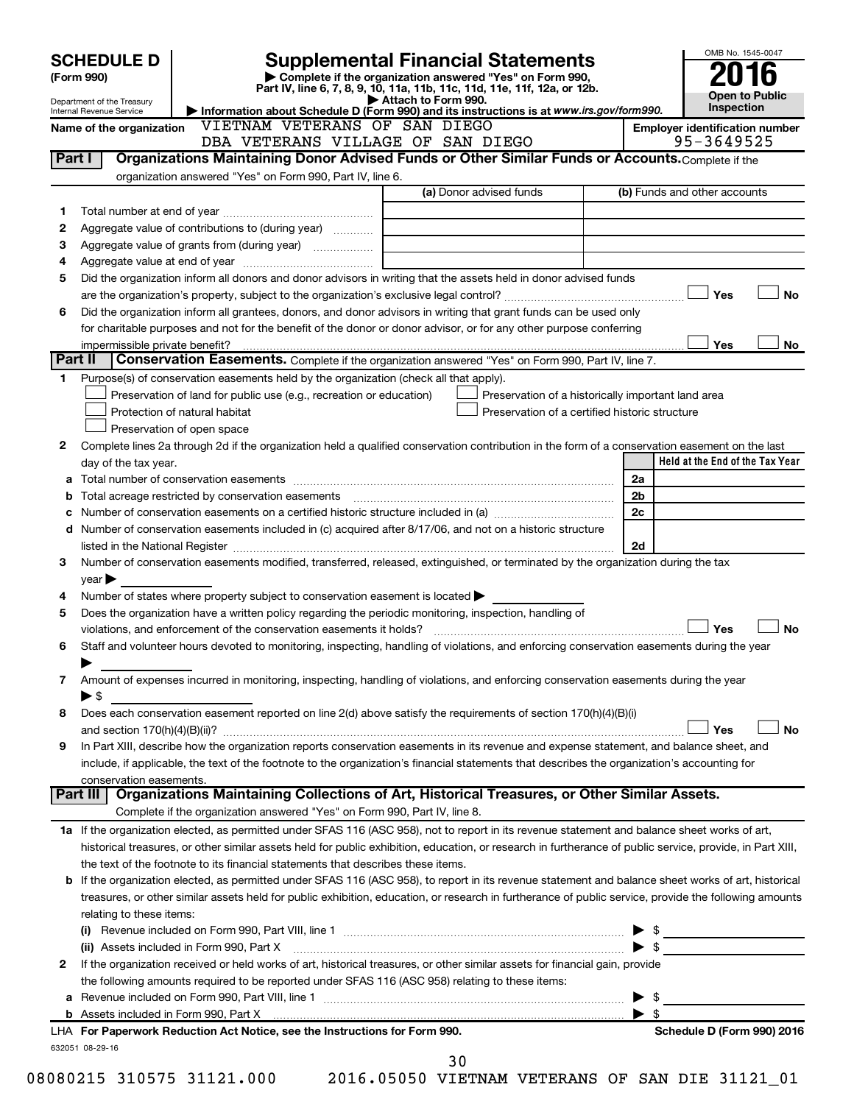|         | <b>SCHEDULE D</b>                   |                                                                                                                                                            | <b>Supplemental Financial Statements</b>                                                                                             |                                                     | OMB No. 1545-0047               |  |           |  |
|---------|-------------------------------------|------------------------------------------------------------------------------------------------------------------------------------------------------------|--------------------------------------------------------------------------------------------------------------------------------------|-----------------------------------------------------|---------------------------------|--|-----------|--|
|         | (Form 990)                          |                                                                                                                                                            | Complete if the organization answered "Yes" on Form 990,<br>Part IV, line 6, 7, 8, 9, 10, 11a, 11b, 11c, 11d, 11e, 11f, 12a, or 12b. |                                                     |                                 |  |           |  |
|         | Department of the Treasury          |                                                                                                                                                            | Attach to Form 990.                                                                                                                  |                                                     | <b>Open to Public</b>           |  |           |  |
|         | Internal Revenue Service            | VIETNAM VETERANS OF SAN DIEGO                                                                                                                              | Information about Schedule D (Form 990) and its instructions is at www.irs.gov/form990.                                              | Inspection<br><b>Employer identification number</b> |                                 |  |           |  |
|         | Name of the organization            | DBA VETERANS VILLAGE OF SAN DIEGO                                                                                                                          |                                                                                                                                      |                                                     | 95-3649525                      |  |           |  |
| Part I  |                                     | Organizations Maintaining Donor Advised Funds or Other Similar Funds or Accounts. Complete if the                                                          |                                                                                                                                      |                                                     |                                 |  |           |  |
|         |                                     | organization answered "Yes" on Form 990, Part IV, line 6.                                                                                                  |                                                                                                                                      |                                                     |                                 |  |           |  |
|         |                                     |                                                                                                                                                            | (a) Donor advised funds                                                                                                              | (b) Funds and other accounts                        |                                 |  |           |  |
| 1       |                                     |                                                                                                                                                            |                                                                                                                                      |                                                     |                                 |  |           |  |
| 2       |                                     | Aggregate value of contributions to (during year)                                                                                                          |                                                                                                                                      |                                                     |                                 |  |           |  |
| З       |                                     |                                                                                                                                                            |                                                                                                                                      |                                                     |                                 |  |           |  |
| 4       |                                     |                                                                                                                                                            |                                                                                                                                      |                                                     |                                 |  |           |  |
| 5       |                                     | Did the organization inform all donors and donor advisors in writing that the assets held in donor advised funds                                           |                                                                                                                                      |                                                     |                                 |  |           |  |
|         |                                     |                                                                                                                                                            |                                                                                                                                      |                                                     | Yes                             |  | <b>No</b> |  |
| 6       |                                     | Did the organization inform all grantees, donors, and donor advisors in writing that grant funds can be used only                                          |                                                                                                                                      |                                                     |                                 |  |           |  |
|         |                                     | for charitable purposes and not for the benefit of the donor or donor advisor, or for any other purpose conferring                                         |                                                                                                                                      |                                                     | Yes                             |  | No        |  |
| Part II | impermissible private benefit?      | Conservation Easements. Complete if the organization answered "Yes" on Form 990, Part IV, line 7.                                                          |                                                                                                                                      |                                                     |                                 |  |           |  |
| 1.      |                                     | Purpose(s) of conservation easements held by the organization (check all that apply).                                                                      |                                                                                                                                      |                                                     |                                 |  |           |  |
|         |                                     | Preservation of land for public use (e.g., recreation or education)                                                                                        | Preservation of a historically important land area                                                                                   |                                                     |                                 |  |           |  |
|         |                                     | Protection of natural habitat                                                                                                                              | Preservation of a certified historic structure                                                                                       |                                                     |                                 |  |           |  |
|         |                                     | Preservation of open space                                                                                                                                 |                                                                                                                                      |                                                     |                                 |  |           |  |
| 2       |                                     | Complete lines 2a through 2d if the organization held a qualified conservation contribution in the form of a conservation easement on the last             |                                                                                                                                      |                                                     |                                 |  |           |  |
|         | day of the tax year.                |                                                                                                                                                            |                                                                                                                                      |                                                     | Held at the End of the Tax Year |  |           |  |
| а       |                                     |                                                                                                                                                            |                                                                                                                                      | 2a                                                  |                                 |  |           |  |
| b       |                                     |                                                                                                                                                            |                                                                                                                                      | 2b                                                  |                                 |  |           |  |
| с       |                                     | Number of conservation easements on a certified historic structure included in (a) manufacture included in (a)                                             |                                                                                                                                      | 2c                                                  |                                 |  |           |  |
|         |                                     | d Number of conservation easements included in (c) acquired after 8/17/06, and not on a historic structure                                                 |                                                                                                                                      |                                                     |                                 |  |           |  |
|         |                                     |                                                                                                                                                            |                                                                                                                                      | 2d                                                  |                                 |  |           |  |
| 3       |                                     | Number of conservation easements modified, transferred, released, extinguished, or terminated by the organization during the tax                           |                                                                                                                                      |                                                     |                                 |  |           |  |
| 4       | $\vee$ ear $\blacktriangleright$    | Number of states where property subject to conservation easement is located $\blacktriangleright$                                                          |                                                                                                                                      |                                                     |                                 |  |           |  |
| 5       |                                     | Does the organization have a written policy regarding the periodic monitoring, inspection, handling of                                                     |                                                                                                                                      |                                                     |                                 |  |           |  |
|         |                                     | violations, and enforcement of the conservation easements it holds?                                                                                        |                                                                                                                                      |                                                     | Yes                             |  | <b>No</b> |  |
| 6       |                                     | Staff and volunteer hours devoted to monitoring, inspecting, handling of violations, and enforcing conservation easements during the year                  |                                                                                                                                      |                                                     |                                 |  |           |  |
|         |                                     |                                                                                                                                                            |                                                                                                                                      |                                                     |                                 |  |           |  |
| 7       |                                     | Amount of expenses incurred in monitoring, inspecting, handling of violations, and enforcing conservation easements during the year                        |                                                                                                                                      |                                                     |                                 |  |           |  |
|         | $\blacktriangleright$ \$            |                                                                                                                                                            |                                                                                                                                      |                                                     |                                 |  |           |  |
| 8       |                                     | Does each conservation easement reported on line 2(d) above satisfy the requirements of section 170(h)(4)(B)(i)                                            |                                                                                                                                      |                                                     |                                 |  |           |  |
|         |                                     |                                                                                                                                                            |                                                                                                                                      |                                                     | Yes                             |  | No        |  |
| 9       |                                     | In Part XIII, describe how the organization reports conservation easements in its revenue and expense statement, and balance sheet, and                    |                                                                                                                                      |                                                     |                                 |  |           |  |
|         |                                     | include, if applicable, the text of the footnote to the organization's financial statements that describes the organization's accounting for               |                                                                                                                                      |                                                     |                                 |  |           |  |
|         | conservation easements.<br>Part III | Organizations Maintaining Collections of Art, Historical Treasures, or Other Similar Assets.                                                               |                                                                                                                                      |                                                     |                                 |  |           |  |
|         |                                     | Complete if the organization answered "Yes" on Form 990, Part IV, line 8.                                                                                  |                                                                                                                                      |                                                     |                                 |  |           |  |
|         |                                     | 1a If the organization elected, as permitted under SFAS 116 (ASC 958), not to report in its revenue statement and balance sheet works of art,              |                                                                                                                                      |                                                     |                                 |  |           |  |
|         |                                     | historical treasures, or other similar assets held for public exhibition, education, or research in furtherance of public service, provide, in Part XIII,  |                                                                                                                                      |                                                     |                                 |  |           |  |
|         |                                     | the text of the footnote to its financial statements that describes these items.                                                                           |                                                                                                                                      |                                                     |                                 |  |           |  |
|         |                                     | <b>b</b> If the organization elected, as permitted under SFAS 116 (ASC 958), to report in its revenue statement and balance sheet works of art, historical |                                                                                                                                      |                                                     |                                 |  |           |  |
|         |                                     | treasures, or other similar assets held for public exhibition, education, or research in furtherance of public service, provide the following amounts      |                                                                                                                                      |                                                     |                                 |  |           |  |
|         | relating to these items:            |                                                                                                                                                            |                                                                                                                                      |                                                     |                                 |  |           |  |
|         |                                     |                                                                                                                                                            |                                                                                                                                      | \$                                                  |                                 |  |           |  |
|         |                                     | (ii) Assets included in Form 990, Part X                                                                                                                   |                                                                                                                                      | $\blacktriangleright$ \$                            |                                 |  |           |  |
| 2       |                                     | If the organization received or held works of art, historical treasures, or other similar assets for financial gain, provide                               |                                                                                                                                      |                                                     |                                 |  |           |  |
|         |                                     | the following amounts required to be reported under SFAS 116 (ASC 958) relating to these items:                                                            |                                                                                                                                      |                                                     |                                 |  |           |  |
|         |                                     |                                                                                                                                                            |                                                                                                                                      | \$<br>▶                                             |                                 |  |           |  |
|         |                                     |                                                                                                                                                            |                                                                                                                                      | $\blacktriangleright$ s                             |                                 |  |           |  |
|         |                                     | LHA For Paperwork Reduction Act Notice, see the Instructions for Form 990.                                                                                 |                                                                                                                                      |                                                     | Schedule D (Form 990) 2016      |  |           |  |
|         | 632051 08-29-16                     |                                                                                                                                                            | 30                                                                                                                                   |                                                     |                                 |  |           |  |
|         |                                     |                                                                                                                                                            |                                                                                                                                      |                                                     |                                 |  |           |  |

08080215 310575 31121.000 2016.05050 VIETNAM VETERANS OF SAN DIE 31121\_01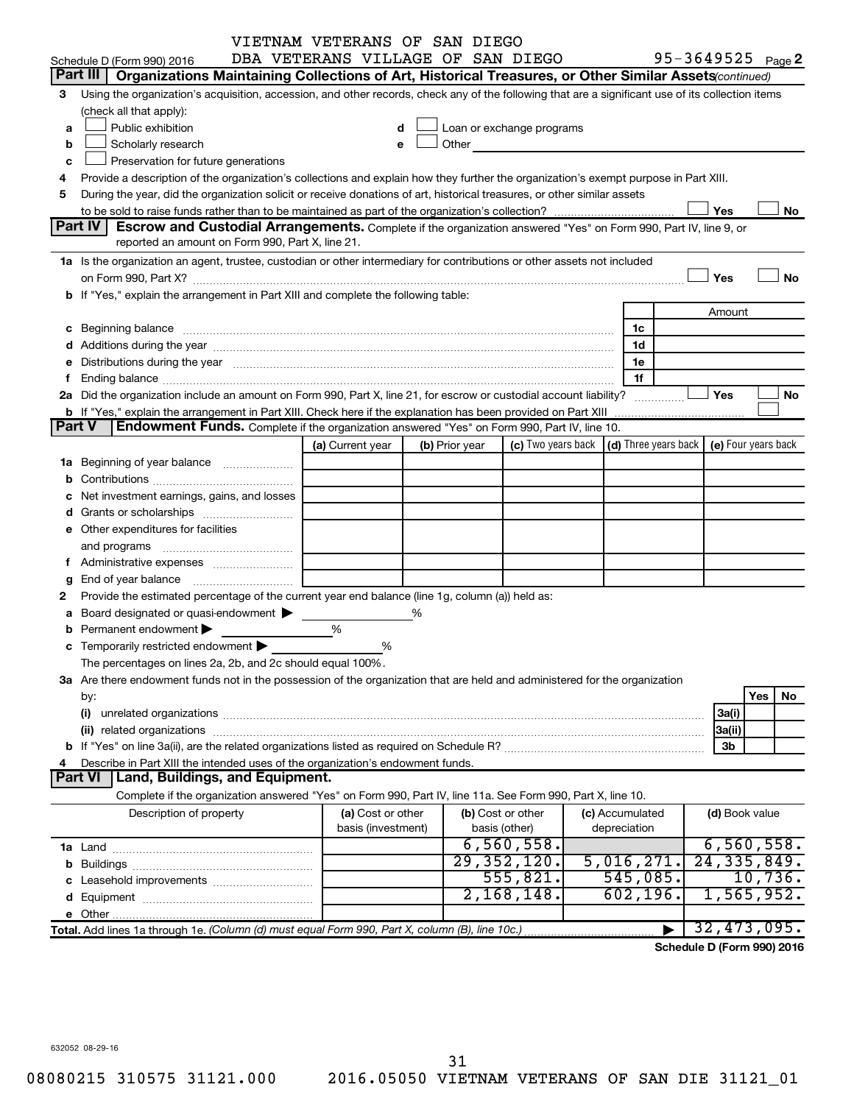|        |                                                                                                                                                                                                                                | VIETNAM VETERANS OF SAN DIEGO     |                |                                                                                                                                                                                                                               |                    |                      |                        |           |
|--------|--------------------------------------------------------------------------------------------------------------------------------------------------------------------------------------------------------------------------------|-----------------------------------|----------------|-------------------------------------------------------------------------------------------------------------------------------------------------------------------------------------------------------------------------------|--------------------|----------------------|------------------------|-----------|
|        | Schedule D (Form 990) 2016                                                                                                                                                                                                     | DBA VETERANS VILLAGE OF SAN DIEGO |                |                                                                                                                                                                                                                               |                    |                      | 95-3649525 $_{Page}$ 2 |           |
|        | Part III  <br>Organizations Maintaining Collections of Art, Historical Treasures, or Other Similar Assets (continued)                                                                                                          |                                   |                |                                                                                                                                                                                                                               |                    |                      |                        |           |
| 3      | Using the organization's acquisition, accession, and other records, check any of the following that are a significant use of its collection items                                                                              |                                   |                |                                                                                                                                                                                                                               |                    |                      |                        |           |
|        | (check all that apply):                                                                                                                                                                                                        |                                   |                |                                                                                                                                                                                                                               |                    |                      |                        |           |
| a      | Public exhibition                                                                                                                                                                                                              | d                                 |                | Loan or exchange programs                                                                                                                                                                                                     |                    |                      |                        |           |
| b      | Scholarly research                                                                                                                                                                                                             | е                                 |                | Other and the contract of the contract of the contract of the contract of the contract of the contract of the contract of the contract of the contract of the contract of the contract of the contract of the contract of the |                    |                      |                        |           |
| с      | Preservation for future generations                                                                                                                                                                                            |                                   |                |                                                                                                                                                                                                                               |                    |                      |                        |           |
| 4      | Provide a description of the organization's collections and explain how they further the organization's exempt purpose in Part XIII.                                                                                           |                                   |                |                                                                                                                                                                                                                               |                    |                      |                        |           |
| 5      | During the year, did the organization solicit or receive donations of art, historical treasures, or other similar assets                                                                                                       |                                   |                |                                                                                                                                                                                                                               |                    |                      |                        |           |
|        |                                                                                                                                                                                                                                |                                   |                |                                                                                                                                                                                                                               |                    |                      | Yes                    | No        |
|        | Part IV<br><b>Escrow and Custodial Arrangements.</b> Complete if the organization answered "Yes" on Form 990, Part IV, line 9, or                                                                                              |                                   |                |                                                                                                                                                                                                                               |                    |                      |                        |           |
|        | reported an amount on Form 990, Part X, line 21.                                                                                                                                                                               |                                   |                |                                                                                                                                                                                                                               |                    |                      |                        |           |
|        | 1a Is the organization an agent, trustee, custodian or other intermediary for contributions or other assets not included                                                                                                       |                                   |                |                                                                                                                                                                                                                               |                    |                      |                        |           |
|        |                                                                                                                                                                                                                                |                                   |                |                                                                                                                                                                                                                               |                    |                      | Yes                    | <b>No</b> |
|        | b If "Yes," explain the arrangement in Part XIII and complete the following table:                                                                                                                                             |                                   |                |                                                                                                                                                                                                                               |                    |                      |                        |           |
|        |                                                                                                                                                                                                                                |                                   |                |                                                                                                                                                                                                                               |                    |                      | Amount                 |           |
|        | c Beginning balance measurements and the contract of the contract of the contract of the contract of the contract of the contract of the contract of the contract of the contract of the contract of the contract of the contr |                                   |                |                                                                                                                                                                                                                               |                    | 1c                   |                        |           |
|        |                                                                                                                                                                                                                                |                                   |                |                                                                                                                                                                                                                               |                    | 1d                   |                        |           |
|        | e Distributions during the year manufactured and continuum control of the control of the control of the state of the control of the control of the control of the control of the control of the control of the control of the  |                                   |                |                                                                                                                                                                                                                               |                    | 1e                   |                        |           |
| f      |                                                                                                                                                                                                                                |                                   |                |                                                                                                                                                                                                                               |                    | 1f                   |                        |           |
|        | 2a Did the organization include an amount on Form 990, Part X, line 21, for escrow or custodial account liability?                                                                                                             |                                   |                |                                                                                                                                                                                                                               |                    |                      | Yes                    | No        |
|        | <b>b</b> If "Yes," explain the arrangement in Part XIII. Check here if the explanation has been provided on Part XIII                                                                                                          |                                   |                |                                                                                                                                                                                                                               |                    |                      |                        |           |
| Part V | <b>Endowment Funds.</b> Complete if the organization answered "Yes" on Form 990, Part IV, line 10.                                                                                                                             |                                   |                |                                                                                                                                                                                                                               |                    |                      |                        |           |
|        |                                                                                                                                                                                                                                | (a) Current year                  | (b) Prior year |                                                                                                                                                                                                                               | (c) Two years back | (d) Three years back | (e) Four years back    |           |
|        | 1a Beginning of year balance                                                                                                                                                                                                   |                                   |                |                                                                                                                                                                                                                               |                    |                      |                        |           |
|        |                                                                                                                                                                                                                                |                                   |                |                                                                                                                                                                                                                               |                    |                      |                        |           |
| c      | Net investment earnings, gains, and losses                                                                                                                                                                                     |                                   |                |                                                                                                                                                                                                                               |                    |                      |                        |           |
|        |                                                                                                                                                                                                                                |                                   |                |                                                                                                                                                                                                                               |                    |                      |                        |           |
|        | e Other expenditures for facilities                                                                                                                                                                                            |                                   |                |                                                                                                                                                                                                                               |                    |                      |                        |           |
|        | and programs                                                                                                                                                                                                                   |                                   |                |                                                                                                                                                                                                                               |                    |                      |                        |           |
|        | f Administrative expenses                                                                                                                                                                                                      |                                   |                |                                                                                                                                                                                                                               |                    |                      |                        |           |
| g      |                                                                                                                                                                                                                                |                                   |                |                                                                                                                                                                                                                               |                    |                      |                        |           |
| 2      | Provide the estimated percentage of the current year end balance (line 1g, column (a)) held as:                                                                                                                                |                                   |                |                                                                                                                                                                                                                               |                    |                      |                        |           |
| а      | Board designated or quasi-endowment $\blacktriangleright$                                                                                                                                                                      |                                   | %              |                                                                                                                                                                                                                               |                    |                      |                        |           |
| b      | Permanent endowment                                                                                                                                                                                                            | %                                 |                |                                                                                                                                                                                                                               |                    |                      |                        |           |
|        | c Temporarily restricted endowment                                                                                                                                                                                             | %                                 |                |                                                                                                                                                                                                                               |                    |                      |                        |           |
|        | The percentages on lines 2a, 2b, and 2c should equal 100%.                                                                                                                                                                     |                                   |                |                                                                                                                                                                                                                               |                    |                      |                        |           |
|        | 3a Are there endowment funds not in the possession of the organization that are held and administered for the organization                                                                                                     |                                   |                |                                                                                                                                                                                                                               |                    |                      |                        |           |
|        | by:                                                                                                                                                                                                                            |                                   |                |                                                                                                                                                                                                                               |                    |                      | Yes                    | No        |
|        | (i)                                                                                                                                                                                                                            |                                   |                |                                                                                                                                                                                                                               |                    |                      | 3a(i)                  |           |
|        |                                                                                                                                                                                                                                |                                   |                |                                                                                                                                                                                                                               |                    |                      | 3a(ii)                 |           |
|        |                                                                                                                                                                                                                                |                                   |                |                                                                                                                                                                                                                               |                    |                      | 3b                     |           |
| 4      | Describe in Part XIII the intended uses of the organization's endowment funds.                                                                                                                                                 |                                   |                |                                                                                                                                                                                                                               |                    |                      |                        |           |
|        | Land, Buildings, and Equipment.<br><b>Part VI</b>                                                                                                                                                                              |                                   |                |                                                                                                                                                                                                                               |                    |                      |                        |           |
|        | Complete if the organization answered "Yes" on Form 990, Part IV, line 11a. See Form 990, Part X, line 10.                                                                                                                     |                                   |                |                                                                                                                                                                                                                               |                    |                      |                        |           |
|        | Description of property                                                                                                                                                                                                        | (a) Cost or other                 |                | (b) Cost or other                                                                                                                                                                                                             |                    | (c) Accumulated      | (d) Book value         |           |
|        |                                                                                                                                                                                                                                | basis (investment)                |                | basis (other)                                                                                                                                                                                                                 |                    | depreciation         |                        |           |
|        |                                                                                                                                                                                                                                |                                   |                | 6,560,558.                                                                                                                                                                                                                    |                    |                      | 6,560,558.             |           |
|        |                                                                                                                                                                                                                                |                                   |                | 29, 352, 120.                                                                                                                                                                                                                 |                    | 5,016,271.           | 24, 335, 849.          |           |
|        |                                                                                                                                                                                                                                |                                   |                | 555,821.                                                                                                                                                                                                                      |                    | 545,085.             |                        | 10,736.   |
|        |                                                                                                                                                                                                                                |                                   |                | 2,168,148.                                                                                                                                                                                                                    |                    | 602, 196.            | 1,565,952.             |           |
|        |                                                                                                                                                                                                                                |                                   |                |                                                                                                                                                                                                                               |                    |                      |                        |           |
|        | Total. Add lines 1a through 1e. (Column (d) must equal Form 990, Part X, column (B), line 10c.)                                                                                                                                |                                   |                |                                                                                                                                                                                                                               |                    |                      | 32,473,095.            |           |
|        |                                                                                                                                                                                                                                |                                   |                |                                                                                                                                                                                                                               |                    |                      |                        |           |

**Schedule D (Form 990) 2016**

632052 08-29-16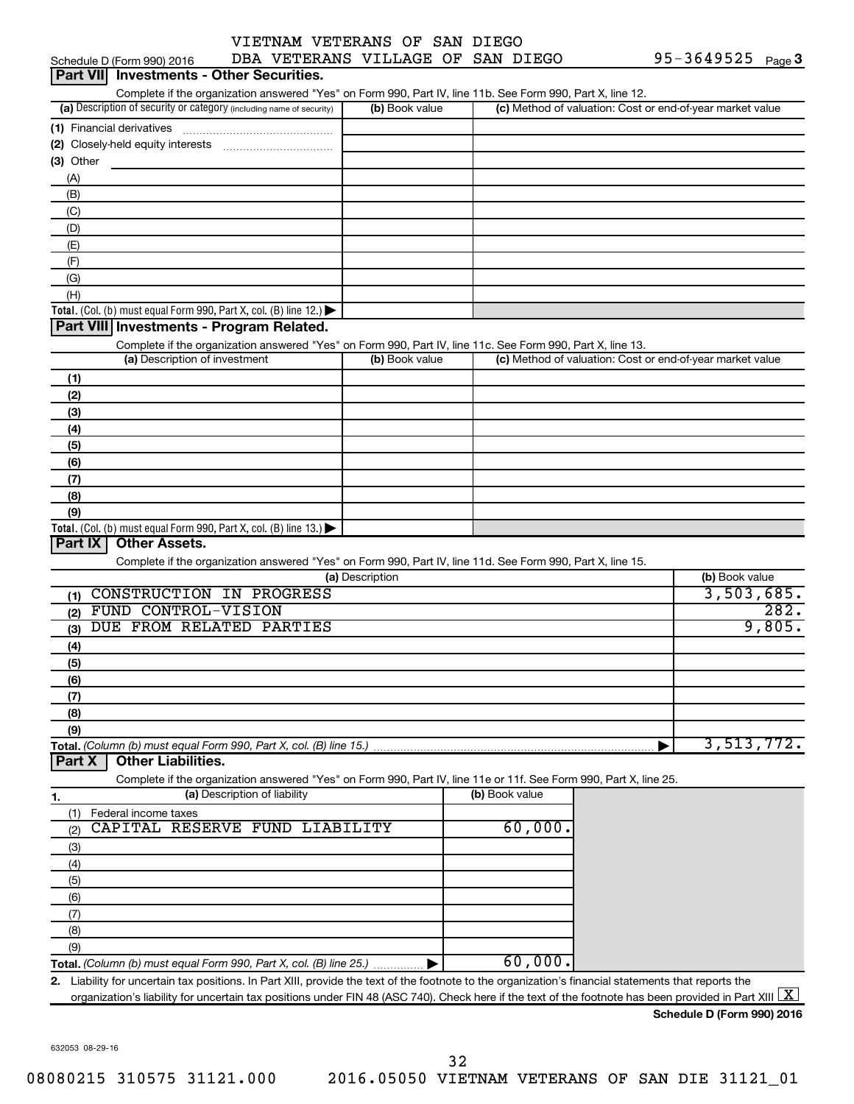| VIETNAM VETERANS OF SAN DIEGO |  |                                   |            |
|-------------------------------|--|-----------------------------------|------------|
|                               |  | DBA VETERANS VILLAGE OF SAN DIEGO | 95-3649525 |

| (a) Description of security or category (including name of security)                                                                                                                                                    |                 | Complete if the organization answered "Yes" on Form 990, Part IV, line 11b. See Form 990, Part X, line 12. |                                                           |                              |
|-------------------------------------------------------------------------------------------------------------------------------------------------------------------------------------------------------------------------|-----------------|------------------------------------------------------------------------------------------------------------|-----------------------------------------------------------|------------------------------|
|                                                                                                                                                                                                                         | (b) Book value  |                                                                                                            | (c) Method of valuation: Cost or end-of-year market value |                              |
| (1) Financial derivatives                                                                                                                                                                                               |                 |                                                                                                            |                                                           |                              |
|                                                                                                                                                                                                                         |                 |                                                                                                            |                                                           |                              |
| $(3)$ Other                                                                                                                                                                                                             |                 |                                                                                                            |                                                           |                              |
| (A)                                                                                                                                                                                                                     |                 |                                                                                                            |                                                           |                              |
| (B)                                                                                                                                                                                                                     |                 |                                                                                                            |                                                           |                              |
| (C)                                                                                                                                                                                                                     |                 |                                                                                                            |                                                           |                              |
| (D)                                                                                                                                                                                                                     |                 |                                                                                                            |                                                           |                              |
| (E)                                                                                                                                                                                                                     |                 |                                                                                                            |                                                           |                              |
| (F)                                                                                                                                                                                                                     |                 |                                                                                                            |                                                           |                              |
| (G)                                                                                                                                                                                                                     |                 |                                                                                                            |                                                           |                              |
| (H)                                                                                                                                                                                                                     |                 |                                                                                                            |                                                           |                              |
| Total. (Col. (b) must equal Form 990, Part X, col. (B) line 12.) $\blacktriangleright$                                                                                                                                  |                 |                                                                                                            |                                                           |                              |
| Part VIII Investments - Program Related.                                                                                                                                                                                |                 |                                                                                                            |                                                           |                              |
| Complete if the organization answered "Yes" on Form 990, Part IV, line 11c. See Form 990, Part X, line 13.                                                                                                              |                 |                                                                                                            |                                                           |                              |
| (a) Description of investment                                                                                                                                                                                           | (b) Book value  |                                                                                                            | (c) Method of valuation: Cost or end-of-year market value |                              |
| (1)                                                                                                                                                                                                                     |                 |                                                                                                            |                                                           |                              |
| (2)                                                                                                                                                                                                                     |                 |                                                                                                            |                                                           |                              |
| (3)                                                                                                                                                                                                                     |                 |                                                                                                            |                                                           |                              |
| (4)                                                                                                                                                                                                                     |                 |                                                                                                            |                                                           |                              |
| (5)                                                                                                                                                                                                                     |                 |                                                                                                            |                                                           |                              |
| (6)                                                                                                                                                                                                                     |                 |                                                                                                            |                                                           |                              |
| (7)                                                                                                                                                                                                                     |                 |                                                                                                            |                                                           |                              |
| (8)                                                                                                                                                                                                                     |                 |                                                                                                            |                                                           |                              |
| (9)                                                                                                                                                                                                                     |                 |                                                                                                            |                                                           |                              |
| Total. (Col. (b) must equal Form 990, Part X, col. (B) line 13.)                                                                                                                                                        |                 |                                                                                                            |                                                           |                              |
|                                                                                                                                                                                                                         |                 |                                                                                                            |                                                           |                              |
| <b>Other Assets.</b><br>Part IX                                                                                                                                                                                         |                 |                                                                                                            |                                                           |                              |
| Complete if the organization answered "Yes" on Form 990, Part IV, line 11d. See Form 990, Part X, line 15.                                                                                                              |                 |                                                                                                            |                                                           |                              |
|                                                                                                                                                                                                                         | (a) Description |                                                                                                            |                                                           | (b) Book value               |
| CONSTRUCTION IN PROGRESS<br>(1)                                                                                                                                                                                         |                 |                                                                                                            |                                                           |                              |
| FUND CONTROL-VISION<br>(2)                                                                                                                                                                                              |                 |                                                                                                            |                                                           |                              |
| DUE FROM RELATED PARTIES<br>(3)                                                                                                                                                                                         |                 |                                                                                                            |                                                           |                              |
|                                                                                                                                                                                                                         |                 |                                                                                                            |                                                           |                              |
| (4)                                                                                                                                                                                                                     |                 |                                                                                                            |                                                           |                              |
| (5)                                                                                                                                                                                                                     |                 |                                                                                                            |                                                           |                              |
| (6)                                                                                                                                                                                                                     |                 |                                                                                                            |                                                           |                              |
| (7)                                                                                                                                                                                                                     |                 |                                                                                                            |                                                           |                              |
| (8)                                                                                                                                                                                                                     |                 |                                                                                                            |                                                           |                              |
| (9)                                                                                                                                                                                                                     |                 |                                                                                                            |                                                           | 3,503,685.<br>282.<br>9,805. |
|                                                                                                                                                                                                                         |                 |                                                                                                            |                                                           |                              |
| <b>Other Liabilities.</b><br>Part X                                                                                                                                                                                     |                 |                                                                                                            |                                                           |                              |
| Complete if the organization answered "Yes" on Form 990, Part IV, line 11e or 11f. See Form 990, Part X, line 25.                                                                                                       |                 |                                                                                                            |                                                           | 3,513,772.                   |
| (a) Description of liability<br>1.                                                                                                                                                                                      |                 | (b) Book value                                                                                             |                                                           |                              |
| Federal income taxes<br>(1)                                                                                                                                                                                             |                 |                                                                                                            |                                                           |                              |
| CAPITAL RESERVE FUND LIABILITY<br>(2)                                                                                                                                                                                   |                 | 60,000.                                                                                                    |                                                           |                              |
| (3)                                                                                                                                                                                                                     |                 |                                                                                                            |                                                           |                              |
| (4)                                                                                                                                                                                                                     |                 |                                                                                                            |                                                           |                              |
| (5)                                                                                                                                                                                                                     |                 |                                                                                                            |                                                           |                              |
| (6)                                                                                                                                                                                                                     |                 |                                                                                                            |                                                           |                              |
| (7)                                                                                                                                                                                                                     |                 |                                                                                                            |                                                           |                              |
| (8)                                                                                                                                                                                                                     |                 |                                                                                                            |                                                           |                              |
| (9)                                                                                                                                                                                                                     |                 |                                                                                                            |                                                           |                              |
| Total. (Column (b) must equal Form 990, Part X, col. (B) line 25.)<br>Liability for uncertain tax positions. In Part XIII, provide the text of the footnote to the organization's financial statements that reports the |                 | 60,000.                                                                                                    |                                                           |                              |

632053 08-29-16

08080215 310575 31121.000 2016.05050 VIETNAM VETERANS OF SAN DIE 31121\_01 32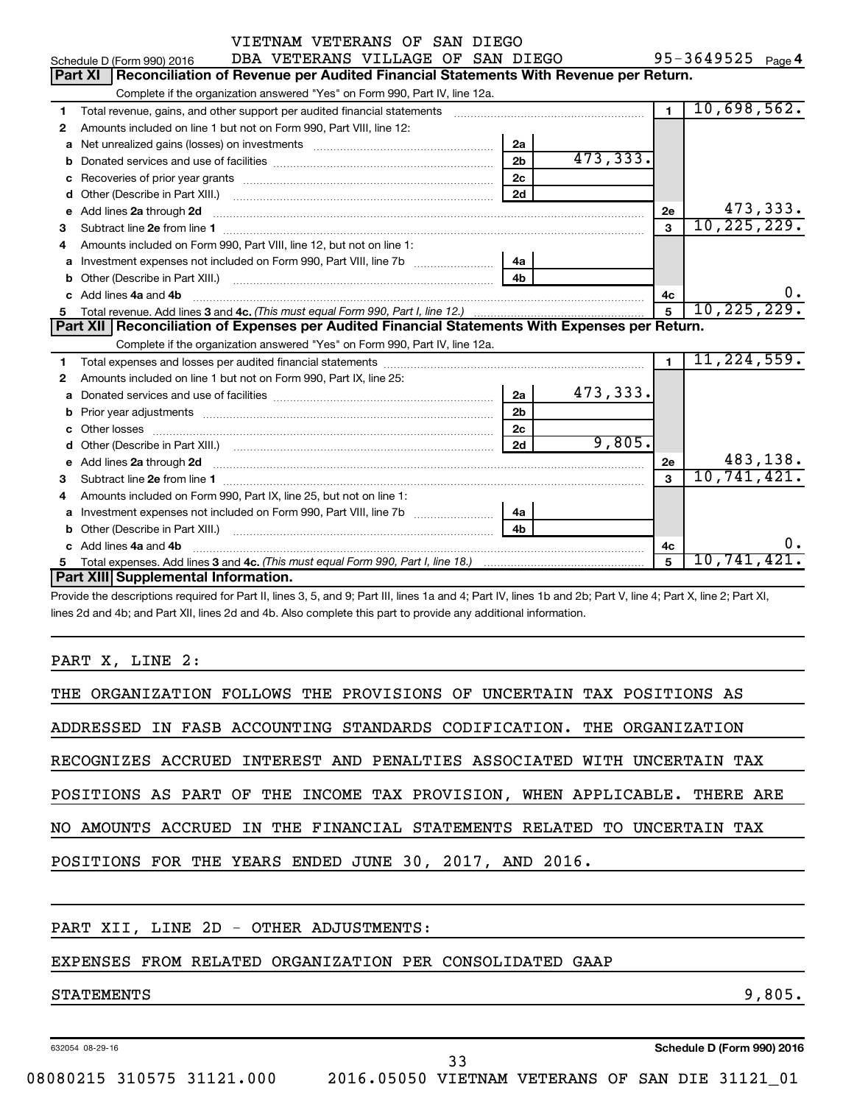|             | VIETNAM VETERANS OF SAN DIEGO                                                                                                                                                                                                        |                |           |                |                              |          |
|-------------|--------------------------------------------------------------------------------------------------------------------------------------------------------------------------------------------------------------------------------------|----------------|-----------|----------------|------------------------------|----------|
|             | DBA VETERANS VILLAGE OF SAN DIEGO<br>Schedule D (Form 990) 2016                                                                                                                                                                      |                |           |                | 95-3649525 <sub>Page</sub> 4 |          |
|             | <b>Part XI</b><br>Reconciliation of Revenue per Audited Financial Statements With Revenue per Return.                                                                                                                                |                |           |                |                              |          |
|             | Complete if the organization answered "Yes" on Form 990, Part IV, line 12a.                                                                                                                                                          |                |           |                |                              |          |
| 1           | Total revenue, gains, and other support per audited financial statements [111][11] matter controller matter controller matter controller matter matter matter matter matter matter matter matter matter matter matter matter m       |                |           | $\mathbf{1}$   | 10,698,562.                  |          |
| 2           | Amounts included on line 1 but not on Form 990, Part VIII, line 12:                                                                                                                                                                  |                |           |                |                              |          |
| a           |                                                                                                                                                                                                                                      | 2a             |           |                |                              |          |
| b           |                                                                                                                                                                                                                                      | 2 <sub>b</sub> | 473, 333. |                |                              |          |
| с           |                                                                                                                                                                                                                                      | 2c             |           |                |                              |          |
| d           |                                                                                                                                                                                                                                      | 2d             |           |                |                              |          |
| е           | Add lines 2a through 2d                                                                                                                                                                                                              |                |           | <b>2e</b>      |                              | 473,333. |
| 3           |                                                                                                                                                                                                                                      |                | 3         | 10, 225, 229.  |                              |          |
| 4           | Amounts included on Form 990, Part VIII, line 12, but not on line 1:                                                                                                                                                                 |                |           |                |                              |          |
| a           |                                                                                                                                                                                                                                      | 4a             |           |                |                              |          |
| b           |                                                                                                                                                                                                                                      | 4 <sub>h</sub> |           |                |                              |          |
|             | Add lines 4a and 4b                                                                                                                                                                                                                  |                |           | 4с             |                              | $0$ .    |
| 5           |                                                                                                                                                                                                                                      |                | 5         | 10, 225, 229.  |                              |          |
|             | Part XII   Reconciliation of Expenses per Audited Financial Statements With Expenses per Return.                                                                                                                                     |                |           |                |                              |          |
|             | Complete if the organization answered "Yes" on Form 990, Part IV, line 12a.                                                                                                                                                          |                |           |                |                              |          |
| 1           |                                                                                                                                                                                                                                      |                |           | $\blacksquare$ | 11, 224, 559.                |          |
| 2           | Amounts included on line 1 but not on Form 990, Part IX, line 25:                                                                                                                                                                    |                |           |                |                              |          |
| a           |                                                                                                                                                                                                                                      | 2a l           | 473,333.  |                |                              |          |
| b           |                                                                                                                                                                                                                                      | 2 <sub>b</sub> |           |                |                              |          |
|             |                                                                                                                                                                                                                                      | 2 <sub>c</sub> |           |                |                              |          |
| d           |                                                                                                                                                                                                                                      | 2d             | 9,805.    |                |                              |          |
| $\mathbf e$ | Add lines 2a through 2d <b>continuum contract and all contract and all contract and all contract and all contract and all contract and all contract and all contract and all contract and all contract and all contract and all </b> |                |           | 2e             |                              | 483,138. |
| 3           |                                                                                                                                                                                                                                      |                |           | $\mathbf{a}$   | 10, 741, 421.                |          |
| 4           | Amounts included on Form 990, Part IX, line 25, but not on line 1:                                                                                                                                                                   |                |           |                |                              |          |
| a           |                                                                                                                                                                                                                                      | 4a             |           |                |                              |          |
| b           |                                                                                                                                                                                                                                      | 4b             |           |                |                              |          |
|             | Add lines 4a and 4b                                                                                                                                                                                                                  |                |           | 4c             |                              | о.       |
|             |                                                                                                                                                                                                                                      |                |           | 5              | 10,741,421                   |          |
|             | Part XIII Supplemental Information.                                                                                                                                                                                                  |                |           |                |                              |          |

Provide the descriptions required for Part II, lines 3, 5, and 9; Part III, lines 1a and 4; Part IV, lines 1b and 2b; Part V, line 4; Part X, line 2; Part XI, lines 2d and 4b; and Part XII, lines 2d and 4b. Also complete this part to provide any additional information.

PART X, LINE 2:

|  | THE ORGANIZATION FOLLOWS THE PROVISIONS OF UNCERTAIN TAX POSITIONS AS     |  |  |  |  |  |
|--|---------------------------------------------------------------------------|--|--|--|--|--|
|  | ADDRESSED IN FASB ACCOUNTING STANDARDS CODIFICATION. THE ORGANIZATION     |  |  |  |  |  |
|  | RECOGNIZES ACCRUED INTEREST AND PENALTIES ASSOCIATED WITH UNCERTAIN TAX   |  |  |  |  |  |
|  | POSITIONS AS PART OF THE INCOME TAX PROVISION, WHEN APPLICABLE. THERE ARE |  |  |  |  |  |
|  | NO AMOUNTS ACCRUED IN THE FINANCIAL STATEMENTS RELATED TO UNCERTAIN TAX   |  |  |  |  |  |
|  | POSITIONS FOR THE YEARS ENDED JUNE 30, 2017, AND 2016.                    |  |  |  |  |  |

#### PART XII, LINE 2D - OTHER ADJUSTMENTS:

#### EXPENSES FROM RELATED ORGANIZATION PER CONSOLIDATED GAAP

#### STATEMENTS 9,805.

632054 08-29-16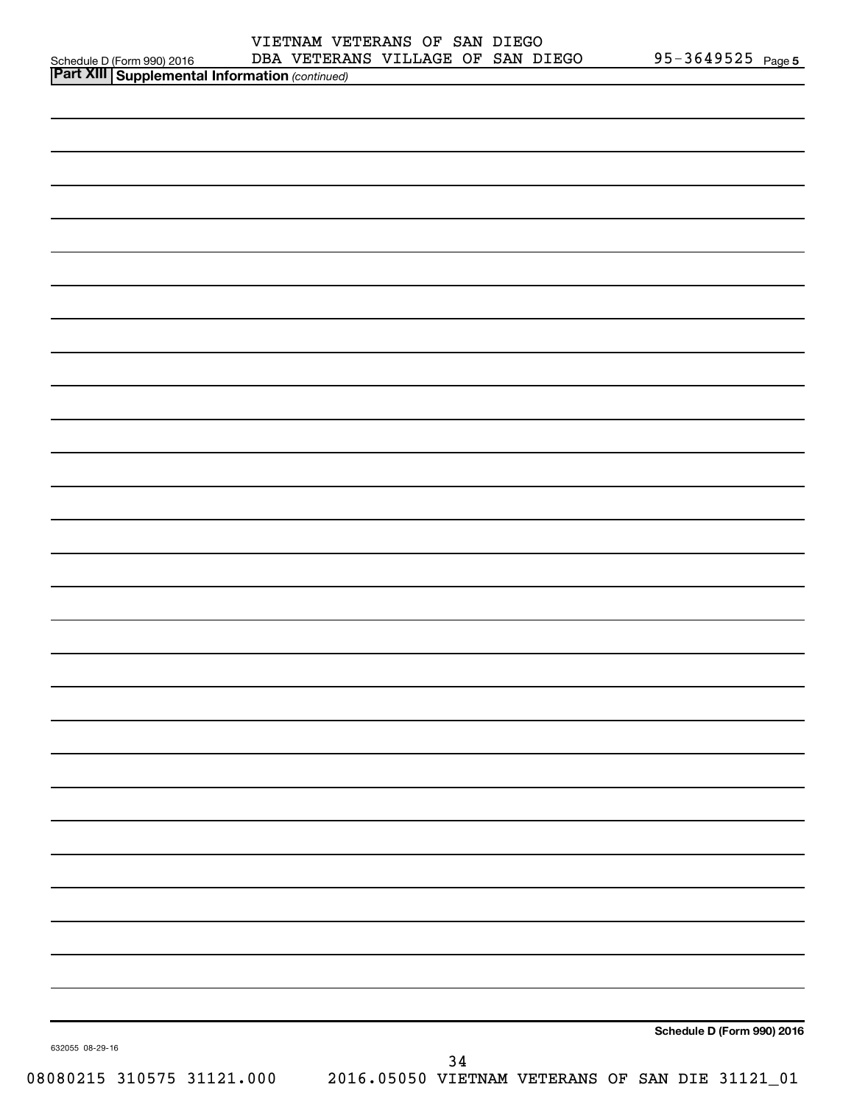| DBA VETERANS VILLAGE OF SAN DIEGO<br>Schedule D (Form 990) 2016 DBA VETERA<br>Part XIII Supplemental Information (continued) |  |    |  | 95-3649525 Page 5                                                             |
|------------------------------------------------------------------------------------------------------------------------------|--|----|--|-------------------------------------------------------------------------------|
|                                                                                                                              |  |    |  |                                                                               |
|                                                                                                                              |  |    |  |                                                                               |
|                                                                                                                              |  |    |  |                                                                               |
|                                                                                                                              |  |    |  |                                                                               |
|                                                                                                                              |  |    |  |                                                                               |
|                                                                                                                              |  |    |  |                                                                               |
|                                                                                                                              |  |    |  |                                                                               |
|                                                                                                                              |  |    |  |                                                                               |
|                                                                                                                              |  |    |  |                                                                               |
|                                                                                                                              |  |    |  |                                                                               |
|                                                                                                                              |  |    |  |                                                                               |
|                                                                                                                              |  |    |  |                                                                               |
|                                                                                                                              |  |    |  |                                                                               |
|                                                                                                                              |  |    |  |                                                                               |
|                                                                                                                              |  |    |  |                                                                               |
|                                                                                                                              |  |    |  |                                                                               |
|                                                                                                                              |  |    |  |                                                                               |
|                                                                                                                              |  |    |  |                                                                               |
|                                                                                                                              |  |    |  |                                                                               |
|                                                                                                                              |  |    |  |                                                                               |
|                                                                                                                              |  |    |  |                                                                               |
|                                                                                                                              |  |    |  |                                                                               |
|                                                                                                                              |  |    |  |                                                                               |
|                                                                                                                              |  |    |  |                                                                               |
|                                                                                                                              |  |    |  |                                                                               |
|                                                                                                                              |  |    |  |                                                                               |
|                                                                                                                              |  |    |  |                                                                               |
|                                                                                                                              |  |    |  |                                                                               |
|                                                                                                                              |  |    |  |                                                                               |
|                                                                                                                              |  |    |  |                                                                               |
|                                                                                                                              |  |    |  |                                                                               |
|                                                                                                                              |  |    |  |                                                                               |
|                                                                                                                              |  |    |  |                                                                               |
|                                                                                                                              |  |    |  |                                                                               |
|                                                                                                                              |  |    |  |                                                                               |
|                                                                                                                              |  |    |  |                                                                               |
|                                                                                                                              |  |    |  |                                                                               |
|                                                                                                                              |  |    |  |                                                                               |
|                                                                                                                              |  |    |  |                                                                               |
|                                                                                                                              |  |    |  |                                                                               |
|                                                                                                                              |  |    |  |                                                                               |
|                                                                                                                              |  |    |  |                                                                               |
| 08080215 310575 31121.000                                                                                                    |  |    |  |                                                                               |
|                                                                                                                              |  | 34 |  | Schedule D (Form 990) 2016<br>2016.05050 VIETNAM VETERANS OF SAN DIE 31121_01 |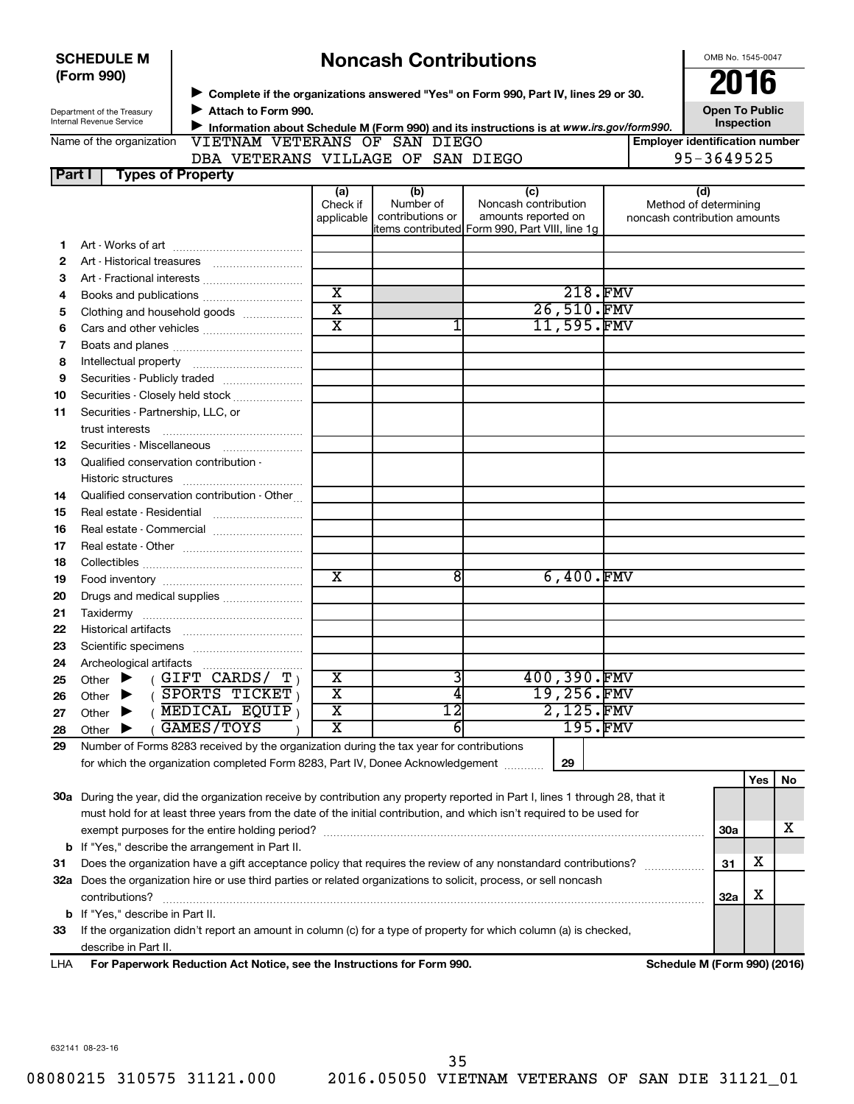|        | <b>SCHEDULE M</b>                                      |                                                                                                                                |                         | <b>Noncash Contributions</b> |                                                                       |             | OMB No. 1545-0047                     |            |    |
|--------|--------------------------------------------------------|--------------------------------------------------------------------------------------------------------------------------------|-------------------------|------------------------------|-----------------------------------------------------------------------|-------------|---------------------------------------|------------|----|
|        | (Form 990)                                             |                                                                                                                                |                         |                              |                                                                       |             |                                       | 2016       |    |
|        |                                                        | > Complete if the organizations answered "Yes" on Form 990, Part IV, lines 29 or 30.                                           |                         |                              |                                                                       |             |                                       |            |    |
|        | Department of the Treasury<br>Internal Revenue Service | Attach to Form 990.                                                                                                            |                         |                              |                                                                       |             | <b>Open To Public</b>                 | Inspection |    |
|        | Name of the organization                               | Information about Schedule M (Form 990) and its instructions is at www.irs.gov/form990.<br>VIETNAM VETERANS OF SAN DIEGO       |                         |                              |                                                                       |             | <b>Employer identification number</b> |            |    |
|        |                                                        | DBA VETERANS VILLAGE OF SAN DIEGO                                                                                              |                         |                              |                                                                       |             | 95-3649525                            |            |    |
| Part I | <b>Types of Property</b>                               |                                                                                                                                |                         |                              |                                                                       |             |                                       |            |    |
|        |                                                        |                                                                                                                                | (a)                     | (b)                          | (c)                                                                   |             | (d)                                   |            |    |
|        |                                                        |                                                                                                                                | Check if                | Number of                    | Noncash contribution                                                  |             | Method of determining                 |            |    |
|        |                                                        |                                                                                                                                | applicable              | contributions or             | amounts reported on<br>items contributed Form 990, Part VIII, line 1g |             | noncash contribution amounts          |            |    |
| 1      |                                                        |                                                                                                                                |                         |                              |                                                                       |             |                                       |            |    |
| 2      |                                                        |                                                                                                                                |                         |                              |                                                                       |             |                                       |            |    |
| З      |                                                        |                                                                                                                                |                         |                              |                                                                       |             |                                       |            |    |
| 4      |                                                        |                                                                                                                                | $\overline{\text{x}}$   |                              |                                                                       | 218.FMV     |                                       |            |    |
| 5      |                                                        | Clothing and household goods                                                                                                   | $\overline{\texttt{x}}$ |                              |                                                                       | 26,510.FMV  |                                       |            |    |
| 6      |                                                        |                                                                                                                                | $\overline{\text{x}}$   | 1                            |                                                                       | 11,595.FMV  |                                       |            |    |
| 7      |                                                        |                                                                                                                                |                         |                              |                                                                       |             |                                       |            |    |
| 8      |                                                        |                                                                                                                                |                         |                              |                                                                       |             |                                       |            |    |
| 9      |                                                        | Securities - Publicly traded                                                                                                   |                         |                              |                                                                       |             |                                       |            |    |
| 10     |                                                        | Securities - Closely held stock                                                                                                |                         |                              |                                                                       |             |                                       |            |    |
| 11     | Securities - Partnership, LLC, or                      |                                                                                                                                |                         |                              |                                                                       |             |                                       |            |    |
|        | trust interests                                        |                                                                                                                                |                         |                              |                                                                       |             |                                       |            |    |
| 12     |                                                        |                                                                                                                                |                         |                              |                                                                       |             |                                       |            |    |
| 13     | Qualified conservation contribution -                  |                                                                                                                                |                         |                              |                                                                       |             |                                       |            |    |
|        | Historic structures                                    |                                                                                                                                |                         |                              |                                                                       |             |                                       |            |    |
| 14     |                                                        | Qualified conservation contribution - Other                                                                                    |                         |                              |                                                                       |             |                                       |            |    |
| 15     |                                                        |                                                                                                                                |                         |                              |                                                                       |             |                                       |            |    |
| 16     |                                                        |                                                                                                                                |                         |                              |                                                                       |             |                                       |            |    |
| 17     |                                                        |                                                                                                                                |                         |                              |                                                                       |             |                                       |            |    |
| 18     |                                                        |                                                                                                                                |                         |                              |                                                                       |             |                                       |            |    |
| 19     |                                                        |                                                                                                                                | $\overline{\texttt{x}}$ | 8                            |                                                                       | 6,400.FMV   |                                       |            |    |
| 20     |                                                        | Drugs and medical supplies                                                                                                     |                         |                              |                                                                       |             |                                       |            |    |
| 21     |                                                        |                                                                                                                                |                         |                              |                                                                       |             |                                       |            |    |
| 22     |                                                        |                                                                                                                                |                         |                              |                                                                       |             |                                       |            |    |
| 23     |                                                        |                                                                                                                                |                         |                              |                                                                       |             |                                       |            |    |
| 24     |                                                        |                                                                                                                                |                         |                              |                                                                       |             |                                       |            |    |
| 25     | Other                                                  | GIFT CARDS/<br>т                                                                                                               | Х                       | 3                            |                                                                       | 400,390.FMV |                                       |            |    |
| 26     | Other                                                  | SPORTS TICKET                                                                                                                  | $\overline{\text{x}}$   | 4                            |                                                                       | 19,256.FMV  |                                       |            |    |
| 27     | Other                                                  | MEDICAL EQUIP                                                                                                                  | $\overline{\mathbf{x}}$ | 12                           |                                                                       | 2,125.FMV   |                                       |            |    |
| 28     | Other                                                  | GAMES/TOYS                                                                                                                     | $\overline{\text{x}}$   | 6                            |                                                                       | 195.FMV     |                                       |            |    |
| 29     |                                                        | Number of Forms 8283 received by the organization during the tax year for contributions                                        |                         |                              |                                                                       |             |                                       |            |    |
|        |                                                        | for which the organization completed Form 8283, Part IV, Donee Acknowledgement                                                 |                         |                              |                                                                       | 29          |                                       |            |    |
|        |                                                        |                                                                                                                                |                         |                              |                                                                       |             |                                       | Yes        | No |
|        |                                                        | 30a During the year, did the organization receive by contribution any property reported in Part I, lines 1 through 28, that it |                         |                              |                                                                       |             |                                       |            |    |
|        |                                                        | must hold for at least three years from the date of the initial contribution, and which isn't required to be used for          |                         |                              |                                                                       |             |                                       |            |    |
|        |                                                        |                                                                                                                                |                         |                              |                                                                       |             | 30a                                   |            | х  |
|        |                                                        | <b>b</b> If "Yes," describe the arrangement in Part II.                                                                        |                         |                              |                                                                       |             |                                       |            |    |
| 31     |                                                        | Does the organization have a gift acceptance policy that requires the review of any nonstandard contributions?                 |                         |                              |                                                                       |             | 31                                    | х          |    |
|        |                                                        | 32a Does the organization hire or use third parties or related organizations to solicit, process, or sell noncash              |                         |                              |                                                                       |             |                                       |            |    |
|        | contributions?                                         |                                                                                                                                |                         |                              |                                                                       |             | 32a                                   | х          |    |
|        | <b>b</b> If "Yes," describe in Part II.                |                                                                                                                                |                         |                              |                                                                       |             |                                       |            |    |
| 33     |                                                        | If the organization didn't report an amount in column (c) for a type of property for which column (a) is checked,              |                         |                              |                                                                       |             |                                       |            |    |
|        | describe in Part II.                                   |                                                                                                                                |                         |                              |                                                                       |             |                                       |            |    |
| LHA    |                                                        | For Paperwork Reduction Act Notice, see the Instructions for Form 990.                                                         |                         |                              |                                                                       |             | <b>Schedule M (Form 990) (2016)</b>   |            |    |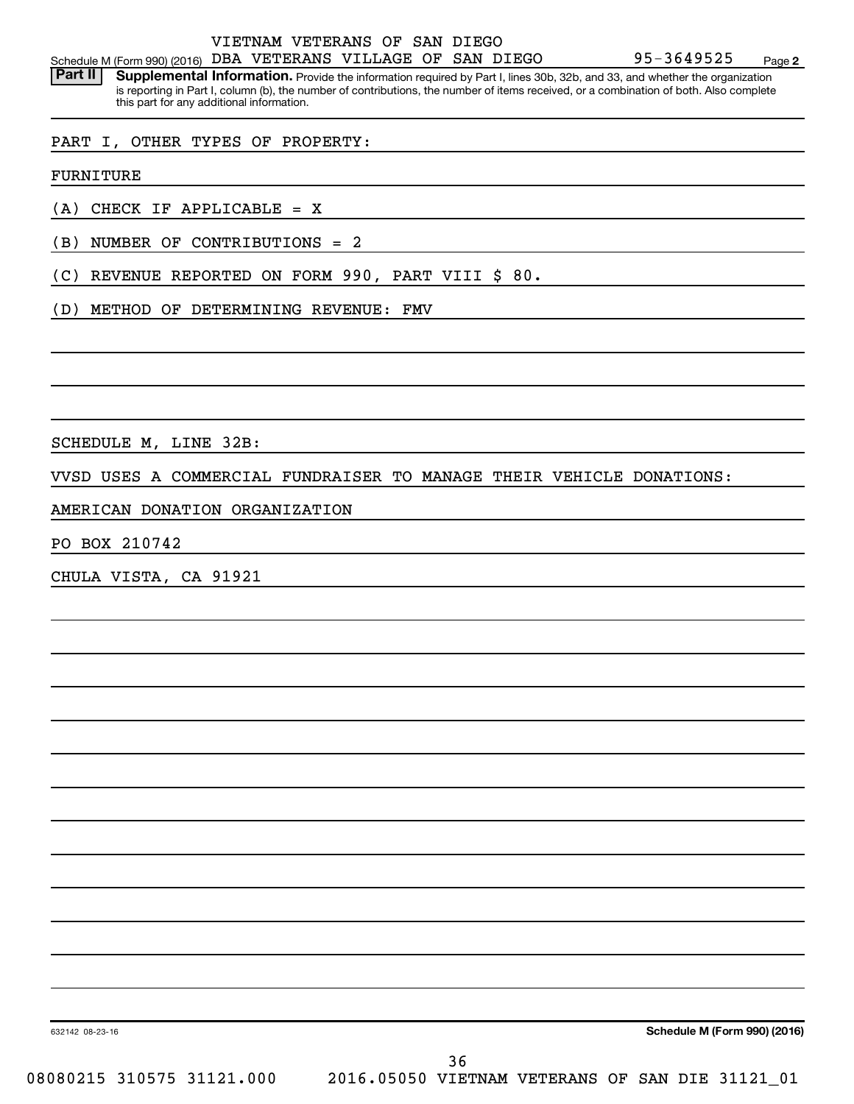Schedule M (Form 990) (2016) DBA VETERANS VILLAGE OF SAN DIEGO  $95-3649525$  Page VIETNAM VETERANS OF SAN DIEGO

Part II | Supplemental Information. Provide the information required by Part I, lines 30b, 32b, and 33, and whether the organization is reporting in Part I, column (b), the number of contributions, the number of items received, or a combination of both. Also complete this part for any additional information.

#### PART I, OTHER TYPES OF PROPERTY:

FURNITURE

(A) CHECK IF APPLICABLE = X

(B) NUMBER OF CONTRIBUTIONS = 2

(C) REVENUE REPORTED ON FORM 990, PART VIII \$ 80.

(D) METHOD OF DETERMINING REVENUE: FMV

SCHEDULE M, LINE 32B:

VVSD USES A COMMERCIAL FUNDRAISER TO MANAGE THEIR VEHICLE DONATIONS:

AMERICAN DONATION ORGANIZATION

PO BOX 210742

CHULA VISTA, CA 91921

**Schedule M (Form 990) (2016)**

632142 08-23-16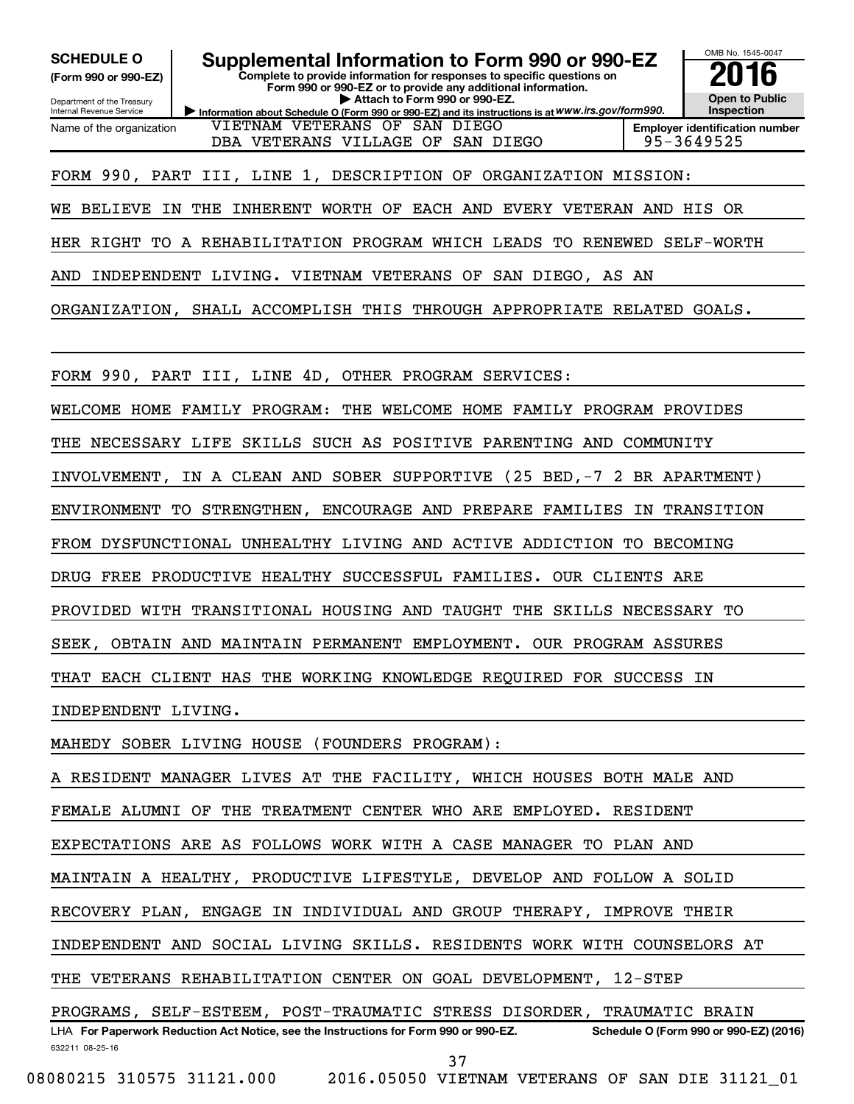Internal Revenue Service

Department of the Treasury **(Form 990 or 990-EZ)**

Name of the organization

**SCHEDULE O Supplemental Information to Form 990 or 990-EZ 2016**

**Complete to provide information for responses to specific questions on Form 990 or 990-EZ or to provide any additional information. | Attach to Form 990 or 990-EZ.**



**Information about Schedule O (Form 990 or 990-EZ) and its instructions is at WWW.irs.gov/form990.** VIETNAM VETERANS OF SAN DIEGO DBA VETERANS VILLAGE OF SAN DIEGO | 95-3649525

**Employer identification number**

FORM 990, PART III, LINE 1, DESCRIPTION OF ORGANIZATION MISSION:

WE BELIEVE IN THE INHERENT WORTH OF EACH AND EVERY VETERAN AND HIS OR

HER RIGHT TO A REHABILITATION PROGRAM WHICH LEADS TO RENEWED SELF-WORTH

AND INDEPENDENT LIVING. VIETNAM VETERANS OF SAN DIEGO, AS AN

ORGANIZATION, SHALL ACCOMPLISH THIS THROUGH APPROPRIATE RELATED GOALS.

FORM 990, PART III, LINE 4D, OTHER PROGRAM SERVICES:

WELCOME HOME FAMILY PROGRAM: THE WELCOME HOME FAMILY PROGRAM PROVIDES THE NECESSARY LIFE SKILLS SUCH AS POSITIVE PARENTING AND COMMUNITY INVOLVEMENT, IN A CLEAN AND SOBER SUPPORTIVE (25 BED,-7 2 BR APARTMENT) ENVIRONMENT TO STRENGTHEN, ENCOURAGE AND PREPARE FAMILIES IN TRANSITION FROM DYSFUNCTIONAL UNHEALTHY LIVING AND ACTIVE ADDICTION TO BECOMING DRUG FREE PRODUCTIVE HEALTHY SUCCESSFUL FAMILIES. OUR CLIENTS ARE PROVIDED WITH TRANSITIONAL HOUSING AND TAUGHT THE SKILLS NECESSARY TO SEEK, OBTAIN AND MAINTAIN PERMANENT EMPLOYMENT. OUR PROGRAM ASSURES THAT EACH CLIENT HAS THE WORKING KNOWLEDGE REQUIRED FOR SUCCESS IN INDEPENDENT LIVING.

MAHEDY SOBER LIVING HOUSE (FOUNDERS PROGRAM):

A RESIDENT MANAGER LIVES AT THE FACILITY, WHICH HOUSES BOTH MALE AND

FEMALE ALUMNI OF THE TREATMENT CENTER WHO ARE EMPLOYED. RESIDENT

EXPECTATIONS ARE AS FOLLOWS WORK WITH A CASE MANAGER TO PLAN AND

MAINTAIN A HEALTHY, PRODUCTIVE LIFESTYLE, DEVELOP AND FOLLOW A SOLID

RECOVERY PLAN, ENGAGE IN INDIVIDUAL AND GROUP THERAPY, IMPROVE THEIR

INDEPENDENT AND SOCIAL LIVING SKILLS. RESIDENTS WORK WITH COUNSELORS AT

THE VETERANS REHABILITATION CENTER ON GOAL DEVELOPMENT, 12-STEP

632211 08-25-16 LHA For Paperwork Reduction Act Notice, see the Instructions for Form 990 or 990-EZ. Schedule O (Form 990 or 990-EZ) (2016) PROGRAMS, SELF-ESTEEM, POST-TRAUMATIC STRESS DISORDER, TRAUMATIC BRAIN

```
08080215 310575 31121.000 2016.05050 VIETNAM VETERANS OF SAN DIE 31121_01
```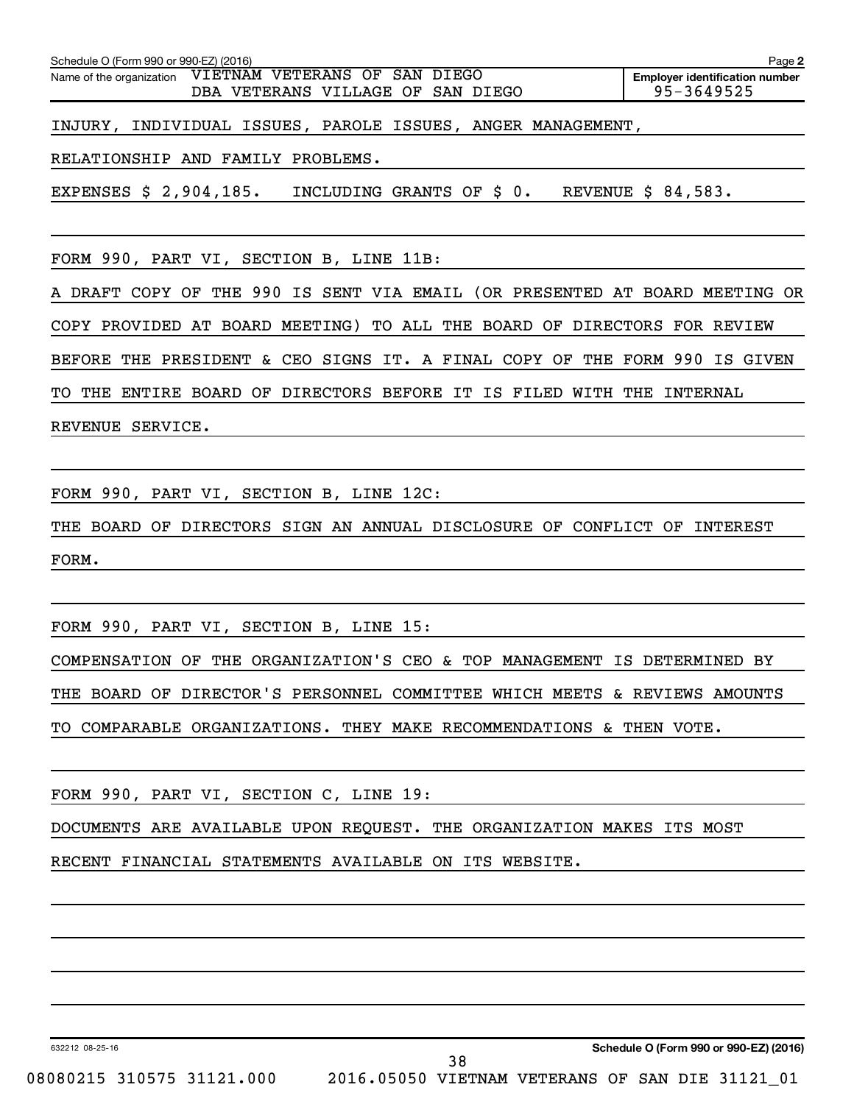**2 Employer identification number** Schedule O (Form 990 or 990-EZ) (2016) Name of the organization VIETNAM VETERANS OF SAN DIEGO DBA VETERANS VILLAGE OF SAN DIEGO 195-3649525

INJURY, INDIVIDUAL ISSUES, PAROLE ISSUES, ANGER MANAGEMENT,

RELATIONSHIP AND FAMILY PROBLEMS.

EXPENSES \$ 2,904,185. INCLUDING GRANTS OF \$ 0. REVENUE \$ 84,583.

FORM 990, PART VI, SECTION B, LINE 11B:

A DRAFT COPY OF THE 990 IS SENT VIA EMAIL (OR PRESENTED AT BOARD MEETING OR COPY PROVIDED AT BOARD MEETING) TO ALL THE BOARD OF DIRECTORS FOR REVIEW BEFORE THE PRESIDENT & CEO SIGNS IT. A FINAL COPY OF THE FORM 990 IS GIVEN TO THE ENTIRE BOARD OF DIRECTORS BEFORE IT IS FILED WITH THE INTERNAL REVENUE SERVICE.

FORM 990, PART VI, SECTION B, LINE 12C:

THE BOARD OF DIRECTORS SIGN AN ANNUAL DISCLOSURE OF CONFLICT OF INTEREST FORM.

FORM 990, PART VI, SECTION B, LINE 15:

COMPENSATION OF THE ORGANIZATION'S CEO & TOP MANAGEMENT IS DETERMINED BY THE BOARD OF DIRECTOR'S PERSONNEL COMMITTEE WHICH MEETS & REVIEWS AMOUNTS TO COMPARABLE ORGANIZATIONS. THEY MAKE RECOMMENDATIONS & THEN VOTE.

FORM 990, PART VI, SECTION C, LINE 19:

DOCUMENTS ARE AVAILABLE UPON REQUEST. THE ORGANIZATION MAKES ITS MOST

RECENT FINANCIAL STATEMENTS AVAILABLE ON ITS WEBSITE.

632212 08-25-16

**Schedule O (Form 990 or 990-EZ) (2016)**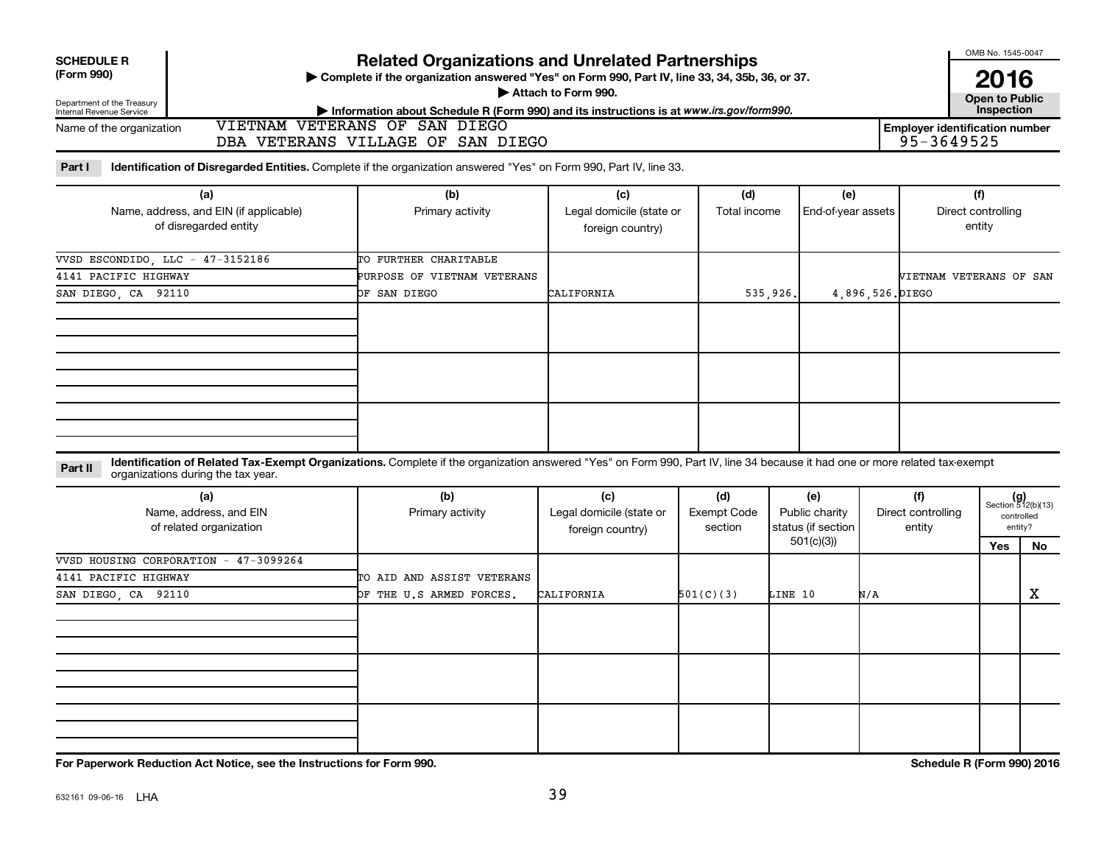| <b>SCHEDULE R</b> |  |
|-------------------|--|
|                   |  |

# **Related Organizations and Unrelated Partnerships**

**(Form 990) Complete if the organization answered "Yes" on Form 990, Part IV, line 33, 34, 35b, 36, or 37.** |

**Attach to Form 990. Contract to Public** 

OMB No. 1545-0047

**2016**<br>Open to Public

**Employer identification number**

| Department of the Treasury<br>Internal Revenue Service | Information about Schedule R (Form 990) and its instructions is at www.irs.gov/form990. |          | <b>UNGHIOIU</b><br><b>Inspection</b> |
|--------------------------------------------------------|-----------------------------------------------------------------------------------------|----------|--------------------------------------|
| Name of the organization                               | <b>DIEGO</b><br>ΟF<br>SAN<br><b>ETNAM</b><br>VETERANS                                   | Emplover | ∵identification num                  |

DBA VETERANS VILLAGE OF SAN DIEGO

Part I ldentification of Disregarded Entities. Complete if the organization answered "Yes" on Form 990, Part IV, line 33.

| (a)                                    | (b)                         | (c)                      | (d)          | (e)                | (f)                     |
|----------------------------------------|-----------------------------|--------------------------|--------------|--------------------|-------------------------|
| Name, address, and EIN (if applicable) | Primary activity            | Legal domicile (state or | Total income | End-of-year assets | Direct controlling      |
| of disregarded entity                  |                             | foreign country)         |              |                    | entity                  |
|                                        |                             |                          |              |                    |                         |
| VVSD ESCONDIDO, LLC - 47-3152186       | TO FURTHER CHARITABLE       |                          |              |                    |                         |
| 4141 PACIFIC HIGHWAY                   | PURPOSE OF VIETNAM VETERANS |                          |              |                    | VIETNAM VETERANS OF SAN |
| SAN DIEGO, CA 92110                    | OF SAN DIEGO                | CALIFORNIA               | 535,926.     | 4,896,526. DIEGO   |                         |
|                                        |                             |                          |              |                    |                         |
|                                        |                             |                          |              |                    |                         |
|                                        |                             |                          |              |                    |                         |
|                                        |                             |                          |              |                    |                         |
|                                        |                             |                          |              |                    |                         |
|                                        |                             |                          |              |                    |                         |
|                                        |                             |                          |              |                    |                         |
|                                        |                             |                          |              |                    |                         |
|                                        |                             |                          |              |                    |                         |
|                                        |                             |                          |              |                    |                         |

**Part II** Identification of Related Tax-Exempt Organizations. Complete if the organization answered "Yes" on Form 990, Part IV, line 34 because it had one or more related tax-exempt<br>Complete it is a series of the two wears organizations during the tax year.

| (a)<br>Name, address, and EIN<br>of related organization | (b)<br>Primary activity    | (c)<br>Legal domicile (state or<br>foreign country) | (d)<br><b>Exempt Code</b><br>section | (e)<br>Public charity<br>status (if section | (f)<br>Direct controlling<br>entity |     | $(g)$<br>Section 512(b)(13)<br>controlled<br>entity? |
|----------------------------------------------------------|----------------------------|-----------------------------------------------------|--------------------------------------|---------------------------------------------|-------------------------------------|-----|------------------------------------------------------|
|                                                          |                            |                                                     |                                      | 501(c)(3))                                  |                                     | Yes | No                                                   |
| VVSD HOUSING CORPORATION - 47-3099264                    |                            |                                                     |                                      |                                             |                                     |     |                                                      |
| 4141 PACIFIC HIGHWAY                                     | TO AID AND ASSIST VETERANS |                                                     |                                      |                                             |                                     |     |                                                      |
| SAN DIEGO, CA 92110                                      | OF THE U.S ARMED FORCES.   | CALIFORNIA                                          | 501(C)(3)                            | LINE 10                                     | N/A                                 |     | X                                                    |
|                                                          |                            |                                                     |                                      |                                             |                                     |     |                                                      |
|                                                          |                            |                                                     |                                      |                                             |                                     |     |                                                      |
|                                                          |                            |                                                     |                                      |                                             |                                     |     |                                                      |
|                                                          |                            |                                                     |                                      |                                             |                                     |     |                                                      |
|                                                          |                            |                                                     |                                      |                                             |                                     |     |                                                      |
|                                                          |                            |                                                     |                                      |                                             |                                     |     |                                                      |
|                                                          |                            |                                                     |                                      |                                             |                                     |     |                                                      |
|                                                          |                            |                                                     |                                      |                                             |                                     |     |                                                      |
|                                                          |                            |                                                     |                                      |                                             |                                     |     |                                                      |

**For Paperwork Reduction Act Notice, see the Instructions for Form 990. Schedule R (Form 990) 2016**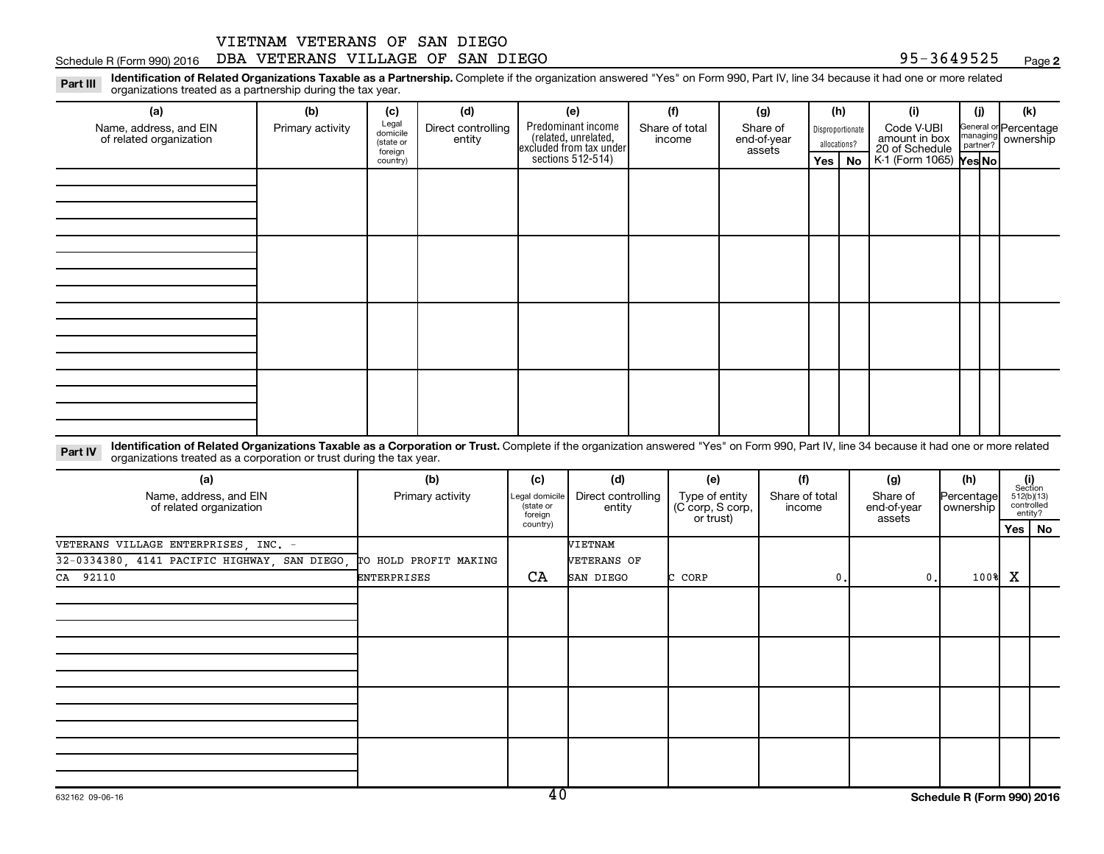#### Schedule R (Form 990) 2016 DBA VETERANS VILLAGE OF SAN DIEGO  $95-3649525$  Page

**2**

Part III Identification of Related Organizations Taxable as a Partnership. Complete if the organization answered "Yes" on Form 990, Part IV, line 34 because it had one or more related<br>Read to the organizations tracted as a organizations treated as a partnership during the tax year.

| (b)              | (c)                            | (d)                          | (e)                | (f)                      | (g)                                                                 |  | (i)                             | (j)              | (k)                                                                |
|------------------|--------------------------------|------------------------------|--------------------|--------------------------|---------------------------------------------------------------------|--|---------------------------------|------------------|--------------------------------------------------------------------|
| Primary activity | Legal<br>domicile<br>(state or | Direct controlling<br>entity | Predominant income | Share of total<br>income | Share of<br>end-of-year<br>assets                                   |  | Code V-UBI                      |                  | General or Percentage<br>managing ownership                        |
|                  | country)                       |                              |                    |                          |                                                                     |  |                                 |                  |                                                                    |
|                  |                                |                              |                    |                          |                                                                     |  |                                 |                  |                                                                    |
|                  |                                |                              |                    |                          |                                                                     |  |                                 |                  |                                                                    |
|                  |                                |                              |                    |                          |                                                                     |  |                                 |                  |                                                                    |
|                  |                                |                              |                    |                          |                                                                     |  |                                 |                  |                                                                    |
|                  |                                |                              |                    |                          |                                                                     |  |                                 |                  |                                                                    |
|                  |                                |                              |                    |                          |                                                                     |  |                                 |                  |                                                                    |
|                  |                                |                              |                    |                          |                                                                     |  |                                 |                  |                                                                    |
|                  |                                |                              |                    |                          |                                                                     |  |                                 |                  |                                                                    |
|                  |                                |                              |                    |                          |                                                                     |  |                                 |                  |                                                                    |
|                  |                                |                              |                    |                          |                                                                     |  |                                 |                  |                                                                    |
|                  |                                |                              |                    |                          |                                                                     |  |                                 |                  |                                                                    |
|                  |                                |                              |                    |                          |                                                                     |  |                                 |                  |                                                                    |
|                  |                                |                              |                    |                          |                                                                     |  |                                 |                  |                                                                    |
|                  |                                |                              |                    |                          |                                                                     |  |                                 |                  |                                                                    |
|                  |                                |                              |                    |                          |                                                                     |  |                                 |                  |                                                                    |
|                  |                                |                              |                    |                          |                                                                     |  |                                 |                  |                                                                    |
|                  |                                | foreign                      |                    |                          | related, unrelated,<br>excluded from tax under<br>sections 512-514) |  | (h)<br>allocations?<br>Yes   No | Disproportionate | amount in box<br>20 of Schedule<br>$K1$ (Form 1065) $\gamma$ es No |

Part IV Identification of Related Organizations Taxable as a Corporation or Trust. Complete if the organization answered "Yes" on Form 990, Part IV, line 34 because it had one or more related<br>Complete intervals are accompa organizations treated as a corporation or trust during the tax year.

| (a)<br>Name, address, and EIN<br>of related organization | (b)<br>Primary activity | (c)<br>Legal domicile<br>(state or<br>foreign | (d)<br>Direct controlling<br>entity | (e)<br>Type of entity<br>(C corp, S corp,<br>or trust) | (f)<br>Share of total<br>income | (g)<br>Share of<br>end-of-year<br>assets | (h)<br>Percentage<br>ownership |   | $(i)$<br>Section<br>512(b)(13)<br>controlled<br>entity? |
|----------------------------------------------------------|-------------------------|-----------------------------------------------|-------------------------------------|--------------------------------------------------------|---------------------------------|------------------------------------------|--------------------------------|---|---------------------------------------------------------|
|                                                          |                         | country)                                      |                                     |                                                        |                                 |                                          |                                |   | Yes   No                                                |
| VETERANS VILLAGE ENTERPRISES, INC. -                     |                         |                                               | VIETNAM                             |                                                        |                                 |                                          |                                |   |                                                         |
| 32-0334380, 4141 PACIFIC HIGHWAY, SAN DIEGO,             | TO HOLD PROFIT MAKING   |                                               | <b>VETERANS OF</b>                  |                                                        |                                 |                                          |                                |   |                                                         |
| CA 92110                                                 | <b>ENTERPRISES</b>      | CA                                            | SAN DIEGO                           | C CORP                                                 | $\mathbf{0}$ .                  | $\mathbf{0}$ .                           | 100%                           | X |                                                         |
|                                                          |                         |                                               |                                     |                                                        |                                 |                                          |                                |   |                                                         |
|                                                          |                         |                                               |                                     |                                                        |                                 |                                          |                                |   |                                                         |
|                                                          |                         |                                               |                                     |                                                        |                                 |                                          |                                |   |                                                         |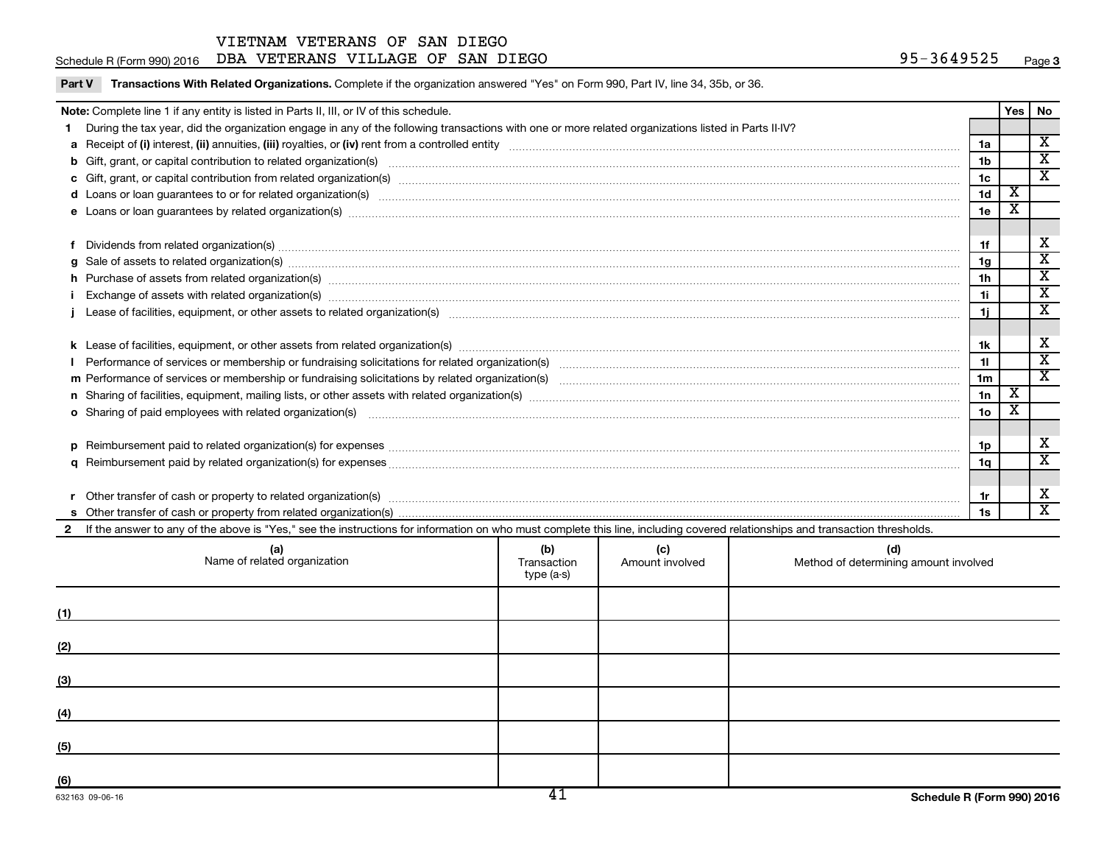Part V Transactions With Related Organizations. Complete if the organization answered "Yes" on Form 990, Part IV, line 34, 35b, or 36.

#### Schedule R (Form 990) 2016 DBA VETERANS VILLAGE OF SAN DIEGO  $95-3649525$  Page

| Note: Complete line 1 if any entity is listed in Parts II, III, or IV of this schedule.                                                                                                                                        |                 | Yes                     | No                          |
|--------------------------------------------------------------------------------------------------------------------------------------------------------------------------------------------------------------------------------|-----------------|-------------------------|-----------------------------|
| During the tax year, did the organization engage in any of the following transactions with one or more related organizations listed in Parts II-IV?                                                                            |                 |                         |                             |
|                                                                                                                                                                                                                                | 1a              |                         | $\overline{\mathbf{X}}$     |
|                                                                                                                                                                                                                                | 1b              |                         | $\overline{\mathbf{X}}$     |
|                                                                                                                                                                                                                                | 1 <sub>c</sub>  |                         | $\overline{\mathbf{x}}$     |
| d Loans or loan guarantees to or for related organization(s) www.communically.com/www.communically.com/www.communically.com/www.communically.com/www.communically.com/www.communically.com/www.communically.com/www.communical | 1 <sub>d</sub>  | $\overline{\texttt{x}}$ |                             |
| e Loans or loan guarantees by related organization(s) manufaction contraction and content to the contract of the contract or contract or contract or contract or contract or contract or contract or contract or contract or c | 1e              | х                       |                             |
|                                                                                                                                                                                                                                |                 |                         |                             |
| Dividends from related organization(s) manufactured and contract and contract and contract and contract and contract and contract and contract and contract and contract and contract and contract and contract and contract a | 1f              |                         | X                           |
| g Sale of assets to related organization(s) www.assettion.com/www.assettion.com/www.assettion.com/www.assettion.com/www.assettion.com/www.assettion.com/www.assettion.com/www.assettion.com/www.assettion.com/www.assettion.co | 1g              |                         | $\overline{\texttt{x}}$     |
| h Purchase of assets from related organization(s) manufactured and content to content the content of assets from related organization(s) manufactured and content of the content of the content of the content of the content  | 1 <sub>h</sub>  |                         | $\overline{\textnormal{x}}$ |
| Exchange of assets with related organization(s) macrocommunically contained and an exchange of assets with related organization(s) macrocommunically exchange of assets with related organization(s) macrocommunically exchang | 1i              |                         | $\mathbf{x}$                |
|                                                                                                                                                                                                                                | 1i              |                         | X                           |
|                                                                                                                                                                                                                                |                 |                         |                             |
|                                                                                                                                                                                                                                | 1k              |                         | X                           |
|                                                                                                                                                                                                                                | 11              |                         | $\overline{\mathbf{X}}$     |
|                                                                                                                                                                                                                                | 1 <sub>m</sub>  |                         | $\overline{\mathbf{x}}$     |
|                                                                                                                                                                                                                                | 1n              | $\overline{\mathbf{x}}$ |                             |
| <b>o</b> Sharing of paid employees with related organization(s)                                                                                                                                                                | 10 <sub>o</sub> |                         |                             |
|                                                                                                                                                                                                                                |                 |                         |                             |
|                                                                                                                                                                                                                                | 1p              |                         | X                           |
|                                                                                                                                                                                                                                | 1q              |                         | $\overline{\mathbf{x}}$     |
|                                                                                                                                                                                                                                |                 |                         |                             |
|                                                                                                                                                                                                                                | 1r              |                         | X                           |
|                                                                                                                                                                                                                                | 1s              |                         | $\overline{\mathbf{x}}$     |
| If the answer to any of the above is "Yes," see the instructions for information on who must complete this line, including covered relationships and transaction thresholds.                                                   |                 |                         |                             |

| (a)<br>Name of related organization | (b)<br>Transaction<br>type (a-s) | (c)<br>Amount involved | (d)<br>Method of determining amount involved |
|-------------------------------------|----------------------------------|------------------------|----------------------------------------------|
| (1)                                 |                                  |                        |                                              |
| (2)                                 |                                  |                        |                                              |
| (3)                                 |                                  |                        |                                              |
| (4)                                 |                                  |                        |                                              |
| (5)                                 |                                  |                        |                                              |
| (6)                                 | $\overline{11}$                  |                        |                                              |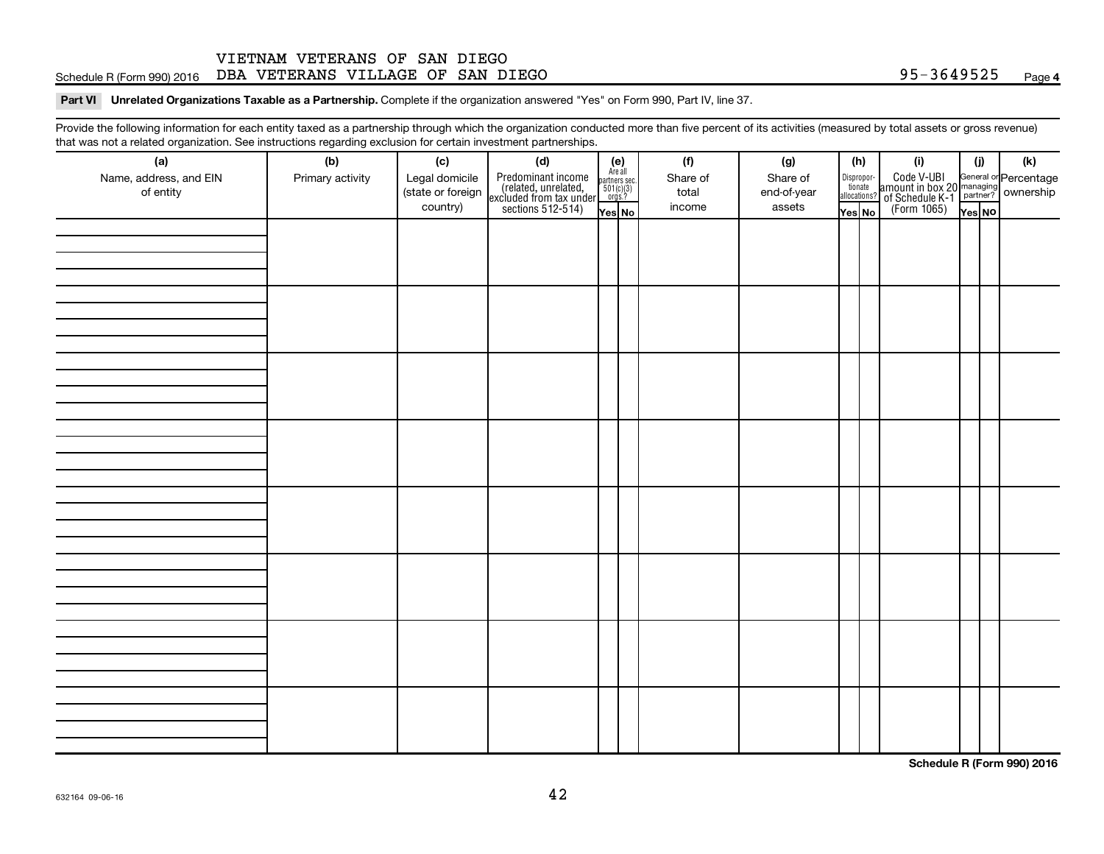#### Schedule R (Form 990) 2016 DBA VETERANS VILLAGE OF SAN DIEGO  $95-3649525$  Page

#### Part VI Unrelated Organizations Taxable as a Partnership. Complete if the organization answered "Yes" on Form 990, Part IV, line 37.

Provide the following information for each entity taxed as a partnership through which the organization conducted more than five percent of its activities (measured by total assets or gross revenue) that was not a related organization. See instructions regarding exclusion for certain investment partnerships.

| (a)                                 | $\cdots$ y $\cdots$<br>(b) |                               | . <b>. .</b><br><br>(d)                                                                    |                                                          |  | (f)               | (g)         | (h)                              | (i)                                                                                                         | (i)    | (k) |  |  |  |
|-------------------------------------|----------------------------|-------------------------------|--------------------------------------------------------------------------------------------|----------------------------------------------------------|--|-------------------|-------------|----------------------------------|-------------------------------------------------------------------------------------------------------------|--------|-----|--|--|--|
|                                     |                            | (c)                           |                                                                                            | (e)<br>Are all<br>partners sec.<br>$501(c)(3)$<br>orgs.? |  |                   | Share of    |                                  |                                                                                                             |        |     |  |  |  |
| Name, address, and EIN<br>of entity | Primary activity           | Legal domicile                | Predominant income<br>(related, unrelated,<br>excluded from tax under<br>sections 512-514) |                                                          |  | Share of<br>total |             | Disproportionate<br>allocations? | Code V-UBI<br>amount in box 20 managing<br>of Schedule K-1<br>(Form 1065)<br>$\overline{Y}_{\text{res}}$ No |        |     |  |  |  |
|                                     |                            | (state or foreign<br>country) |                                                                                            |                                                          |  | income            | end-of-year |                                  |                                                                                                             |        |     |  |  |  |
|                                     |                            |                               |                                                                                            | Yes No                                                   |  |                   | assets      | Yes No                           |                                                                                                             | Yes NO |     |  |  |  |
|                                     |                            |                               |                                                                                            |                                                          |  |                   |             |                                  |                                                                                                             |        |     |  |  |  |
|                                     |                            |                               |                                                                                            |                                                          |  |                   |             |                                  |                                                                                                             |        |     |  |  |  |
|                                     |                            |                               |                                                                                            |                                                          |  |                   |             |                                  |                                                                                                             |        |     |  |  |  |
|                                     |                            |                               |                                                                                            |                                                          |  |                   |             |                                  |                                                                                                             |        |     |  |  |  |
|                                     |                            |                               |                                                                                            |                                                          |  |                   |             |                                  |                                                                                                             |        |     |  |  |  |
|                                     |                            |                               |                                                                                            |                                                          |  |                   |             |                                  |                                                                                                             |        |     |  |  |  |
|                                     |                            |                               |                                                                                            |                                                          |  |                   |             |                                  |                                                                                                             |        |     |  |  |  |
|                                     |                            |                               |                                                                                            |                                                          |  |                   |             |                                  |                                                                                                             |        |     |  |  |  |
|                                     |                            |                               |                                                                                            |                                                          |  |                   |             |                                  |                                                                                                             |        |     |  |  |  |
|                                     |                            |                               |                                                                                            |                                                          |  |                   |             |                                  |                                                                                                             |        |     |  |  |  |
|                                     |                            |                               |                                                                                            |                                                          |  |                   |             |                                  |                                                                                                             |        |     |  |  |  |
|                                     |                            |                               |                                                                                            |                                                          |  |                   |             |                                  |                                                                                                             |        |     |  |  |  |
|                                     |                            |                               |                                                                                            |                                                          |  |                   |             |                                  |                                                                                                             |        |     |  |  |  |
|                                     |                            |                               |                                                                                            |                                                          |  |                   |             |                                  |                                                                                                             |        |     |  |  |  |
|                                     |                            |                               |                                                                                            |                                                          |  |                   |             |                                  |                                                                                                             |        |     |  |  |  |
|                                     |                            |                               |                                                                                            |                                                          |  |                   |             |                                  |                                                                                                             |        |     |  |  |  |
|                                     |                            |                               |                                                                                            |                                                          |  |                   |             |                                  |                                                                                                             |        |     |  |  |  |
|                                     |                            |                               |                                                                                            |                                                          |  |                   |             |                                  |                                                                                                             |        |     |  |  |  |
|                                     |                            |                               |                                                                                            |                                                          |  |                   |             |                                  |                                                                                                             |        |     |  |  |  |
|                                     |                            |                               |                                                                                            |                                                          |  |                   |             |                                  |                                                                                                             |        |     |  |  |  |
|                                     |                            |                               |                                                                                            |                                                          |  |                   |             |                                  |                                                                                                             |        |     |  |  |  |
|                                     |                            |                               |                                                                                            |                                                          |  |                   |             |                                  |                                                                                                             |        |     |  |  |  |
|                                     |                            |                               |                                                                                            |                                                          |  |                   |             |                                  |                                                                                                             |        |     |  |  |  |
|                                     |                            |                               |                                                                                            |                                                          |  |                   |             |                                  |                                                                                                             |        |     |  |  |  |
|                                     |                            |                               |                                                                                            |                                                          |  |                   |             |                                  |                                                                                                             |        |     |  |  |  |
|                                     |                            |                               |                                                                                            |                                                          |  |                   |             |                                  |                                                                                                             |        |     |  |  |  |
|                                     |                            |                               |                                                                                            |                                                          |  |                   |             |                                  |                                                                                                             |        |     |  |  |  |
|                                     |                            |                               |                                                                                            |                                                          |  |                   |             |                                  |                                                                                                             |        |     |  |  |  |
|                                     |                            |                               |                                                                                            |                                                          |  |                   |             |                                  |                                                                                                             |        |     |  |  |  |
|                                     |                            |                               |                                                                                            |                                                          |  |                   |             |                                  |                                                                                                             |        |     |  |  |  |
|                                     |                            |                               |                                                                                            |                                                          |  |                   |             |                                  |                                                                                                             |        |     |  |  |  |
|                                     |                            |                               |                                                                                            |                                                          |  |                   |             |                                  |                                                                                                             |        |     |  |  |  |
|                                     |                            |                               |                                                                                            |                                                          |  |                   |             |                                  |                                                                                                             |        |     |  |  |  |
|                                     |                            |                               |                                                                                            |                                                          |  |                   |             |                                  |                                                                                                             |        |     |  |  |  |
|                                     |                            |                               |                                                                                            |                                                          |  |                   |             |                                  |                                                                                                             |        |     |  |  |  |
|                                     |                            |                               |                                                                                            |                                                          |  |                   |             |                                  |                                                                                                             |        |     |  |  |  |
|                                     |                            |                               |                                                                                            |                                                          |  |                   |             |                                  |                                                                                                             |        |     |  |  |  |

**Schedule R (Form 990) 2016**